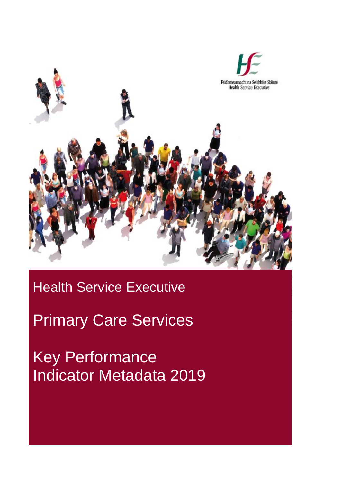

## Health Service Executive

Primary Care Services

Key Performance Indicator Metadata 2019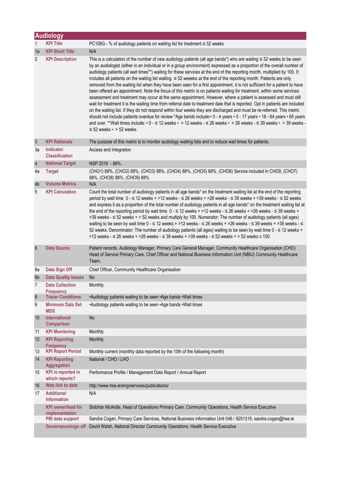|                 | <b>Audiology</b>                                            |                                                                                                                                                                                                                                                                                                                                                                                                                                                                                                                                                                                                                                                                                                                                                                                                                                                                                                                                                                                                                                                                                                                                                                                                                                                                                                                                                                                                                                                                                  |
|-----------------|-------------------------------------------------------------|----------------------------------------------------------------------------------------------------------------------------------------------------------------------------------------------------------------------------------------------------------------------------------------------------------------------------------------------------------------------------------------------------------------------------------------------------------------------------------------------------------------------------------------------------------------------------------------------------------------------------------------------------------------------------------------------------------------------------------------------------------------------------------------------------------------------------------------------------------------------------------------------------------------------------------------------------------------------------------------------------------------------------------------------------------------------------------------------------------------------------------------------------------------------------------------------------------------------------------------------------------------------------------------------------------------------------------------------------------------------------------------------------------------------------------------------------------------------------------|
| $\mathbf{1}$    | <b>KPI Title</b>                                            | PC108G - % of audiology patients on waiting list for treatment ≤ 52 weeks                                                                                                                                                                                                                                                                                                                                                                                                                                                                                                                                                                                                                                                                                                                                                                                                                                                                                                                                                                                                                                                                                                                                                                                                                                                                                                                                                                                                        |
| 1a              | <b>KPI Short Title</b>                                      | N/A                                                                                                                                                                                                                                                                                                                                                                                                                                                                                                                                                                                                                                                                                                                                                                                                                                                                                                                                                                                                                                                                                                                                                                                                                                                                                                                                                                                                                                                                              |
| $\overline{2}$  | <b>KPI Description</b>                                      | This is a calculation of the number of new audiology patients (all age bands*) who are waiting $\leq$ 52 weeks to be seen<br>by an audiologist (either in an individual or in a group environment) expressed as a proportion of the overall number of<br>audiology patients (all wait times**) waiting for these services at the end of the reporting month, multiplied by 100. It<br>includes all patients on the waiting list waiting ≤ 52 weeeks at the end of the reporting month. Patients are only<br>removed from the waiting list when they have been seen for a first appointment, it is not sufficient for a patient to have<br>been offered an appointment. Note the focus of this metric is on patients waiting for treatment, within some services<br>assessment and treatment may occur at the same appointment. However, where a patient is assessed and must still<br>wait for treatment it is the waiting time from referral date to treatment date that is reported. Opt in patients are included<br>on the waiting list. If they do not respond within four weeks they are discharged and must be re-referred. This metric<br>should not include patients overdue for review *Age bands include: • 0 - 4 years • 5 - 17 years • 18 - 64 years • 65 years<br>and over. **Wait times include: $\cdot$ 0 - $\leq$ 12 weeks $\cdot$ > 12 weeks - $\leq$ 26 weeks $\cdot$ > 26 weeks - $\leq$ 39 weeks $\cdot$ > 39 weeks -<br>$\leq$ 52 weeks $\cdot$ > 52 weeks. |
| $\mathbf{3}$    | <b>KPI Rationale</b>                                        | The purpose of this metric is to monitor audiology waiting lists and to reduce wait times for patients.                                                                                                                                                                                                                                                                                                                                                                                                                                                                                                                                                                                                                                                                                                                                                                                                                                                                                                                                                                                                                                                                                                                                                                                                                                                                                                                                                                          |
| За              | Indicator<br><b>Classification</b>                          | Access and Integration                                                                                                                                                                                                                                                                                                                                                                                                                                                                                                                                                                                                                                                                                                                                                                                                                                                                                                                                                                                                                                                                                                                                                                                                                                                                                                                                                                                                                                                           |
| $\overline{4}$  | <b>National Target</b>                                      | NSP 2019 - 88%.                                                                                                                                                                                                                                                                                                                                                                                                                                                                                                                                                                                                                                                                                                                                                                                                                                                                                                                                                                                                                                                                                                                                                                                                                                                                                                                                                                                                                                                                  |
| 4a              | <b>Target</b>                                               | (CHO1) 88%, (CHO2) 88%, (CHO3) 88%, (CHO4) 88%, (CHO5) 88%, (CHO6) Service included in CHO9, (CHO7)<br>88%, (CHO8) 88%, (CHO9) 88%                                                                                                                                                                                                                                                                                                                                                                                                                                                                                                                                                                                                                                                                                                                                                                                                                                                                                                                                                                                                                                                                                                                                                                                                                                                                                                                                               |
| 4b<br>5         | <b>Volume Metrics</b><br><b>KPI Calculation</b>             | N/A<br>Count the total number of audiology patients in all age bands* on the treatment waiting list at the end of the reporting                                                                                                                                                                                                                                                                                                                                                                                                                                                                                                                                                                                                                                                                                                                                                                                                                                                                                                                                                                                                                                                                                                                                                                                                                                                                                                                                                  |
|                 |                                                             | period by wait time $0 - 12$ weeks + >12 weeks - $\leq 26$ weeks + >26 weeks - $\leq 39$ weeks + >39 weeks - $\leq 52$ weeks<br>and express it as a proportion of the total number of audiology patients in all age bands* on the treatment waiting list at<br>the end of the reporting period by wait time $0 - 5 = 12$ weeks + >12 weeks - $\leq 26$ weeks + >26 weeks - $\leq 39$ weeks +<br>>39 weeks - $\leq$ 52 weeks + > 52 weeks and multiply by 100. Numerator: The number of audiology patients (all ages)<br>waiting to be seen by wait time 0 - ≤ 12 weeks + >12 weeks - ≤ 26 weeks + >26 weeks - ≤ 39 weeks + >39 weeks - ≤<br>52 weeks. Denominator: The number of audiology patients (all ages) waiting to be seen by wait time 0 - ≤ 12 weeks +<br>>12 weeks - ≤ 26 weeks + >26 weeks - ≤ 39 weeks + >39 weeks - ≤ 52 weeks + > 52 weeks x 100.                                                                                                                                                                                                                                                                                                                                                                                                                                                                                                                                                                                                                  |
| $6\phantom{1}6$ | <b>Data Source</b>                                          | Patient records, Audiology Manager, Primary Care General Manager, Community Healthcare Organisation (CHO)<br>Head of Service Primary Care, Chief Officer and National Business Information Unit (NBIU) Community Healthcare<br>Team.                                                                                                                                                                                                                                                                                                                                                                                                                                                                                                                                                                                                                                                                                                                                                                                                                                                                                                                                                                                                                                                                                                                                                                                                                                             |
| 6a              | Data Sign Off                                               | Chief Officer, Community Healthcare Organisation                                                                                                                                                                                                                                                                                                                                                                                                                                                                                                                                                                                                                                                                                                                                                                                                                                                                                                                                                                                                                                                                                                                                                                                                                                                                                                                                                                                                                                 |
| 6b              | <b>Data Quality Issues</b>                                  | <b>No</b>                                                                                                                                                                                                                                                                                                                                                                                                                                                                                                                                                                                                                                                                                                                                                                                                                                                                                                                                                                                                                                                                                                                                                                                                                                                                                                                                                                                                                                                                        |
| 7               | <b>Data Collection</b>                                      | Monthly                                                                                                                                                                                                                                                                                                                                                                                                                                                                                                                                                                                                                                                                                                                                                                                                                                                                                                                                                                                                                                                                                                                                                                                                                                                                                                                                                                                                                                                                          |
| $\bf 8$         | <b>Frequency</b><br><b>Tracer Conditions</b>                | •Audiology patients waiting to be seen •Age bands •Wait times                                                                                                                                                                                                                                                                                                                                                                                                                                                                                                                                                                                                                                                                                                                                                                                                                                                                                                                                                                                                                                                                                                                                                                                                                                                                                                                                                                                                                    |
| 9               | <b>Minimum Data Set</b><br><b>MDS</b>                       | •Audiology patients waiting to be seen •Age bands •Wait times                                                                                                                                                                                                                                                                                                                                                                                                                                                                                                                                                                                                                                                                                                                                                                                                                                                                                                                                                                                                                                                                                                                                                                                                                                                                                                                                                                                                                    |
| 10              | <b>International</b><br><b>Comparison</b>                   | No                                                                                                                                                                                                                                                                                                                                                                                                                                                                                                                                                                                                                                                                                                                                                                                                                                                                                                                                                                                                                                                                                                                                                                                                                                                                                                                                                                                                                                                                               |
| 11              | <b>KPI Monitoring</b>                                       | Monthly                                                                                                                                                                                                                                                                                                                                                                                                                                                                                                                                                                                                                                                                                                                                                                                                                                                                                                                                                                                                                                                                                                                                                                                                                                                                                                                                                                                                                                                                          |
| 12              | <b>KPI Reporting</b><br><b>Frequency</b>                    | Monthly                                                                                                                                                                                                                                                                                                                                                                                                                                                                                                                                                                                                                                                                                                                                                                                                                                                                                                                                                                                                                                                                                                                                                                                                                                                                                                                                                                                                                                                                          |
| 13              | <b>KPI Report Period</b>                                    | Monthly current (monthly data reported by the 10th of the following month)                                                                                                                                                                                                                                                                                                                                                                                                                                                                                                                                                                                                                                                                                                                                                                                                                                                                                                                                                                                                                                                                                                                                                                                                                                                                                                                                                                                                       |
| 14              | <b>KPI Reporting</b><br><b>Aggregation</b>                  | National / CHO / LHO                                                                                                                                                                                                                                                                                                                                                                                                                                                                                                                                                                                                                                                                                                                                                                                                                                                                                                                                                                                                                                                                                                                                                                                                                                                                                                                                                                                                                                                             |
| 15              | <b>KPI</b> is reported in<br>which reports?                 | Performance Profile / Management Data Report / Annual Report                                                                                                                                                                                                                                                                                                                                                                                                                                                                                                                                                                                                                                                                                                                                                                                                                                                                                                                                                                                                                                                                                                                                                                                                                                                                                                                                                                                                                     |
| 16<br>17        | Web link to data<br><b>Additional</b><br><b>Information</b> | http://www.hse.ie/eng/services/publications/<br>N/A                                                                                                                                                                                                                                                                                                                                                                                                                                                                                                                                                                                                                                                                                                                                                                                                                                                                                                                                                                                                                                                                                                                                                                                                                                                                                                                                                                                                                              |
|                 | <b>KPI owner/lead for</b><br>implementation                 | Siobhán McArdle, Head of Operations Primary Care, Community Operations, Health Service Executive                                                                                                                                                                                                                                                                                                                                                                                                                                                                                                                                                                                                                                                                                                                                                                                                                                                                                                                                                                                                                                                                                                                                                                                                                                                                                                                                                                                 |
|                 | PBI data support                                            | Sandra Cogan, Primary Care Services, National Business Information Unit 046 / 9251315; sandra.cogan@hse.ie                                                                                                                                                                                                                                                                                                                                                                                                                                                                                                                                                                                                                                                                                                                                                                                                                                                                                                                                                                                                                                                                                                                                                                                                                                                                                                                                                                       |
|                 | Governance/sign off                                         | David Walsh, National Director Community Operations, Health Service Executive                                                                                                                                                                                                                                                                                                                                                                                                                                                                                                                                                                                                                                                                                                                                                                                                                                                                                                                                                                                                                                                                                                                                                                                                                                                                                                                                                                                                    |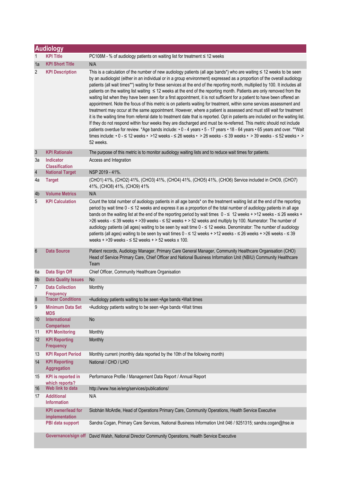|                 | <b>Audiology</b>                            |                                                                                                                                                                                                                                                                                                                                                                                                                                                                                                                                                                                                                                                                                                                                                                                                                                                                                                                                                                                                                                                                                                                                                                                                                                                                                                                                                                                                                                                                       |  |  |
|-----------------|---------------------------------------------|-----------------------------------------------------------------------------------------------------------------------------------------------------------------------------------------------------------------------------------------------------------------------------------------------------------------------------------------------------------------------------------------------------------------------------------------------------------------------------------------------------------------------------------------------------------------------------------------------------------------------------------------------------------------------------------------------------------------------------------------------------------------------------------------------------------------------------------------------------------------------------------------------------------------------------------------------------------------------------------------------------------------------------------------------------------------------------------------------------------------------------------------------------------------------------------------------------------------------------------------------------------------------------------------------------------------------------------------------------------------------------------------------------------------------------------------------------------------------|--|--|
| 1               | <b>KPI Title</b>                            | PC108M - % of audiology patients on waiting list for treatment $\leq$ 12 weeks                                                                                                                                                                                                                                                                                                                                                                                                                                                                                                                                                                                                                                                                                                                                                                                                                                                                                                                                                                                                                                                                                                                                                                                                                                                                                                                                                                                        |  |  |
| 1a              | <b>KPI Short Title</b>                      | N/A                                                                                                                                                                                                                                                                                                                                                                                                                                                                                                                                                                                                                                                                                                                                                                                                                                                                                                                                                                                                                                                                                                                                                                                                                                                                                                                                                                                                                                                                   |  |  |
| 2               | <b>KPI Description</b>                      | This is a calculation of the number of new audiology patients (all age bands*) who are waiting ≤ 12 weeks to be seen<br>by an audiologist (either in an individual or in a group environment) expressed as a proportion of the overall audiology<br>patients (all wait times**) waiting for these services at the end of the reporting month, multiplied by 100. It includes all<br>patients on the waiting list waiting $\leq 12$ weeks at the end of the reporting month. Patients are only removed from the<br>waiting list when they have been seen for a first appointment, it is not sufficient for a patient to have been offered an<br>appointment. Note the focus of this metric is on patients waiting for treatment, within some services assessment and<br>treatment may occur at the same appointment. However, where a patient is assessed and must still wait for treatment<br>it is the waiting time from referral date to treatment date that is reported. Opt in patients are included on the waiting list.<br>If they do not respond within four weeks they are discharged and must be re-referred. This metric should not include<br>patients overdue for review. *Age bands include: • 0 - 4 years • 5 - 17 years • 18 - 64 years • 65 years and over. **Wait<br>times include: $\cdot$ 0 - $\leq$ 12 weeks $\cdot$ >12 weeks - $\leq$ 26 weeks $\cdot$ > 26 weeks - $\leq$ 39 weeks $\cdot$ > 39 weeks - $\leq$ 52 weeks $\cdot$ ><br>52 weeks. |  |  |
| $\sqrt{3}$      | <b>KPI Rationale</b>                        | The purpose of this metric is to monitor audiology waiting lists and to reduce wait times for patients.                                                                                                                                                                                                                                                                                                                                                                                                                                                                                                                                                                                                                                                                                                                                                                                                                                                                                                                                                                                                                                                                                                                                                                                                                                                                                                                                                               |  |  |
| За              | <b>Indicator</b><br><b>Classification</b>   | Access and Integration                                                                                                                                                                                                                                                                                                                                                                                                                                                                                                                                                                                                                                                                                                                                                                                                                                                                                                                                                                                                                                                                                                                                                                                                                                                                                                                                                                                                                                                |  |  |
| $\sqrt{4}$      | <b>National Target</b>                      | NSP 2019 - 41%.                                                                                                                                                                                                                                                                                                                                                                                                                                                                                                                                                                                                                                                                                                                                                                                                                                                                                                                                                                                                                                                                                                                                                                                                                                                                                                                                                                                                                                                       |  |  |
| 4a              | <b>Target</b>                               | (CHO1) 41%, (CHO2) 41%, (CHO3) 41%, (CHO4) 41%, (CHO5) 41%, (CHO6) Service included in CHO9, (CHO7)<br>41%, (CHO8) 41%, (CHO9) 41%                                                                                                                                                                                                                                                                                                                                                                                                                                                                                                                                                                                                                                                                                                                                                                                                                                                                                                                                                                                                                                                                                                                                                                                                                                                                                                                                    |  |  |
| 4b              | <b>Volume Metrics</b>                       | N/A                                                                                                                                                                                                                                                                                                                                                                                                                                                                                                                                                                                                                                                                                                                                                                                                                                                                                                                                                                                                                                                                                                                                                                                                                                                                                                                                                                                                                                                                   |  |  |
| 5               | <b>KPI Calculation</b>                      | Count the total number of audiology patients in all age bands* on the treatment waiting list at the end of the reporting<br>period by wait time 0 - ≤ 12 weeks and express it as a proportion of the total number of audiology patients in all age<br>bands on the waiting list at the end of the reporting period by wait times $0 \le 12$ weeks + >12 weeks - $\le 26$ weeks +<br>>26 weeks - $\leq$ 39 weeks + >39 weeks - $\leq$ 52 weeks + > 52 weeks and multiply by 100. Numerator: The number of<br>audiology patients (all ages) waiting to be seen by wait time 0 - ≤ 12 weeks. Denominator: The number of audiology<br>patients (all ages) waiting to be seen by wait times $0 - 12$ weeks + >12 weeks - $\leq 26$ weeks + >26 weeks - $\leq 39$<br>weeks $+$ >39 weeks - $\le$ 52 weeks + > 52 weeks x 100.                                                                                                                                                                                                                                                                                                                                                                                                                                                                                                                                                                                                                                               |  |  |
| $6\phantom{.}6$ | <b>Data Source</b>                          | Patient records, Audiology Manager, Primary Care General Manager, Community Healthcare Organisation (CHO)<br>Head of Service Primary Care, Chief Officer and National Business Information Unit (NBIU) Community Healthcare<br>Team                                                                                                                                                                                                                                                                                                                                                                                                                                                                                                                                                                                                                                                                                                                                                                                                                                                                                                                                                                                                                                                                                                                                                                                                                                   |  |  |
| 6a              | Data Sign Off                               | Chief Officer, Community Healthcare Organisation                                                                                                                                                                                                                                                                                                                                                                                                                                                                                                                                                                                                                                                                                                                                                                                                                                                                                                                                                                                                                                                                                                                                                                                                                                                                                                                                                                                                                      |  |  |
| 6b              | <b>Data Quality Issues</b>                  | No                                                                                                                                                                                                                                                                                                                                                                                                                                                                                                                                                                                                                                                                                                                                                                                                                                                                                                                                                                                                                                                                                                                                                                                                                                                                                                                                                                                                                                                                    |  |  |
| $\overline{7}$  | <b>Data Collection</b><br><b>Frequency</b>  | Monthly                                                                                                                                                                                                                                                                                                                                                                                                                                                                                                                                                                                                                                                                                                                                                                                                                                                                                                                                                                                                                                                                                                                                                                                                                                                                                                                                                                                                                                                               |  |  |
| 8               | <b>Tracer Conditions</b>                    | •Audiology patients waiting to be seen •Age bands •Wait times                                                                                                                                                                                                                                                                                                                                                                                                                                                                                                                                                                                                                                                                                                                                                                                                                                                                                                                                                                                                                                                                                                                                                                                                                                                                                                                                                                                                         |  |  |
| 9               | <b>Minimum Data Set</b><br><b>MDS</b>       | •Audiology patients waiting to be seen •Age bands •Wait times                                                                                                                                                                                                                                                                                                                                                                                                                                                                                                                                                                                                                                                                                                                                                                                                                                                                                                                                                                                                                                                                                                                                                                                                                                                                                                                                                                                                         |  |  |
| 10              | International<br><b>Comparison</b>          | No                                                                                                                                                                                                                                                                                                                                                                                                                                                                                                                                                                                                                                                                                                                                                                                                                                                                                                                                                                                                                                                                                                                                                                                                                                                                                                                                                                                                                                                                    |  |  |
| 11              | <b>KPI Monitoring</b>                       | Monthly                                                                                                                                                                                                                                                                                                                                                                                                                                                                                                                                                                                                                                                                                                                                                                                                                                                                                                                                                                                                                                                                                                                                                                                                                                                                                                                                                                                                                                                               |  |  |
| 12              | <b>KPI Reporting</b><br><b>Frequency</b>    | Monthly                                                                                                                                                                                                                                                                                                                                                                                                                                                                                                                                                                                                                                                                                                                                                                                                                                                                                                                                                                                                                                                                                                                                                                                                                                                                                                                                                                                                                                                               |  |  |
| 13              | <b>KPI Report Period</b>                    | Monthly current (monthly data reported by the 10th of the following month)                                                                                                                                                                                                                                                                                                                                                                                                                                                                                                                                                                                                                                                                                                                                                                                                                                                                                                                                                                                                                                                                                                                                                                                                                                                                                                                                                                                            |  |  |
| 14              | <b>KPI Reporting</b><br><b>Aggregation</b>  | National / CHO / LHO                                                                                                                                                                                                                                                                                                                                                                                                                                                                                                                                                                                                                                                                                                                                                                                                                                                                                                                                                                                                                                                                                                                                                                                                                                                                                                                                                                                                                                                  |  |  |
| 15              | <b>KPI</b> is reported in<br>which reports? | Performance Profile / Management Data Report / Annual Report                                                                                                                                                                                                                                                                                                                                                                                                                                                                                                                                                                                                                                                                                                                                                                                                                                                                                                                                                                                                                                                                                                                                                                                                                                                                                                                                                                                                          |  |  |
| 16              | Web link to data                            | http://www.hse.ie/eng/services/publications/                                                                                                                                                                                                                                                                                                                                                                                                                                                                                                                                                                                                                                                                                                                                                                                                                                                                                                                                                                                                                                                                                                                                                                                                                                                                                                                                                                                                                          |  |  |
| 17              | <b>Additional</b><br><b>Information</b>     | N/A                                                                                                                                                                                                                                                                                                                                                                                                                                                                                                                                                                                                                                                                                                                                                                                                                                                                                                                                                                                                                                                                                                                                                                                                                                                                                                                                                                                                                                                                   |  |  |
|                 | <b>KPI</b> owner/lead for<br>implementation | Siobhán McArdle, Head of Operations Primary Care, Community Operations, Health Service Executive                                                                                                                                                                                                                                                                                                                                                                                                                                                                                                                                                                                                                                                                                                                                                                                                                                                                                                                                                                                                                                                                                                                                                                                                                                                                                                                                                                      |  |  |
|                 | PBI data support                            | Sandra Cogan, Primary Care Services, National Business Information Unit 046 / 9251315; sandra.cogan@hse.ie                                                                                                                                                                                                                                                                                                                                                                                                                                                                                                                                                                                                                                                                                                                                                                                                                                                                                                                                                                                                                                                                                                                                                                                                                                                                                                                                                            |  |  |
|                 |                                             | Governance/sign off David Walsh, National Director Community Operations, Health Service Executive                                                                                                                                                                                                                                                                                                                                                                                                                                                                                                                                                                                                                                                                                                                                                                                                                                                                                                                                                                                                                                                                                                                                                                                                                                                                                                                                                                     |  |  |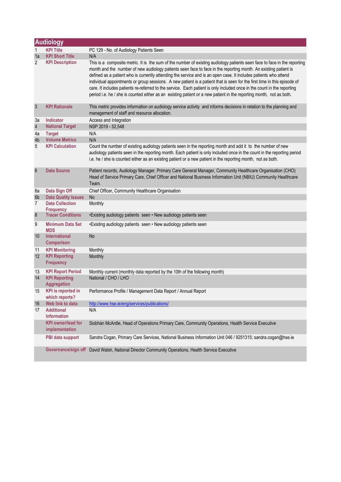|                 | <b>Audiology</b>                            |                                                                                                                                                                                                                                                                                                                                                                                                                                                                                                                                                                                                                                                                                                                                                |  |  |
|-----------------|---------------------------------------------|------------------------------------------------------------------------------------------------------------------------------------------------------------------------------------------------------------------------------------------------------------------------------------------------------------------------------------------------------------------------------------------------------------------------------------------------------------------------------------------------------------------------------------------------------------------------------------------------------------------------------------------------------------------------------------------------------------------------------------------------|--|--|
| 1               | <b>KPI Title</b>                            | PC 129 - No. of Audiology Patients Seen                                                                                                                                                                                                                                                                                                                                                                                                                                                                                                                                                                                                                                                                                                        |  |  |
| 1a              | <b>KPI Short Title</b>                      | N/A                                                                                                                                                                                                                                                                                                                                                                                                                                                                                                                                                                                                                                                                                                                                            |  |  |
| $\overline{2}$  | <b>KPI Description</b>                      | This is a composite metric. It is the sum of the number of existing audiology patients seen face to face in the reporting<br>month and the number of new audiology patients seen face to face in the reporting month. An existing patient is<br>defined as a patient who is currently attending the service and is an open case. It includes patients who attend<br>individual appointments or group sessions. A new patient is a patient that is seen for the first time in this episode of<br>care. It includes patients re-referred to the service. Each patient is only included once in the count in the reporting<br>period i.e. he / she is counted either as an existing patient or a new patient in the reporting month, not as both. |  |  |
| $\mathfrak{Z}$  | <b>KPI Rationale</b>                        | This metric provides information on audiology service activity and informs decisions in relation to the planning and<br>management of staff and resource allocation.                                                                                                                                                                                                                                                                                                                                                                                                                                                                                                                                                                           |  |  |
| За              | Indicator                                   | Access and Integration                                                                                                                                                                                                                                                                                                                                                                                                                                                                                                                                                                                                                                                                                                                         |  |  |
| $\overline{4}$  | <b>National Target</b>                      | NSP 2019 - 52,548                                                                                                                                                                                                                                                                                                                                                                                                                                                                                                                                                                                                                                                                                                                              |  |  |
| 4a              | <b>Target</b>                               | N/A                                                                                                                                                                                                                                                                                                                                                                                                                                                                                                                                                                                                                                                                                                                                            |  |  |
| 4b              | <b>Volume Metrics</b>                       | N/A                                                                                                                                                                                                                                                                                                                                                                                                                                                                                                                                                                                                                                                                                                                                            |  |  |
| 5               | <b>KPI Calculation</b>                      | Count the number of existing audiology patients seen in the reporting month and add it to the number of new<br>audiology patients seen in the reporting month. Each patient is only included once in the count in the reporting period<br>i.e. he / she is counted either as an existing patient or a new patient in the reporting month, not as both.                                                                                                                                                                                                                                                                                                                                                                                         |  |  |
| $6\phantom{1}6$ | <b>Data Source</b>                          | Patient records, Audiology Manager, Primary Care General Manager, Community Healthcare Organisation (CHO)<br>Head of Service Primary Care, Chief Officer and National Business Information Unit (NBIU) Community Healthcare<br>Team.                                                                                                                                                                                                                                                                                                                                                                                                                                                                                                           |  |  |
| 6a              | Data Sign Off                               | Chief Officer, Community Healthcare Organisation                                                                                                                                                                                                                                                                                                                                                                                                                                                                                                                                                                                                                                                                                               |  |  |
| 6b              | <b>Data Quality Issues</b>                  | <b>No</b>                                                                                                                                                                                                                                                                                                                                                                                                                                                                                                                                                                                                                                                                                                                                      |  |  |
| $\overline{7}$  | <b>Data Collection</b><br><b>Frequency</b>  | Monthly                                                                                                                                                                                                                                                                                                                                                                                                                                                                                                                                                                                                                                                                                                                                        |  |  |
| $\bf 8$         | <b>Tracer Conditions</b>                    | •Existing audiology patients seen • New audiology patients seen                                                                                                                                                                                                                                                                                                                                                                                                                                                                                                                                                                                                                                                                                |  |  |
| 9               | <b>Minimum Data Set</b><br><b>MDS</b>       | •Existing audiology patients seen • New audiology patients seen                                                                                                                                                                                                                                                                                                                                                                                                                                                                                                                                                                                                                                                                                |  |  |
| 10              | <b>International</b><br><b>Comparison</b>   | No                                                                                                                                                                                                                                                                                                                                                                                                                                                                                                                                                                                                                                                                                                                                             |  |  |
| 11              | <b>KPI Monitoring</b>                       | Monthly                                                                                                                                                                                                                                                                                                                                                                                                                                                                                                                                                                                                                                                                                                                                        |  |  |
| 12              | <b>KPI Reporting</b><br><b>Frequency</b>    | Monthly                                                                                                                                                                                                                                                                                                                                                                                                                                                                                                                                                                                                                                                                                                                                        |  |  |
| 13              | <b>KPI Report Period</b>                    | Monthly current (monthly data reported by the 10th of the following month)                                                                                                                                                                                                                                                                                                                                                                                                                                                                                                                                                                                                                                                                     |  |  |
| 14              | <b>KPI Reporting</b><br>Aggregation         | National / CHO / LHO                                                                                                                                                                                                                                                                                                                                                                                                                                                                                                                                                                                                                                                                                                                           |  |  |
| 15              | <b>KPI</b> is reported in<br>which reports? | Performance Profile / Management Data Report / Annual Report                                                                                                                                                                                                                                                                                                                                                                                                                                                                                                                                                                                                                                                                                   |  |  |
| 16              | Web link to data                            | http://www.hse.ie/eng/services/publications/                                                                                                                                                                                                                                                                                                                                                                                                                                                                                                                                                                                                                                                                                                   |  |  |
| 17              | <b>Additional</b><br><b>Information</b>     | N/A                                                                                                                                                                                                                                                                                                                                                                                                                                                                                                                                                                                                                                                                                                                                            |  |  |
|                 | <b>KPI owner/lead for</b><br>implementation | Siobhán McArdle, Head of Operations Primary Care, Community Operations, Health Service Executive                                                                                                                                                                                                                                                                                                                                                                                                                                                                                                                                                                                                                                               |  |  |
|                 | PBI data support                            | Sandra Cogan, Primary Care Services, National Business Information Unit 046 / 9251315; sandra.cogan@hse.ie                                                                                                                                                                                                                                                                                                                                                                                                                                                                                                                                                                                                                                     |  |  |
|                 | Governance/sign off                         | David Walsh, National Director Community Operations, Health Service Executive                                                                                                                                                                                                                                                                                                                                                                                                                                                                                                                                                                                                                                                                  |  |  |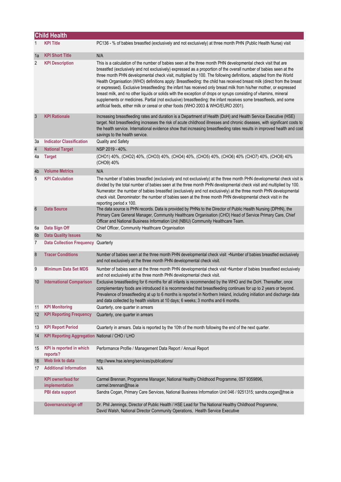|                 | <b>Child Health</b>                            |                                                                                                                                                                                                                                                                                                                                                                                                                                                                                                                                                                                                                                                                                                                                                                                                                                                                                                                                    |
|-----------------|------------------------------------------------|------------------------------------------------------------------------------------------------------------------------------------------------------------------------------------------------------------------------------------------------------------------------------------------------------------------------------------------------------------------------------------------------------------------------------------------------------------------------------------------------------------------------------------------------------------------------------------------------------------------------------------------------------------------------------------------------------------------------------------------------------------------------------------------------------------------------------------------------------------------------------------------------------------------------------------|
|                 | <b>KPI Title</b>                               | PC136 - % of babies breastfed (exclusively and not exclusively) at three month PHN (Public Health Nurse) visit                                                                                                                                                                                                                                                                                                                                                                                                                                                                                                                                                                                                                                                                                                                                                                                                                     |
| 1a              | <b>KPI Short Title</b>                         | N/A                                                                                                                                                                                                                                                                                                                                                                                                                                                                                                                                                                                                                                                                                                                                                                                                                                                                                                                                |
| 2               | <b>KPI Description</b>                         | This is a calculation of the number of babies seen at the three month PHN developmental check visit that are<br>breastfed (exclusively and not exclusively) expressed as a proportion of the overall number of babies seen at the<br>three month PHN developmental check visit, multiplied by 100. The following definitions, adapted from the World<br>Health Organisation (WHO) definitions apply: Breastfeeding: the child has received breast milk (direct from the breast<br>or expressed). Exclusive breastfeeding: the infant has received only breast milk from his/her mother, or expressed<br>breast milk, and no other liquids or solids with the exception of drops or syrups consisting of vitamins, mineral<br>supplements or medicines. Partial (not exclusive) breastfeeding: the infant receives some breastfeeds, and some<br>artificial feeds, either milk or cereal or other foods (WHO 2003 & WHO/EURO 2001). |
| 3               | <b>KPI Rationale</b>                           | Increasing breastfeeding rates and duration is a Department of Health (DoH) and Health Service Executive (HSE)<br>target. Not breastfeeding increases the risk of acute childhood illnesses and chronic diseases, with significant costs to<br>the health service. International evidence show that increasing breastfeeding rates results in improved health and cost<br>savings to the health service.                                                                                                                                                                                                                                                                                                                                                                                                                                                                                                                           |
| За              | <b>Indicator Classification</b>                | Quality and Safety                                                                                                                                                                                                                                                                                                                                                                                                                                                                                                                                                                                                                                                                                                                                                                                                                                                                                                                 |
| $\overline{4}$  | <b>National Target</b>                         | NSP 2019 - 40%.                                                                                                                                                                                                                                                                                                                                                                                                                                                                                                                                                                                                                                                                                                                                                                                                                                                                                                                    |
| 4a              | <b>Target</b>                                  | (CHO1) 40%, (CHO2) 40%, (CHO3) 40%, (CHO4) 40%, (CHO5) 40%, (CHO6) 40% (CHO7) 40%, (CHO8) 40%<br>(CHO9) 40%                                                                                                                                                                                                                                                                                                                                                                                                                                                                                                                                                                                                                                                                                                                                                                                                                        |
| 4 <sub>b</sub>  | <b>Volume Metrics</b>                          | N/A                                                                                                                                                                                                                                                                                                                                                                                                                                                                                                                                                                                                                                                                                                                                                                                                                                                                                                                                |
| 5               | <b>KPI Calculation</b>                         | The number of babies breastfed (exclusively and not exclusively) at the three month PHN developmental check visit is<br>divided by the total number of babies seen at the three month PHN developmental check visit and multiplied by 100.<br>Numerator: the number of babies breastfed (exclusively and not exclusively) at the three month PHN developmental<br>check visit. Denominator: the number of babies seen at the three month PHN developmental check visit in the<br>reporting period x 100.                                                                                                                                                                                                                                                                                                                                                                                                                           |
| $6\phantom{1}6$ | <b>Data Source</b>                             | The data source is PHN records. Data is provided by PHNs to the Director of Public Health Nursing (DPHN), the<br>Primary Care General Manager, Community Healthcare Organisation (CHO) Head of Service Primary Care, Chief<br>Officer and National Business Information Unit (NBIU) Community Healthcare Team.                                                                                                                                                                                                                                                                                                                                                                                                                                                                                                                                                                                                                     |
| 6а              | Data Sign Off                                  | Chief Officer, Community Healthcare Organisation                                                                                                                                                                                                                                                                                                                                                                                                                                                                                                                                                                                                                                                                                                                                                                                                                                                                                   |
| 6 <sub>b</sub>  | <b>Data Quality Issues</b>                     | No                                                                                                                                                                                                                                                                                                                                                                                                                                                                                                                                                                                                                                                                                                                                                                                                                                                                                                                                 |
| 7               | Data Collection Frequency Quarterly            |                                                                                                                                                                                                                                                                                                                                                                                                                                                                                                                                                                                                                                                                                                                                                                                                                                                                                                                                    |
| $\bf 8$         | <b>Tracer Conditions</b>                       | Number of babies seen at the three month PHN developmental check visit .Number of babies breastfed exclusively<br>and not exclusively at the three month PHN developmental check visit.                                                                                                                                                                                                                                                                                                                                                                                                                                                                                                                                                                                                                                                                                                                                            |
| 9               | <b>Minimum Data Set MDS</b>                    | Number of babies seen at the three month PHN developmental check visit •Number of babies breastfeed exclusively<br>and not exclusively at the three month PHN developmental check visit.                                                                                                                                                                                                                                                                                                                                                                                                                                                                                                                                                                                                                                                                                                                                           |
| 10              | <b>International Comparison</b>                | Exclusive breastfeeding for 6 months for all infants is recommended by the WHO and the DoH. Thereafter, once<br>complementary foods are introduced it is recommended that breastfeeding continues for up to 2 years or beyond.<br>Prevalence of breastfeeding at up to 6 months is reported in Northern Ireland, including initiation and discharge data<br>and data collected by health visitors at 10 days; 6 weeks; 3 months and 6 months.                                                                                                                                                                                                                                                                                                                                                                                                                                                                                      |
| 11              | <b>KPI Monitoring</b>                          | Quarterly, one quarter in arrears                                                                                                                                                                                                                                                                                                                                                                                                                                                                                                                                                                                                                                                                                                                                                                                                                                                                                                  |
| 12              | <b>KPI Reporting Frequency</b>                 | Quarterly, one quarter in arrears                                                                                                                                                                                                                                                                                                                                                                                                                                                                                                                                                                                                                                                                                                                                                                                                                                                                                                  |
| 13              | <b>KPI Report Period</b>                       | Quarterly in arrears. Data is reported by the 10th of the month following the end of the next quarter.                                                                                                                                                                                                                                                                                                                                                                                                                                                                                                                                                                                                                                                                                                                                                                                                                             |
| 14              | KPI Reporting Aggregation National / CHO / LHO |                                                                                                                                                                                                                                                                                                                                                                                                                                                                                                                                                                                                                                                                                                                                                                                                                                                                                                                                    |
| 15              | KPI is reported in which<br>reports?           | Performance Profile / Management Data Report / Annual Report                                                                                                                                                                                                                                                                                                                                                                                                                                                                                                                                                                                                                                                                                                                                                                                                                                                                       |
| 16              | Web link to data                               | http://www.hse.ie/eng/services/publications/                                                                                                                                                                                                                                                                                                                                                                                                                                                                                                                                                                                                                                                                                                                                                                                                                                                                                       |
| 17              | <b>Additional Information</b>                  | N/A                                                                                                                                                                                                                                                                                                                                                                                                                                                                                                                                                                                                                                                                                                                                                                                                                                                                                                                                |
|                 | <b>KPI</b> owner/lead for<br>implementation    | Carmel Brennan, Programme Manager, National Healthy Childhood Programme, 057 9359896,<br>carmel.brennan@hse.ie                                                                                                                                                                                                                                                                                                                                                                                                                                                                                                                                                                                                                                                                                                                                                                                                                     |
|                 | PBI data support                               | Sandra Cogan, Primary Care Services, National Business Information Unit 046 / 9251315; sandra.cogan@hse.ie                                                                                                                                                                                                                                                                                                                                                                                                                                                                                                                                                                                                                                                                                                                                                                                                                         |
|                 | Governance/sign off                            | Dr. Phil Jennings, Director of Public Health / HSE Lead for The National Healthy Childhood Programme,<br>David Walsh, National Director Community Operations, Health Service Executive                                                                                                                                                                                                                                                                                                                                                                                                                                                                                                                                                                                                                                                                                                                                             |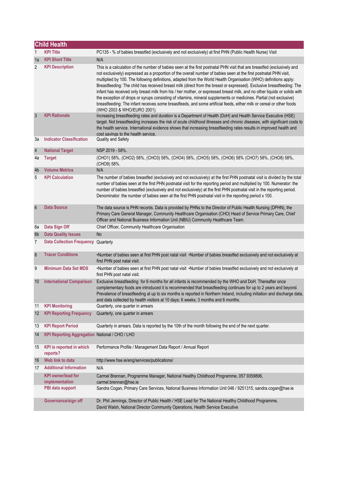|                       | <b>Child Health</b>                                     |                                                                                                                                                                                                                                                                                                                                                                                                                                                                                                                                                                                                                                                                                                                                                                                                                                                                                                      |  |
|-----------------------|---------------------------------------------------------|------------------------------------------------------------------------------------------------------------------------------------------------------------------------------------------------------------------------------------------------------------------------------------------------------------------------------------------------------------------------------------------------------------------------------------------------------------------------------------------------------------------------------------------------------------------------------------------------------------------------------------------------------------------------------------------------------------------------------------------------------------------------------------------------------------------------------------------------------------------------------------------------------|--|
| 1                     | <b>KPI Title</b>                                        | PC135 - % of babies breastfed (exclusively and not exclusively) at first PHN (Public Health Nurse) Visit                                                                                                                                                                                                                                                                                                                                                                                                                                                                                                                                                                                                                                                                                                                                                                                             |  |
| 1a                    | <b>KPI Short Title</b>                                  | N/A                                                                                                                                                                                                                                                                                                                                                                                                                                                                                                                                                                                                                                                                                                                                                                                                                                                                                                  |  |
| 2                     | <b>KPI Description</b>                                  | This is a calculation of the number of babies seen at the first postnatal PHN visit that are breastfed (exclusively and<br>not exclusively) expressed as a proportion of the overall number of babies seen at the first postnatal PHN visit,<br>multiplied by 100. The following definitions, adapted from the World Health Organisation (WHO) definitions apply:<br>Breastfeeding: The child has received breast milk (direct from the breast or expressed). Exclusive breastfeeding: The<br>infant has received only breast milk from his / her mother, or expressed breast milk, and no other liquids or solids with<br>the exception of drops or syrups consisting of vitamins, mineral supplements or medicines. Partial (not exclusive)<br>breastfeeding: The infant receives some breastfeeds, and some artificial feeds, either milk or cereal or other foods<br>(WHO 2003 & WHO/EURO 2001). |  |
| 3                     | <b>KPI Rationale</b>                                    | Increasing breastfeeding rates and duration is a Department of Health (DoH) and Health Service Executive (HSE)<br>target. Not breastfeeding increases the risk of acute childhood illnesses and chronic diseases, with significant costs to<br>the health service. International evidence shows that increasing breastfeeding rates results in improved health and<br>cost savings to the health service.                                                                                                                                                                                                                                                                                                                                                                                                                                                                                            |  |
| За                    | <b>Indicator Classification</b>                         | Quality and Safety                                                                                                                                                                                                                                                                                                                                                                                                                                                                                                                                                                                                                                                                                                                                                                                                                                                                                   |  |
| $\sqrt{4}$            | <b>National Target</b>                                  | NSP 2019 - 58%.                                                                                                                                                                                                                                                                                                                                                                                                                                                                                                                                                                                                                                                                                                                                                                                                                                                                                      |  |
| 4a                    | <b>Target</b>                                           | (CHO1) 58%, (CHO2) 58%, (CHO3) 58%, (CHO4) 58%, (CHO5) 58%, (CHO6) 58% (CHO7) 58%, (CHO8) 58%,<br>(CHO9) 58%.                                                                                                                                                                                                                                                                                                                                                                                                                                                                                                                                                                                                                                                                                                                                                                                        |  |
| 4b                    | <b>Volume Metrics</b>                                   | N/A                                                                                                                                                                                                                                                                                                                                                                                                                                                                                                                                                                                                                                                                                                                                                                                                                                                                                                  |  |
| 5                     | <b>KPI Calculation</b>                                  | The number of babies breastfed (exclusively and not exclusively) at the first PHN postnatal visit is divided by the total<br>number of babies seen at the first PHN postnatal visit for the reporting period and multiplied by 100. Numerator: the<br>number of babies breastfed (exclusively and not exclusively) at the first PHN postnatal visit in the reporting period.<br>Denominator: the number of babies seen at the first PHN postnatal visit in the reporting period x 100.                                                                                                                                                                                                                                                                                                                                                                                                               |  |
| $6\phantom{1}6$       | <b>Data Source</b>                                      | The data source is PHN records. Data is provided by PHNs to the Director of Public Health Nursing (DPHN), the<br>Primary Care General Manager, Community Healthcare Organisation (CHO) Head of Service Primary Care, Chief<br>Officer and National Business Information Unit (NBIU) Community Healthcare Team.                                                                                                                                                                                                                                                                                                                                                                                                                                                                                                                                                                                       |  |
| 6a                    | Data Sign Off                                           | Chief Officer, Community Healthcare Organisation                                                                                                                                                                                                                                                                                                                                                                                                                                                                                                                                                                                                                                                                                                                                                                                                                                                     |  |
| 6 <sub>b</sub>        | <b>Data Quality Issues</b>                              | <b>No</b>                                                                                                                                                                                                                                                                                                                                                                                                                                                                                                                                                                                                                                                                                                                                                                                                                                                                                            |  |
| 7                     | Data Collection Frequency Quarterly                     |                                                                                                                                                                                                                                                                                                                                                                                                                                                                                                                                                                                                                                                                                                                                                                                                                                                                                                      |  |
| $\boldsymbol{\delta}$ | <b>Tracer Conditions</b>                                | •Number of babies seen at first PHN post natal visit •Number of babies breastfed exclusively and not exclusively at<br>first PHN post natal visit.                                                                                                                                                                                                                                                                                                                                                                                                                                                                                                                                                                                                                                                                                                                                                   |  |
| 9                     | <b>Minimum Data Set MDS</b>                             | •Number of babies seen at first PHN post natal visit •Number of babies breastfed exclusively and not exclusively at<br>first PHN post natal visit.                                                                                                                                                                                                                                                                                                                                                                                                                                                                                                                                                                                                                                                                                                                                                   |  |
| 10                    | <b>International Comparison</b>                         | Exclusive breastfeeding for 6 months for all infants is recommended by the WHO and DoH. Thereafter once<br>complementary foods are introduced it is recommended that breastfeeding continues for up to 2 years and beyond.<br>Prevalence of breastfeeding at up to six months is reported in Northern Ireland, including initiation and discharge data,<br>and data collected by health visitors at 10 days; 6 weeks; 3 months and 6 months.                                                                                                                                                                                                                                                                                                                                                                                                                                                         |  |
| 11                    | <b>KPI Monitoring</b><br><b>KPI Reporting Frequency</b> | Quarterly, one quarter in arrears                                                                                                                                                                                                                                                                                                                                                                                                                                                                                                                                                                                                                                                                                                                                                                                                                                                                    |  |
| 12                    |                                                         | Quarterly, one quarter in arrears                                                                                                                                                                                                                                                                                                                                                                                                                                                                                                                                                                                                                                                                                                                                                                                                                                                                    |  |
| 13                    | <b>KPI Report Period</b>                                | Quarterly in arrears. Data is reported by the 10th of the month following the end of the next quarter.                                                                                                                                                                                                                                                                                                                                                                                                                                                                                                                                                                                                                                                                                                                                                                                               |  |
| 14                    | KPI Reporting Aggregation National / CHO / LHO          |                                                                                                                                                                                                                                                                                                                                                                                                                                                                                                                                                                                                                                                                                                                                                                                                                                                                                                      |  |
| 15                    | <b>KPI</b> is reported in which<br>reports?             | Performance Profile / Management Data Report / Annual Report                                                                                                                                                                                                                                                                                                                                                                                                                                                                                                                                                                                                                                                                                                                                                                                                                                         |  |
| 16                    | Web link to data                                        | http://www.hse.ie/eng/services/publications/                                                                                                                                                                                                                                                                                                                                                                                                                                                                                                                                                                                                                                                                                                                                                                                                                                                         |  |
| 17                    | <b>Additional Information</b>                           | N/A                                                                                                                                                                                                                                                                                                                                                                                                                                                                                                                                                                                                                                                                                                                                                                                                                                                                                                  |  |
|                       | <b>KPI</b> owner/lead for<br>implementation             | Carmel Brennan, Programme Manager, National Healthy Childhood Programme, 057 9359896,<br>carmel.brennan@hse.ie                                                                                                                                                                                                                                                                                                                                                                                                                                                                                                                                                                                                                                                                                                                                                                                       |  |
|                       | PBI data support                                        | Sandra Cogan, Primary Care Services, National Business Information Unit 046 / 9251315; sandra.cogan@hse.ie                                                                                                                                                                                                                                                                                                                                                                                                                                                                                                                                                                                                                                                                                                                                                                                           |  |
|                       | Governance/sign off                                     | Dr. Phil Jennings, Director of Public Health / HSE Lead for The National Healthy Childhood Programme,<br>David Walsh, National Director Community Operations, Health Service Executive                                                                                                                                                                                                                                                                                                                                                                                                                                                                                                                                                                                                                                                                                                               |  |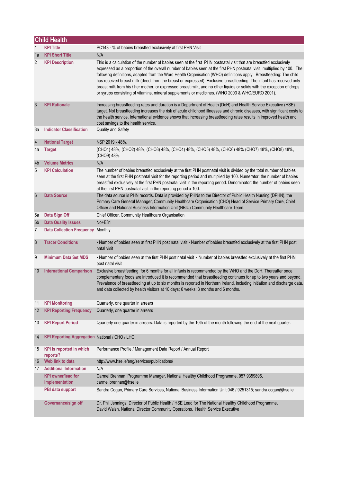|                         | <b>Child Health</b>                            |                                                                                                                                                                                                                                                                                                                                                                                                                                                                                                                                                                                                                                                                                                                            |
|-------------------------|------------------------------------------------|----------------------------------------------------------------------------------------------------------------------------------------------------------------------------------------------------------------------------------------------------------------------------------------------------------------------------------------------------------------------------------------------------------------------------------------------------------------------------------------------------------------------------------------------------------------------------------------------------------------------------------------------------------------------------------------------------------------------------|
| 1                       | <b>KPI Title</b>                               | PC143 - % of babies breastfed exclusively at first PHN Visit                                                                                                                                                                                                                                                                                                                                                                                                                                                                                                                                                                                                                                                               |
| 1a                      | <b>KPI Short Title</b>                         | N/A                                                                                                                                                                                                                                                                                                                                                                                                                                                                                                                                                                                                                                                                                                                        |
| 2                       | <b>KPI Description</b>                         | This is a calculation of the number of babies seen at the first PHN postnatal visit that are breastfed exclusively<br>expressed as a proportion of the overall number of babies seen at the first PHN postnatal visit, multiplied by 100. The<br>following definitions, adapted from the Word Health Organisation (WHO) definitions apply: Breastfeeding: The child<br>has received breast milk (direct from the breast or expressed). Exclusive breastfeeding: The infant has received only<br>breast milk from his / her mother, or expressed breast milk, and no other liquids or solids with the exception of drops<br>or syrups consisting of vitamins, mineral supplements or medicines. (WHO 2003 & WHO/EURO 2001). |
| 3                       | <b>KPI Rationale</b>                           | Increasing breastfeeding rates and duration is a Department of Health (DoH) and Health Service Executive (HSE)<br>target. Not breastfeeding increases the risk of acute childhood illnesses and chronic diseases, with significant costs to<br>the health service. International evidence shows that increasing breastfeeding rates results in improved health and<br>cost savings to the health service.                                                                                                                                                                                                                                                                                                                  |
| За                      | <b>Indicator Classification</b>                | Quality and Safety                                                                                                                                                                                                                                                                                                                                                                                                                                                                                                                                                                                                                                                                                                         |
| $\overline{\mathbf{4}}$ | <b>National Target</b>                         | NSP 2019 - 48%.                                                                                                                                                                                                                                                                                                                                                                                                                                                                                                                                                                                                                                                                                                            |
| 4a                      | <b>Target</b>                                  | (CHO1) 48%, (CHO2) 48%, (CHO3) 48%, (CHO4) 48%, (CHO5) 48%, (CHO6) 48% (CHO7) 48%, (CHO8) 48%,<br>(CHO9) 48%.                                                                                                                                                                                                                                                                                                                                                                                                                                                                                                                                                                                                              |
| 4b                      | <b>Volume Metrics</b>                          | N/A                                                                                                                                                                                                                                                                                                                                                                                                                                                                                                                                                                                                                                                                                                                        |
| 5                       | <b>KPI Calculation</b>                         | The number of babies breastfed exclusively at the first PHN postnatal visit is divided by the total number of babies<br>seen at the first PHN postnatal visit for the reporting period and multiplied by 100. Numerator: the number of babies<br>breastfed exclusively at the first PHN postnatal visit in the reporting period. Denominator: the number of babies seen<br>at the first PHN postnatal visit in the reporting period x 100.                                                                                                                                                                                                                                                                                 |
| $6\phantom{1}$          | <b>Data Source</b>                             | The data source is PHN records. Data is provided by PHNs to the Director of Public Health Nursing (DPHN), the<br>Primary Care General Manager, Community Healthcare Organisation (CHO) Head of Service Primary Care, Chief<br>Officer and National Business Information Unit (NBIU) Community Healthcare Team.                                                                                                                                                                                                                                                                                                                                                                                                             |
| 6а                      | Data Sign Off                                  | Chief Officer, Community Healthcare Organisation                                                                                                                                                                                                                                                                                                                                                                                                                                                                                                                                                                                                                                                                           |
| 6 <sub>b</sub>          | <b>Data Quality Issues</b>                     | No+E81                                                                                                                                                                                                                                                                                                                                                                                                                                                                                                                                                                                                                                                                                                                     |
| 7                       | Data Collection Frequency Monthly              |                                                                                                                                                                                                                                                                                                                                                                                                                                                                                                                                                                                                                                                                                                                            |
| $\bf 8$                 | <b>Tracer Conditions</b>                       | . Number of babies seen at first PHN post natal visit . Number of babies breastfed exclusively at the first PHN post<br>natal visit                                                                                                                                                                                                                                                                                                                                                                                                                                                                                                                                                                                        |
| 9                       | <b>Minimum Data Set MDS</b>                    | . Number of babies seen at the first PHN post natal visit . Number of babies breastfed exclusively at the first PHN<br>post natal visit                                                                                                                                                                                                                                                                                                                                                                                                                                                                                                                                                                                    |
| 10                      | <b>International Comparison</b>                | Exclusive breastfeeding for 6 months for all infants is recommended by the WHO and the DoH. Thereafter once<br>complementary foods are introduced it is recommended that breastfeeding continues for up to two years and beyond.<br>Prevalence of breastfeeding at up to six months is reported in Northern Ireland, including initiation and discharge data,<br>and data collected by health visitors at 10 days; 6 weeks; 3 months and 6 months.                                                                                                                                                                                                                                                                         |
| 11                      | <b>KPI Monitoring</b>                          | Quarterly, one quarter in arrears                                                                                                                                                                                                                                                                                                                                                                                                                                                                                                                                                                                                                                                                                          |
| 12                      | <b>KPI Reporting Frequency</b>                 | Quarterly, one quarter in arrears                                                                                                                                                                                                                                                                                                                                                                                                                                                                                                                                                                                                                                                                                          |
| 13                      | <b>KPI Report Period</b>                       | Quarterly one quarter in arrears. Data is reported by the 10th of the month following the end of the next quarter.                                                                                                                                                                                                                                                                                                                                                                                                                                                                                                                                                                                                         |
| 14                      | KPI Reporting Aggregation National / CHO / LHO |                                                                                                                                                                                                                                                                                                                                                                                                                                                                                                                                                                                                                                                                                                                            |
| 15                      | KPI is reported in which<br>reports?           | Performance Profile / Management Data Report / Annual Report                                                                                                                                                                                                                                                                                                                                                                                                                                                                                                                                                                                                                                                               |
| 16                      | Web link to data                               | http://www.hse.ie/eng/services/publications/                                                                                                                                                                                                                                                                                                                                                                                                                                                                                                                                                                                                                                                                               |
| 17                      | <b>Additional Information</b>                  | N/A                                                                                                                                                                                                                                                                                                                                                                                                                                                                                                                                                                                                                                                                                                                        |
|                         | <b>KPI owner/lead for</b><br>implementation    | Carmel Brennan, Programme Manager, National Healthy Childhood Programme, 057 9359896,<br>carmel.brennan@hse.ie                                                                                                                                                                                                                                                                                                                                                                                                                                                                                                                                                                                                             |
|                         | PBI data support                               | Sandra Cogan, Primary Care Services, National Business Information Unit 046 / 9251315; sandra.cogan@hse.ie                                                                                                                                                                                                                                                                                                                                                                                                                                                                                                                                                                                                                 |
|                         | Governance/sign off                            | Dr. Phil Jennings, Director of Public Health / HSE Lead for The National Healthy Childhood Programme,<br>David Walsh, National Director Community Operations, Health Service Executive                                                                                                                                                                                                                                                                                                                                                                                                                                                                                                                                     |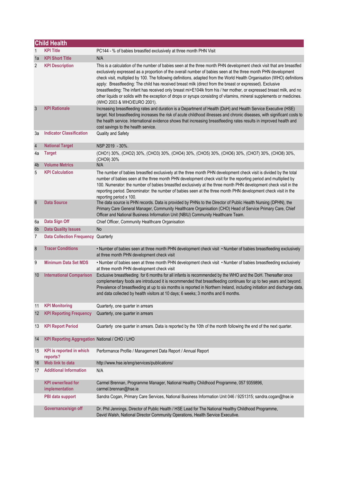|                          | <b>Child Health</b>                            |                                                                                                                                                                                                                                                                                                                                                                                                                                                                                                                                                                                                                                                                                                                                                                 |  |  |
|--------------------------|------------------------------------------------|-----------------------------------------------------------------------------------------------------------------------------------------------------------------------------------------------------------------------------------------------------------------------------------------------------------------------------------------------------------------------------------------------------------------------------------------------------------------------------------------------------------------------------------------------------------------------------------------------------------------------------------------------------------------------------------------------------------------------------------------------------------------|--|--|
| 1                        | <b>KPI Title</b>                               | PC144 - % of babies breastfed exclusively at three month PHN Visit                                                                                                                                                                                                                                                                                                                                                                                                                                                                                                                                                                                                                                                                                              |  |  |
| 1a                       | <b>KPI Short Title</b>                         | N/A                                                                                                                                                                                                                                                                                                                                                                                                                                                                                                                                                                                                                                                                                                                                                             |  |  |
| 2                        | <b>KPI Description</b>                         | This is a calculation of the number of babies seen at the three month PHN development check visit that are breastfed<br>exclusively expressed as a proportion of the overall number of babies seen at the three month PHN development<br>check visit, multiplied by 100. The following definitions, adapted from the World Health Organisation (WHO) definitions<br>apply: Breastfeeding: The child has received breast milk (direct from the breast or expressed). Exclusive<br>breastfeeding: The infant has received only breast mi+E104lk from his / her mother, or expressed breast milk, and no<br>other liquids or solids with the exception of drops or syrups consisting of vitamins, mineral supplements or medicines.<br>(WHO 2003 & WHO/EURO 2001). |  |  |
| 3                        | <b>KPI Rationale</b>                           | Increasing breastfeeding rates and duration is a Department of Health (DoH) and Health Service Executive (HSE)<br>target. Not breastfeeding increases the risk of acute childhood illnesses and chronic diseases, with significant costs to<br>the health service. International evidence shows that increasing breastfeeding rates results in improved health and<br>cost savings to the health service.                                                                                                                                                                                                                                                                                                                                                       |  |  |
| За                       | <b>Indicator Classification</b>                | <b>Quality and Safety</b>                                                                                                                                                                                                                                                                                                                                                                                                                                                                                                                                                                                                                                                                                                                                       |  |  |
| $\overline{\mathcal{L}}$ | <b>National Target</b>                         | NSP 2019 - 30%.                                                                                                                                                                                                                                                                                                                                                                                                                                                                                                                                                                                                                                                                                                                                                 |  |  |
| 4a                       | <b>Target</b>                                  | (CHO1) 30%, (CHO2) 30%, (CHO3) 30%, (CHO4) 30%, (CHO5) 30%, (CHO6) 30%, (CHO7) 30%, (CHO8) 30%,<br>(CHO9) 30%                                                                                                                                                                                                                                                                                                                                                                                                                                                                                                                                                                                                                                                   |  |  |
| 4b                       | <b>Volume Metrics</b>                          | N/A                                                                                                                                                                                                                                                                                                                                                                                                                                                                                                                                                                                                                                                                                                                                                             |  |  |
| 5                        | <b>KPI Calculation</b>                         | The number of babies breastfed exclusively at the three month PHN development check visit is divided by the total<br>number of babies seen at the three month PHN development check visit for the reporting period and multiplied by<br>100. Numerator: the number of babies breastfed exclusively at the three month PHN development check visit in the<br>reporting period. Denominator: the number of babies seen at the three month PHN development check visit in the<br>reporting period x 100.                                                                                                                                                                                                                                                           |  |  |
| $6\overline{6}$          | <b>Data Source</b>                             | The data source is PHN records. Data is provided by PHNs to the Director of Public Health Nursing (DPHN), the<br>Primary Care General Manager, Community Healthcare Organisation (CHO) Head of Service Primary Care, Chief<br>Officer and National Business Information Unit (NBIU) Community Healthcare Team.                                                                                                                                                                                                                                                                                                                                                                                                                                                  |  |  |
| 6а                       | Data Sign Off                                  | Chief Officer, Community Healthcare Organisation                                                                                                                                                                                                                                                                                                                                                                                                                                                                                                                                                                                                                                                                                                                |  |  |
| 6 <sub>b</sub>           | <b>Data Quality Issues</b>                     | <b>No</b>                                                                                                                                                                                                                                                                                                                                                                                                                                                                                                                                                                                                                                                                                                                                                       |  |  |
| 7                        | Data Collection Frequency Quarterly            |                                                                                                                                                                                                                                                                                                                                                                                                                                                                                                                                                                                                                                                                                                                                                                 |  |  |
| $\bf 8$                  | <b>Tracer Conditions</b>                       | . Number of babies seen at three month PHN development check visit . Number of babies breastfeeding exclusively<br>at three month PHN development check visit                                                                                                                                                                                                                                                                                                                                                                                                                                                                                                                                                                                                   |  |  |
| 9                        | <b>Minimum Data Set MDS</b>                    | . Number of babies seen at three month PHN development check visit . Number of babies breastfeeding exclusively<br>at three month PHN development check visit                                                                                                                                                                                                                                                                                                                                                                                                                                                                                                                                                                                                   |  |  |
| 10                       | <b>International Comparison</b>                | Exclusive breastfeeding for 6 months for all infants is recommended by the WHO and the DoH. Thereafter once<br>complementary foods are introduced it is recommended that breastfeeding continues for up to two years and beyond.<br>Prevalence of breastfeeding at up to six months is reported in Northern Ireland, including initiation and discharge data,<br>and data collected by health visitors at 10 days; 6 weeks; 3 months and 6 months.                                                                                                                                                                                                                                                                                                              |  |  |
| 11                       | <b>KPI Monitoring</b>                          | Quarterly, one quarter in arrears                                                                                                                                                                                                                                                                                                                                                                                                                                                                                                                                                                                                                                                                                                                               |  |  |
| 12                       | <b>KPI Reporting Frequency</b>                 | Quarterly, one quarter in arrears                                                                                                                                                                                                                                                                                                                                                                                                                                                                                                                                                                                                                                                                                                                               |  |  |
| 13                       | <b>KPI Report Period</b>                       | Quarterly one quarter in arrears. Data is reported by the 10th of the month following the end of the next quarter.                                                                                                                                                                                                                                                                                                                                                                                                                                                                                                                                                                                                                                              |  |  |
| 14                       | KPI Reporting Aggregation National / CHO / LHO |                                                                                                                                                                                                                                                                                                                                                                                                                                                                                                                                                                                                                                                                                                                                                                 |  |  |
| 15                       | KPI is reported in which<br>reports?           | Performance Profile / Management Data Report / Annual Report                                                                                                                                                                                                                                                                                                                                                                                                                                                                                                                                                                                                                                                                                                    |  |  |
| 16                       | Web link to data                               | http://www.hse.ie/eng/services/publications/                                                                                                                                                                                                                                                                                                                                                                                                                                                                                                                                                                                                                                                                                                                    |  |  |
| 17                       | <b>Additional Information</b>                  | N/A                                                                                                                                                                                                                                                                                                                                                                                                                                                                                                                                                                                                                                                                                                                                                             |  |  |
|                          | <b>KPI</b> owner/lead for<br>implementation    | Carmel Brennan, Programme Manager, National Healthy Childhood Programme, 057 9359896,<br>carmel.brennan@hse.ie                                                                                                                                                                                                                                                                                                                                                                                                                                                                                                                                                                                                                                                  |  |  |
|                          | PBI data support                               | Sandra Cogan, Primary Care Services, National Business Information Unit 046 / 9251315; sandra.cogan@hse.ie                                                                                                                                                                                                                                                                                                                                                                                                                                                                                                                                                                                                                                                      |  |  |
|                          | Governance/sign off                            | Dr. Phil Jennings, Director of Public Health / HSE Lead for The National Healthy Childhood Programme,<br>David Walsh, National Director Community Operations, Health Service Executive.                                                                                                                                                                                                                                                                                                                                                                                                                                                                                                                                                                         |  |  |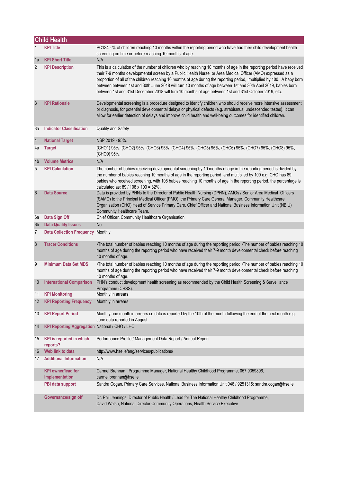|                 | <b>Child Health</b>                            |                                                                                                                                                                                                                                                                                                                                                                                                                                                                                                                                                                                             |
|-----------------|------------------------------------------------|---------------------------------------------------------------------------------------------------------------------------------------------------------------------------------------------------------------------------------------------------------------------------------------------------------------------------------------------------------------------------------------------------------------------------------------------------------------------------------------------------------------------------------------------------------------------------------------------|
|                 | <b>KPI Title</b>                               | PC134 - % of children reaching 10 months within the reporting period who have had their child development health<br>screening on time or before reaching 10 months of age.                                                                                                                                                                                                                                                                                                                                                                                                                  |
| 1a              | <b>KPI Short Title</b>                         | N/A                                                                                                                                                                                                                                                                                                                                                                                                                                                                                                                                                                                         |
| $\overline{2}$  | <b>KPI Description</b>                         | This is a calculation of the number of children who by reaching 10 months of age in the reporting period have received<br>their 7-9 months developmental screen by a Public Health Nurse or Area Medical Officer (AMO) expressed as a<br>proportion of all of the children reaching 10 months of age during the reporting period, multiplied by 100. A baby born<br>between between 1st and 30th June 2018 will turn 10 months of age between 1st and 30th April 2019, babies born<br>between 1st and 31st December 2018 will turn 10 months of age between 1st and 31st October 2019, etc. |
| 3               | <b>KPI Rationale</b>                           | Developmental screening is a procedure designed to identify children who should receive more intensive assessment<br>or diagnosis, for potential developmental delays or physical defects (e.g. strabismus; undescended testes). It can<br>allow for earlier detection of delays and improve child health and well-being outcomes for identified children.                                                                                                                                                                                                                                  |
| За              | <b>Indicator Classification</b>                | Quality and Safety                                                                                                                                                                                                                                                                                                                                                                                                                                                                                                                                                                          |
| $\sqrt{4}$      | <b>National Target</b>                         | NSP 2019 - 95%.                                                                                                                                                                                                                                                                                                                                                                                                                                                                                                                                                                             |
| 4a              | <b>Target</b>                                  | (CHO1) 95%, (CHO2) 95%, (CHO3) 95%, (CHO4) 95%, (CHO5) 95%, (CHO6) 95%, (CHO7) 95%, (CHO8) 95%,<br>(CHO9) 95%.                                                                                                                                                                                                                                                                                                                                                                                                                                                                              |
| 4b              | <b>Volume Metrics</b>                          | N/A                                                                                                                                                                                                                                                                                                                                                                                                                                                                                                                                                                                         |
| 5               | <b>KPI Calculation</b>                         | The number of babies receiving developmental screening by 10 months of age in the reporting period is divided by<br>the number of babies reaching 10 months of age in the reporting period and multiplied by 100 e.g. CHO has 89<br>babies who received screening, with 108 babies reaching 10 months of age in the reporting period, the percentage is<br>calculated as: 89 / 108 x 100 = 82%.                                                                                                                                                                                             |
| $6\phantom{1}6$ | <b>Data Source</b>                             | Data is provided by PHNs to the Director of Public Health Nursing (DPHN), AMOs / Senior Area Medical Officers<br>(SAMO) to the Principal Medical Officer (PMO), the Primary Care General Manager, Community Healthcare<br>Organisation (CHO) Head of Service Primary Care, Chief Officer and National Business Information Unit (NBIU)<br>Community Healthcare Team.                                                                                                                                                                                                                        |
| 6a              | Data Sign Off                                  | Chief Officer, Community Healthcare Organisation                                                                                                                                                                                                                                                                                                                                                                                                                                                                                                                                            |
| 6 <sub>b</sub>  | <b>Data Quality Issues</b>                     | No                                                                                                                                                                                                                                                                                                                                                                                                                                                                                                                                                                                          |
| 7               | Data Collection Frequency Monthly              |                                                                                                                                                                                                                                                                                                                                                                                                                                                                                                                                                                                             |
| 8               | <b>Tracer Conditions</b>                       | •The total number of babies reaching 10 months of age during the reporting period.•The number of babies reaching 10<br>months of age during the reporting period who have received their 7-9 month developmental check before reaching<br>10 months of age.                                                                                                                                                                                                                                                                                                                                 |
| 9               | <b>Minimum Data Set MDS</b>                    | •The total number of babies reaching 10 months of age during the reporting period.•The number of babies reaching 10<br>months of age during the reporting period who have received their 7-9 month developmental check before reaching<br>10 months of age.                                                                                                                                                                                                                                                                                                                                 |
| 10              | <b>International Comparison</b>                | PHN's conduct development health screening as recommended by the Child Health Screening & Surveillance<br>Programme (CHSS).                                                                                                                                                                                                                                                                                                                                                                                                                                                                 |
| 11              | <b>KPI Monitoring</b>                          | Monthly in arrears                                                                                                                                                                                                                                                                                                                                                                                                                                                                                                                                                                          |
| 12              | <b>KPI Reporting Frequency</b>                 | Monthly in arrears                                                                                                                                                                                                                                                                                                                                                                                                                                                                                                                                                                          |
| 13              | <b>KPI Report Period</b>                       | Monthly one month in arrears i.e data is reported by the 10th of the month following the end of the next month e.g.<br>June data reported in August.                                                                                                                                                                                                                                                                                                                                                                                                                                        |
| 14              | KPI Reporting Aggregation National / CHO / LHO |                                                                                                                                                                                                                                                                                                                                                                                                                                                                                                                                                                                             |
| 15              | KPI is reported in which<br>reports?           | Performance Profile / Management Data Report / Annual Report                                                                                                                                                                                                                                                                                                                                                                                                                                                                                                                                |
| 16              | Web link to data                               | http://www.hse.ie/eng/services/publications/                                                                                                                                                                                                                                                                                                                                                                                                                                                                                                                                                |
| 17              | <b>Additional Information</b>                  | N/A                                                                                                                                                                                                                                                                                                                                                                                                                                                                                                                                                                                         |
|                 | <b>KPI</b> owner/lead for<br>implementation    | Carmel Brennan, Programme Manager, National Healthy Childhood Programme, 057 9359896,<br>carmel.brennan@hse.ie                                                                                                                                                                                                                                                                                                                                                                                                                                                                              |
|                 | PBI data support                               | Sandra Cogan, Primary Care Services, National Business Information Unit 046 / 9251315; sandra.cogan@hse.ie                                                                                                                                                                                                                                                                                                                                                                                                                                                                                  |
|                 | Governance/sign off                            | Dr. Phil Jennings, Director of Public Health / Lead for The National Healthy Childhood Programme,<br>David Walsh, National Director Community Operations, Health Service Executive                                                                                                                                                                                                                                                                                                                                                                                                          |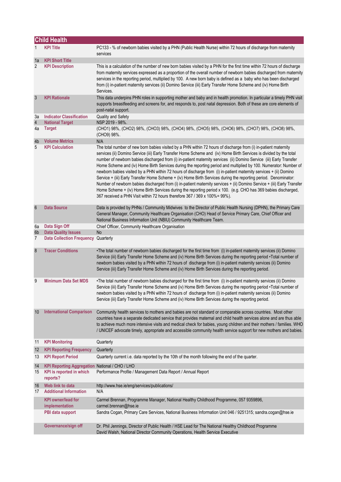|                  | <b>Child Health</b>                                                                    |                                                                                                                                                                                                                                                                                                                                                                                                                                                                                                                                                                                                                                                                                                                                                                                                                                                                                                                                                                                                                                                      |
|------------------|----------------------------------------------------------------------------------------|------------------------------------------------------------------------------------------------------------------------------------------------------------------------------------------------------------------------------------------------------------------------------------------------------------------------------------------------------------------------------------------------------------------------------------------------------------------------------------------------------------------------------------------------------------------------------------------------------------------------------------------------------------------------------------------------------------------------------------------------------------------------------------------------------------------------------------------------------------------------------------------------------------------------------------------------------------------------------------------------------------------------------------------------------|
| 1                | <b>KPI Title</b>                                                                       | PC133 - % of newborn babies visited by a PHN (Public Health Nurse) within 72 hours of discharge from maternity<br>services                                                                                                                                                                                                                                                                                                                                                                                                                                                                                                                                                                                                                                                                                                                                                                                                                                                                                                                           |
| 1a               | <b>KPI Short Title</b>                                                                 |                                                                                                                                                                                                                                                                                                                                                                                                                                                                                                                                                                                                                                                                                                                                                                                                                                                                                                                                                                                                                                                      |
| $\overline{2}$   | <b>KPI Description</b>                                                                 | This is a calculation of the number of new born babies visited by a PHN for the first time within 72 hours of discharge<br>from maternity services expressed as a proportion of the overall number of newborn babies discharged from maternity<br>services in the reporting period, multiplied by 100. A new born baby is defined as a baby who has been discharged<br>from (i) in-patient maternity services (ii) Domino Service (iii) Early Transfer Home Scheme and (iv) Home Birth<br>Services.                                                                                                                                                                                                                                                                                                                                                                                                                                                                                                                                                  |
| $\mathbf{3}$     | <b>KPI Rationale</b>                                                                   | This data underpins PHN roles in supporting mother and baby and in health promotion. In particular a timely PHN visit<br>supports breastfeeding and screens for, and responds to, post natal depression. Both of these are core elements of<br>post-natal support.                                                                                                                                                                                                                                                                                                                                                                                                                                                                                                                                                                                                                                                                                                                                                                                   |
| За               | <b>Indicator Classification</b>                                                        | Quality and Safety                                                                                                                                                                                                                                                                                                                                                                                                                                                                                                                                                                                                                                                                                                                                                                                                                                                                                                                                                                                                                                   |
| 4                | <b>National Target</b>                                                                 | NSP 2019 - 98%.                                                                                                                                                                                                                                                                                                                                                                                                                                                                                                                                                                                                                                                                                                                                                                                                                                                                                                                                                                                                                                      |
| 4a               | <b>Target</b>                                                                          | (CHO1) 98%, (CHO2) 98%, (CHO3) 98%, (CHO4) 98%, (CHO5) 98%, (CHO6) 98%, (CHO7) 98%, (CHO8) 98%,<br>(CHO9) 98%.                                                                                                                                                                                                                                                                                                                                                                                                                                                                                                                                                                                                                                                                                                                                                                                                                                                                                                                                       |
| 4b               | <b>Volume Metrics</b>                                                                  | N/A                                                                                                                                                                                                                                                                                                                                                                                                                                                                                                                                                                                                                                                                                                                                                                                                                                                                                                                                                                                                                                                  |
| 5                | <b>KPI Calculation</b>                                                                 | The total number of new born babies visited by a PHN within 72 hours of discharge from (i) in-patient maternity<br>services (ii) Domino Service (iii) Early Transfer Home Scheme and (iv) Home Birth Services is divided by the total<br>number of newborn babies discharged from (i) in-patient maternity services (ii) Domino Service (iii) Early Transfer<br>Home Scheme and (iv) Home Birth Services during the reporting period and multiplied by 100. Numerator: Number of<br>newborn babies visited by a PHN within 72 hours of discharge from (i) in-patient maternity services + (ii) Domino<br>Service + (iii) Early Transfer Home Scheme + (iv) Home Birth Services during the reporting period. Denominator:<br>Number of newborn babies discharged from (i) in-patient maternity services + (ii) Domino Service + (iii) Early Transfer<br>Home Scheme + (iv) Home Birth Services during the reporting period x 100. (e.g. CHO has 369 babies discharged,<br>367 received a PHN Visit within 72 hours therefore 367 / 369 x 100% = 99%). |
| $\boldsymbol{6}$ | <b>Data Source</b>                                                                     | Data is provided by PHNs / Community Midwives to the Director of Public Health Nursing (DPHN), the Primary Care<br>General Manager, Community Healthcare Organisation (CHO) Head of Service Primary Care, Chief Officer and<br>National Business Information Unit (NBIU) Community Healthcare Team.                                                                                                                                                                                                                                                                                                                                                                                                                                                                                                                                                                                                                                                                                                                                                  |
| 6a               | Data Sign Off                                                                          | Chief Officer, Community Healthcare Organisation                                                                                                                                                                                                                                                                                                                                                                                                                                                                                                                                                                                                                                                                                                                                                                                                                                                                                                                                                                                                     |
| 6 <sub>b</sub>   | <b>Data Quality Issues</b>                                                             | No                                                                                                                                                                                                                                                                                                                                                                                                                                                                                                                                                                                                                                                                                                                                                                                                                                                                                                                                                                                                                                                   |
| 7                | <b>Data Collection Frequency Quarterly</b>                                             |                                                                                                                                                                                                                                                                                                                                                                                                                                                                                                                                                                                                                                                                                                                                                                                                                                                                                                                                                                                                                                                      |
| 8                | <b>Tracer Conditions</b>                                                               | •The total number of newborn babies discharged for the first time from (i) in-patient maternity services (ii) Domino<br>Service (iii) Early Transfer Home Scheme and (iv) Home Birth Services during the reporting period •Total number of<br>newborn babies visited by a PHN within 72 hours of discharge from (i) in-patient maternity services (ii) Domino<br>Service (iii) Early Transfer Home Scheme and (iv) Home Birth Services during the reporting period.                                                                                                                                                                                                                                                                                                                                                                                                                                                                                                                                                                                  |
| 9                | <b>Minimum Data Set MDS</b>                                                            | •The total number of newborn babies discharged for the first time from (i) in-patient maternity services (ii) Domino<br>Service (iii) Early Transfer Home Scheme and (iv) Home Birth Services during the reporting period •Total number of<br>newborn babies visited by a PHN within 72 hours of discharge from (i) in-patient maternity services (ii) Domino<br>Service (iii) Early Transfer Home Scheme and (iv) Home Birth Services during the reporting period.                                                                                                                                                                                                                                                                                                                                                                                                                                                                                                                                                                                  |
| 10               | <b>International Comparison</b>                                                        | Community health services to mothers and babies are not standard or comparable across countries. Most other<br>countries have a separate dedicated service that provides maternal and child health services alone and are thus able<br>to achieve much more intensive visits and medical check for babies, young children and their mothers / families. WHO<br>/ UNICEF advocate timely, appropriate and accessible community health service support for new mothers and babies.                                                                                                                                                                                                                                                                                                                                                                                                                                                                                                                                                                     |
| 11               | <b>KPI Monitoring</b>                                                                  | Quarterly                                                                                                                                                                                                                                                                                                                                                                                                                                                                                                                                                                                                                                                                                                                                                                                                                                                                                                                                                                                                                                            |
| 12               | <b>KPI Reporting Frequency</b>                                                         | Quarterly                                                                                                                                                                                                                                                                                                                                                                                                                                                                                                                                                                                                                                                                                                                                                                                                                                                                                                                                                                                                                                            |
| 13               | <b>KPI Report Period</b>                                                               | Quarterly current i.e. data reported by the 10th of the month following the end of the quarter.                                                                                                                                                                                                                                                                                                                                                                                                                                                                                                                                                                                                                                                                                                                                                                                                                                                                                                                                                      |
| 14<br>15         | KPI Reporting Aggregation National / CHO / LHO<br>KPI is reported in which<br>reports? | Performance Profile / Management Data Report / Annual Report                                                                                                                                                                                                                                                                                                                                                                                                                                                                                                                                                                                                                                                                                                                                                                                                                                                                                                                                                                                         |
| 16               | Web link to data                                                                       | http://www.hse.ie/eng/services/publications/                                                                                                                                                                                                                                                                                                                                                                                                                                                                                                                                                                                                                                                                                                                                                                                                                                                                                                                                                                                                         |
| 17               | <b>Additional Information</b>                                                          | N/A                                                                                                                                                                                                                                                                                                                                                                                                                                                                                                                                                                                                                                                                                                                                                                                                                                                                                                                                                                                                                                                  |
|                  | <b>KPI owner/lead for</b><br>implementation                                            | Carmel Brennan, Programme Manager, National Healthy Childhood Programme, 057 9359896,<br>carmel.brennan@hse.ie                                                                                                                                                                                                                                                                                                                                                                                                                                                                                                                                                                                                                                                                                                                                                                                                                                                                                                                                       |
|                  | PBI data support                                                                       | Sandra Cogan, Primary Care Services, National Business Information Unit 046 / 9251315; sandra.cogan@hse.ie                                                                                                                                                                                                                                                                                                                                                                                                                                                                                                                                                                                                                                                                                                                                                                                                                                                                                                                                           |
|                  | Governance/sign off                                                                    | Dr. Phil Jennings, Director of Public Health / HSE Lead for The National Healthy Childhood Programme<br>David Walsh, National Director Community Operations, Health Service Executive                                                                                                                                                                                                                                                                                                                                                                                                                                                                                                                                                                                                                                                                                                                                                                                                                                                                |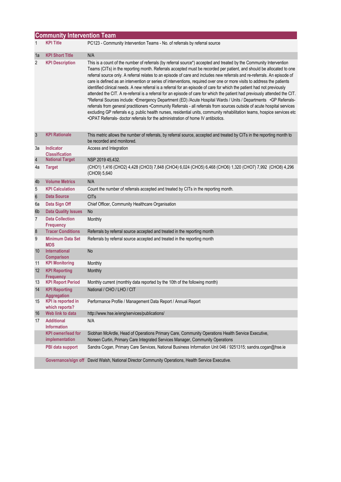|                | <b>Community Intervention Team</b>          |                                                                                                                                                                                                                                                                                                                                                                                                                                                                                                                                                                                                                                                                                                                                                                                                                                                                                                                                                                                                                                                                                                                                                                                                                                 |  |
|----------------|---------------------------------------------|---------------------------------------------------------------------------------------------------------------------------------------------------------------------------------------------------------------------------------------------------------------------------------------------------------------------------------------------------------------------------------------------------------------------------------------------------------------------------------------------------------------------------------------------------------------------------------------------------------------------------------------------------------------------------------------------------------------------------------------------------------------------------------------------------------------------------------------------------------------------------------------------------------------------------------------------------------------------------------------------------------------------------------------------------------------------------------------------------------------------------------------------------------------------------------------------------------------------------------|--|
| 1              | <b>KPI Title</b>                            | PC123 - Community Intervention Teams - No. of referrals by referral source                                                                                                                                                                                                                                                                                                                                                                                                                                                                                                                                                                                                                                                                                                                                                                                                                                                                                                                                                                                                                                                                                                                                                      |  |
| 1a             | <b>KPI Short Title</b>                      | N/A                                                                                                                                                                                                                                                                                                                                                                                                                                                                                                                                                                                                                                                                                                                                                                                                                                                                                                                                                                                                                                                                                                                                                                                                                             |  |
| 2              | <b>KPI Description</b>                      | This is a count of the number of referrals (by referral source*) accepted and treated by the Community Intervention<br>Teams (CITs) in the reporting month. Referrals accepted must be recorded per patient, and should be allocated to one<br>referral source only. A referral relates to an episode of care and includes new referrals and re-referrals. An episode of<br>care is defined as an intervention or series of interventions, required over one or more visits to address the patients<br>identified clinical needs. A new referral is a referral for an episode of care for which the patient had not previously<br>attended the CIT. A re-referral is a referral for an episode of care for which the patient had previously attended the CIT.<br>*Referral Sources include: •Emergency Department (ED) /Acute Hospital Wards / Units / Departments •GP Referrals-<br>referrals from general practitioners •Community Referrals - all referrals from sources outside of acute hospital services<br>excluding GP referrals e.g. public health nurses, residential units, community rehabilitation teams, hospice services etc<br>.OPAT Referrals- doctor referrals for the administration of home IV antibiotics. |  |
| 3              | <b>KPI Rationale</b>                        | This metric allows the number of referrals, by referral source, accepted and treated by CITs in the reporting month to<br>be recorded and monitored.                                                                                                                                                                                                                                                                                                                                                                                                                                                                                                                                                                                                                                                                                                                                                                                                                                                                                                                                                                                                                                                                            |  |
| За             | <b>Indicator</b><br><b>Classification</b>   | Access and Integration                                                                                                                                                                                                                                                                                                                                                                                                                                                                                                                                                                                                                                                                                                                                                                                                                                                                                                                                                                                                                                                                                                                                                                                                          |  |
| $\sqrt{4}$     | <b>National Target</b>                      | NSP 2019 45,432.                                                                                                                                                                                                                                                                                                                                                                                                                                                                                                                                                                                                                                                                                                                                                                                                                                                                                                                                                                                                                                                                                                                                                                                                                |  |
| 4a             | <b>Target</b>                               | (CHO1) 1,416 (CHO2) 4,428 (CHO3) 7,848 (CHO4) 6,024 (CHO5) 6,468 (CHO6) 1,320 (CHO7) 7,992 (CHO8) 4,296<br>(CHO9) 5,640                                                                                                                                                                                                                                                                                                                                                                                                                                                                                                                                                                                                                                                                                                                                                                                                                                                                                                                                                                                                                                                                                                         |  |
| 4b             | <b>Volume Metrics</b>                       | N/A                                                                                                                                                                                                                                                                                                                                                                                                                                                                                                                                                                                                                                                                                                                                                                                                                                                                                                                                                                                                                                                                                                                                                                                                                             |  |
| 5              | <b>KPI Calculation</b>                      | Count the number of referrals accepted and treated by CITs in the reporting month.                                                                                                                                                                                                                                                                                                                                                                                                                                                                                                                                                                                                                                                                                                                                                                                                                                                                                                                                                                                                                                                                                                                                              |  |
| $6\phantom{1}$ | <b>Data Source</b>                          | <b>CITs</b>                                                                                                                                                                                                                                                                                                                                                                                                                                                                                                                                                                                                                                                                                                                                                                                                                                                                                                                                                                                                                                                                                                                                                                                                                     |  |
| 6а             | Data Sign Off                               | Chief Officer, Community Healthcare Organisation                                                                                                                                                                                                                                                                                                                                                                                                                                                                                                                                                                                                                                                                                                                                                                                                                                                                                                                                                                                                                                                                                                                                                                                |  |
| 6b             | <b>Data Quality Issues</b>                  | <b>No</b>                                                                                                                                                                                                                                                                                                                                                                                                                                                                                                                                                                                                                                                                                                                                                                                                                                                                                                                                                                                                                                                                                                                                                                                                                       |  |
| 7              | <b>Data Collection</b><br><b>Frequency</b>  | Monthly                                                                                                                                                                                                                                                                                                                                                                                                                                                                                                                                                                                                                                                                                                                                                                                                                                                                                                                                                                                                                                                                                                                                                                                                                         |  |
| $\bf 8$        | <b>Tracer Conditions</b>                    | Referrals by referral source accepted and treated in the reporting month                                                                                                                                                                                                                                                                                                                                                                                                                                                                                                                                                                                                                                                                                                                                                                                                                                                                                                                                                                                                                                                                                                                                                        |  |
| 9              | <b>Minimum Data Set</b><br><b>MDS</b>       | Referrals by referral source accepted and treated in the reporting month                                                                                                                                                                                                                                                                                                                                                                                                                                                                                                                                                                                                                                                                                                                                                                                                                                                                                                                                                                                                                                                                                                                                                        |  |
| 10             | <b>International</b><br><b>Comparison</b>   | No                                                                                                                                                                                                                                                                                                                                                                                                                                                                                                                                                                                                                                                                                                                                                                                                                                                                                                                                                                                                                                                                                                                                                                                                                              |  |
| 11             | <b>KPI Monitoring</b>                       | Monthly                                                                                                                                                                                                                                                                                                                                                                                                                                                                                                                                                                                                                                                                                                                                                                                                                                                                                                                                                                                                                                                                                                                                                                                                                         |  |
| 12             | <b>KPI Reporting</b><br><b>Frequency</b>    | Monthly                                                                                                                                                                                                                                                                                                                                                                                                                                                                                                                                                                                                                                                                                                                                                                                                                                                                                                                                                                                                                                                                                                                                                                                                                         |  |
| 13             | <b>KPI Report Period</b>                    | Monthly current (monthly data reported by the 10th of the following month)                                                                                                                                                                                                                                                                                                                                                                                                                                                                                                                                                                                                                                                                                                                                                                                                                                                                                                                                                                                                                                                                                                                                                      |  |
| 14             | <b>KPI Reporting</b><br><b>Aggregation</b>  | National / CHO / LHO / CIT                                                                                                                                                                                                                                                                                                                                                                                                                                                                                                                                                                                                                                                                                                                                                                                                                                                                                                                                                                                                                                                                                                                                                                                                      |  |
| 15             | <b>KPI</b> is reported in<br>which reports? | Performance Profile / Management Data Report / Annual Report                                                                                                                                                                                                                                                                                                                                                                                                                                                                                                                                                                                                                                                                                                                                                                                                                                                                                                                                                                                                                                                                                                                                                                    |  |
| 16             | Web link to data                            | http://www.hse.ie/eng/services/publications/                                                                                                                                                                                                                                                                                                                                                                                                                                                                                                                                                                                                                                                                                                                                                                                                                                                                                                                                                                                                                                                                                                                                                                                    |  |
| 17             | <b>Additional</b><br><b>Information</b>     | N/A                                                                                                                                                                                                                                                                                                                                                                                                                                                                                                                                                                                                                                                                                                                                                                                                                                                                                                                                                                                                                                                                                                                                                                                                                             |  |
|                | <b>KPI</b> owner/lead for<br>implementation | Siobhan McArdle, Head of Operations Primary Care, Community Operations Health Service Executive,<br>Noreen Curtin, Primary Care Integrated Services Manager, Community Operations                                                                                                                                                                                                                                                                                                                                                                                                                                                                                                                                                                                                                                                                                                                                                                                                                                                                                                                                                                                                                                               |  |
|                | PBI data support                            | Sandra Cogan, Primary Care Services, National Business Information Unit 046 / 9251315; sandra.cogan@hse.ie                                                                                                                                                                                                                                                                                                                                                                                                                                                                                                                                                                                                                                                                                                                                                                                                                                                                                                                                                                                                                                                                                                                      |  |
|                |                                             | Governance/sign off David Walsh, National Director Community Operations, Health Service Executive.                                                                                                                                                                                                                                                                                                                                                                                                                                                                                                                                                                                                                                                                                                                                                                                                                                                                                                                                                                                                                                                                                                                              |  |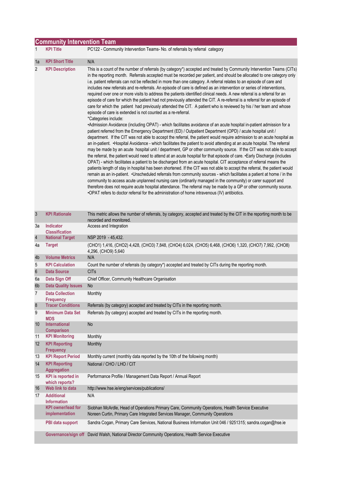|                  | <b>Community Intervention Team</b>          |                                                                                                                                                                                                                                                                                                                                                                                                                                                                                                                                                                                                                                                                                                                                                                                                                                                                                                                                                                                                                                                                                                                                                                                                                                                                                                                                                                                                                                                                                                                                                                                                                                                                                                                                                                                                                                                                                                                                                                                                                                                                                                                                                                                                                                                                                                                                                                                                                                   |  |
|------------------|---------------------------------------------|-----------------------------------------------------------------------------------------------------------------------------------------------------------------------------------------------------------------------------------------------------------------------------------------------------------------------------------------------------------------------------------------------------------------------------------------------------------------------------------------------------------------------------------------------------------------------------------------------------------------------------------------------------------------------------------------------------------------------------------------------------------------------------------------------------------------------------------------------------------------------------------------------------------------------------------------------------------------------------------------------------------------------------------------------------------------------------------------------------------------------------------------------------------------------------------------------------------------------------------------------------------------------------------------------------------------------------------------------------------------------------------------------------------------------------------------------------------------------------------------------------------------------------------------------------------------------------------------------------------------------------------------------------------------------------------------------------------------------------------------------------------------------------------------------------------------------------------------------------------------------------------------------------------------------------------------------------------------------------------------------------------------------------------------------------------------------------------------------------------------------------------------------------------------------------------------------------------------------------------------------------------------------------------------------------------------------------------------------------------------------------------------------------------------------------------|--|
| 1                | <b>KPI Title</b>                            | PC122 - Community Intervention Teams- No. of referrals by referral category                                                                                                                                                                                                                                                                                                                                                                                                                                                                                                                                                                                                                                                                                                                                                                                                                                                                                                                                                                                                                                                                                                                                                                                                                                                                                                                                                                                                                                                                                                                                                                                                                                                                                                                                                                                                                                                                                                                                                                                                                                                                                                                                                                                                                                                                                                                                                       |  |
| 1a               | <b>KPI Short Title</b>                      | N/A                                                                                                                                                                                                                                                                                                                                                                                                                                                                                                                                                                                                                                                                                                                                                                                                                                                                                                                                                                                                                                                                                                                                                                                                                                                                                                                                                                                                                                                                                                                                                                                                                                                                                                                                                                                                                                                                                                                                                                                                                                                                                                                                                                                                                                                                                                                                                                                                                               |  |
| 2                | <b>KPI Description</b>                      | This is a count of the number of referrals (by category*) accepted and treated by Community Intervention Teams (CITs)<br>in the reporting month. Referrals accepted must be recorded per patient, and should be allocated to one category only<br>i.e. patient referrals can not be reflected in more than one category. A referral relates to an episode of care and<br>includes new referrals and re-referrals. An episode of care is defined as an intervention or series of interventions,<br>required over one or more visits to address the patients identified clinical needs. A new referral is a referral for an<br>episode of care for which the patient had not previously attended the CIT. A re-referral is a referral for an episode of<br>care for which the patient had previously attended the CIT. A patient who is reviewed by his / her team and whose<br>episode of care is extended is not counted as a re-referral.<br>*Categories include:<br>•Admission Avoidance (including OPAT) - which facilitates avoidance of an acute hospital in-patient admission for a<br>patient referred from the Emergency Department (ED) / Outpatient Department (OPD) / acute hospital unit /<br>department. If the CIT was not able to accept the referral, the patient would require admission to an acute hospital as<br>an in-patient. •Hospital Avoidance - which facilitates the patient to avoid attending at an acute hospital. The referral<br>may be made by an acute hospital unit / department, GP or other community source. If the CIT was not able to accept<br>the referral, the patient would need to attend at an acute hospital for that episode of care. • Early Discharge (includes<br>OPAT) - which facilitates a patient to be discharged from an acute hospital. CIT acceptance of referral means the<br>patients length of stay in hospital has been shortened. If the CIT was not able to accept the referral, the patient would<br>remain as an in-patient. • Unscheduled referrals from community sources - which facilitates a patient at home / in the<br>community to access acute unplanned nursing care (ordinarily managed in the community) or carer support and<br>therefore does not require acute hospital attendance. The referral may be made by a GP or other community source.<br>.OPAT refers to doctor referral for the administration of home intravenous (IV) antibiotics. |  |
| $\mathbf{3}$     | <b>KPI Rationale</b>                        | This metric allows the number of referrals, by category, accepted and treated by the CIT in the reporting month to be<br>recorded and monitored.                                                                                                                                                                                                                                                                                                                                                                                                                                                                                                                                                                                                                                                                                                                                                                                                                                                                                                                                                                                                                                                                                                                                                                                                                                                                                                                                                                                                                                                                                                                                                                                                                                                                                                                                                                                                                                                                                                                                                                                                                                                                                                                                                                                                                                                                                  |  |
| За               | Indicator<br><b>Classification</b>          | Access and Integration                                                                                                                                                                                                                                                                                                                                                                                                                                                                                                                                                                                                                                                                                                                                                                                                                                                                                                                                                                                                                                                                                                                                                                                                                                                                                                                                                                                                                                                                                                                                                                                                                                                                                                                                                                                                                                                                                                                                                                                                                                                                                                                                                                                                                                                                                                                                                                                                            |  |
| $\overline{4}$   | <b>National Target</b>                      | NSP 2019 - 45,432.                                                                                                                                                                                                                                                                                                                                                                                                                                                                                                                                                                                                                                                                                                                                                                                                                                                                                                                                                                                                                                                                                                                                                                                                                                                                                                                                                                                                                                                                                                                                                                                                                                                                                                                                                                                                                                                                                                                                                                                                                                                                                                                                                                                                                                                                                                                                                                                                                |  |
| 4a               | <b>Target</b>                               | (CHO1) 1,416, (CHO2) 4,428, (CHO3) 7,848, (CHO4) 6,024, (CHO5) 6,468, (CHO6) 1,320, (CHO7) 7,992, (CHO8)<br>4,296, (CHO9) 5,640                                                                                                                                                                                                                                                                                                                                                                                                                                                                                                                                                                                                                                                                                                                                                                                                                                                                                                                                                                                                                                                                                                                                                                                                                                                                                                                                                                                                                                                                                                                                                                                                                                                                                                                                                                                                                                                                                                                                                                                                                                                                                                                                                                                                                                                                                                   |  |
| 4 <sub>b</sub>   | <b>Volume Metrics</b>                       | N/A                                                                                                                                                                                                                                                                                                                                                                                                                                                                                                                                                                                                                                                                                                                                                                                                                                                                                                                                                                                                                                                                                                                                                                                                                                                                                                                                                                                                                                                                                                                                                                                                                                                                                                                                                                                                                                                                                                                                                                                                                                                                                                                                                                                                                                                                                                                                                                                                                               |  |
| 5                | <b>KPI Calculation</b>                      | Count the number of referrals (by category*) accepted and treated by CITs during the reporting month.                                                                                                                                                                                                                                                                                                                                                                                                                                                                                                                                                                                                                                                                                                                                                                                                                                                                                                                                                                                                                                                                                                                                                                                                                                                                                                                                                                                                                                                                                                                                                                                                                                                                                                                                                                                                                                                                                                                                                                                                                                                                                                                                                                                                                                                                                                                             |  |
| 6                | <b>Data Source</b>                          | <b>CITs</b>                                                                                                                                                                                                                                                                                                                                                                                                                                                                                                                                                                                                                                                                                                                                                                                                                                                                                                                                                                                                                                                                                                                                                                                                                                                                                                                                                                                                                                                                                                                                                                                                                                                                                                                                                                                                                                                                                                                                                                                                                                                                                                                                                                                                                                                                                                                                                                                                                       |  |
| 6а<br>6b         | Data Sign Off<br><b>Data Quality Issues</b> | Chief Officer, Community Healthcare Organisation<br>No                                                                                                                                                                                                                                                                                                                                                                                                                                                                                                                                                                                                                                                                                                                                                                                                                                                                                                                                                                                                                                                                                                                                                                                                                                                                                                                                                                                                                                                                                                                                                                                                                                                                                                                                                                                                                                                                                                                                                                                                                                                                                                                                                                                                                                                                                                                                                                            |  |
|                  |                                             |                                                                                                                                                                                                                                                                                                                                                                                                                                                                                                                                                                                                                                                                                                                                                                                                                                                                                                                                                                                                                                                                                                                                                                                                                                                                                                                                                                                                                                                                                                                                                                                                                                                                                                                                                                                                                                                                                                                                                                                                                                                                                                                                                                                                                                                                                                                                                                                                                                   |  |
| 7                | <b>Data Collection</b><br><b>Frequency</b>  | Monthly                                                                                                                                                                                                                                                                                                                                                                                                                                                                                                                                                                                                                                                                                                                                                                                                                                                                                                                                                                                                                                                                                                                                                                                                                                                                                                                                                                                                                                                                                                                                                                                                                                                                                                                                                                                                                                                                                                                                                                                                                                                                                                                                                                                                                                                                                                                                                                                                                           |  |
| $\boldsymbol{8}$ | <b>Tracer Conditions</b>                    | Referrals (by category) accepted and treated by CITs in the reporting month.                                                                                                                                                                                                                                                                                                                                                                                                                                                                                                                                                                                                                                                                                                                                                                                                                                                                                                                                                                                                                                                                                                                                                                                                                                                                                                                                                                                                                                                                                                                                                                                                                                                                                                                                                                                                                                                                                                                                                                                                                                                                                                                                                                                                                                                                                                                                                      |  |
| 9                | <b>Minimum Data Set</b><br><b>MDS</b>       | Referrals (by category) accepted and treated by CITs in the reporting month.                                                                                                                                                                                                                                                                                                                                                                                                                                                                                                                                                                                                                                                                                                                                                                                                                                                                                                                                                                                                                                                                                                                                                                                                                                                                                                                                                                                                                                                                                                                                                                                                                                                                                                                                                                                                                                                                                                                                                                                                                                                                                                                                                                                                                                                                                                                                                      |  |
| 10               | International<br><b>Comparison</b>          | No                                                                                                                                                                                                                                                                                                                                                                                                                                                                                                                                                                                                                                                                                                                                                                                                                                                                                                                                                                                                                                                                                                                                                                                                                                                                                                                                                                                                                                                                                                                                                                                                                                                                                                                                                                                                                                                                                                                                                                                                                                                                                                                                                                                                                                                                                                                                                                                                                                |  |
| 11               | <b>KPI Monitoring</b>                       | Monthly                                                                                                                                                                                                                                                                                                                                                                                                                                                                                                                                                                                                                                                                                                                                                                                                                                                                                                                                                                                                                                                                                                                                                                                                                                                                                                                                                                                                                                                                                                                                                                                                                                                                                                                                                                                                                                                                                                                                                                                                                                                                                                                                                                                                                                                                                                                                                                                                                           |  |
| 12               | <b>KPI Reporting</b><br><b>Frequency</b>    | Monthly                                                                                                                                                                                                                                                                                                                                                                                                                                                                                                                                                                                                                                                                                                                                                                                                                                                                                                                                                                                                                                                                                                                                                                                                                                                                                                                                                                                                                                                                                                                                                                                                                                                                                                                                                                                                                                                                                                                                                                                                                                                                                                                                                                                                                                                                                                                                                                                                                           |  |
| 13               | <b>KPI Report Period</b>                    | Monthly current (monthly data reported by the 10th of the following month)                                                                                                                                                                                                                                                                                                                                                                                                                                                                                                                                                                                                                                                                                                                                                                                                                                                                                                                                                                                                                                                                                                                                                                                                                                                                                                                                                                                                                                                                                                                                                                                                                                                                                                                                                                                                                                                                                                                                                                                                                                                                                                                                                                                                                                                                                                                                                        |  |
| 14               | <b>KPI Reporting</b><br><b>Aggregation</b>  | National / CHO / LHO / CIT                                                                                                                                                                                                                                                                                                                                                                                                                                                                                                                                                                                                                                                                                                                                                                                                                                                                                                                                                                                                                                                                                                                                                                                                                                                                                                                                                                                                                                                                                                                                                                                                                                                                                                                                                                                                                                                                                                                                                                                                                                                                                                                                                                                                                                                                                                                                                                                                        |  |
| 15               | <b>KPI</b> is reported in<br>which reports? | Performance Profile / Management Data Report / Annual Report                                                                                                                                                                                                                                                                                                                                                                                                                                                                                                                                                                                                                                                                                                                                                                                                                                                                                                                                                                                                                                                                                                                                                                                                                                                                                                                                                                                                                                                                                                                                                                                                                                                                                                                                                                                                                                                                                                                                                                                                                                                                                                                                                                                                                                                                                                                                                                      |  |
| 16               | Web link to data                            | http://www.hse.ie/eng/services/publications/                                                                                                                                                                                                                                                                                                                                                                                                                                                                                                                                                                                                                                                                                                                                                                                                                                                                                                                                                                                                                                                                                                                                                                                                                                                                                                                                                                                                                                                                                                                                                                                                                                                                                                                                                                                                                                                                                                                                                                                                                                                                                                                                                                                                                                                                                                                                                                                      |  |
| 17               | <b>Additional</b><br><b>Information</b>     | N/A                                                                                                                                                                                                                                                                                                                                                                                                                                                                                                                                                                                                                                                                                                                                                                                                                                                                                                                                                                                                                                                                                                                                                                                                                                                                                                                                                                                                                                                                                                                                                                                                                                                                                                                                                                                                                                                                                                                                                                                                                                                                                                                                                                                                                                                                                                                                                                                                                               |  |
|                  | <b>KPI</b> owner/lead for<br>implementation | Siobhan McArdle, Head of Operations Primary Care, Community Operations, Health Service Executive<br>Noreen Curtin, Primary Care Integrated Services Manager, Community Operations                                                                                                                                                                                                                                                                                                                                                                                                                                                                                                                                                                                                                                                                                                                                                                                                                                                                                                                                                                                                                                                                                                                                                                                                                                                                                                                                                                                                                                                                                                                                                                                                                                                                                                                                                                                                                                                                                                                                                                                                                                                                                                                                                                                                                                                 |  |
|                  | PBI data support                            | Sandra Cogan, Primary Care Services, National Business Information Unit 046 / 9251315; sandra.cogan@hse.ie                                                                                                                                                                                                                                                                                                                                                                                                                                                                                                                                                                                                                                                                                                                                                                                                                                                                                                                                                                                                                                                                                                                                                                                                                                                                                                                                                                                                                                                                                                                                                                                                                                                                                                                                                                                                                                                                                                                                                                                                                                                                                                                                                                                                                                                                                                                        |  |
|                  |                                             | Governance/sign off David Walsh, National Director Community Operations, Health Service Executive                                                                                                                                                                                                                                                                                                                                                                                                                                                                                                                                                                                                                                                                                                                                                                                                                                                                                                                                                                                                                                                                                                                                                                                                                                                                                                                                                                                                                                                                                                                                                                                                                                                                                                                                                                                                                                                                                                                                                                                                                                                                                                                                                                                                                                                                                                                                 |  |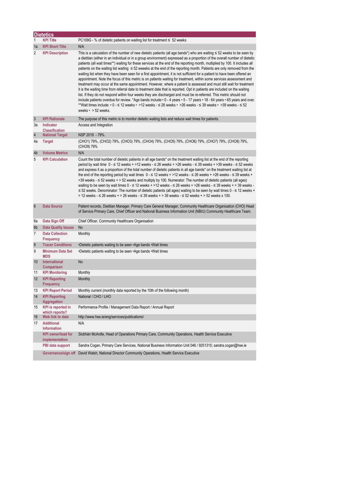|                | <b>Dietetics</b>                            |                                                                                                                                                                                                                                                                                                                                                                                                                                                                                                                                                                                                                                                                                                                                                                                                                                                                                                                                                                                                                                                                                                                                                                                                                                                                                                                                                                                                                                                                              |  |  |
|----------------|---------------------------------------------|------------------------------------------------------------------------------------------------------------------------------------------------------------------------------------------------------------------------------------------------------------------------------------------------------------------------------------------------------------------------------------------------------------------------------------------------------------------------------------------------------------------------------------------------------------------------------------------------------------------------------------------------------------------------------------------------------------------------------------------------------------------------------------------------------------------------------------------------------------------------------------------------------------------------------------------------------------------------------------------------------------------------------------------------------------------------------------------------------------------------------------------------------------------------------------------------------------------------------------------------------------------------------------------------------------------------------------------------------------------------------------------------------------------------------------------------------------------------------|--|--|
| 1              | <b>KPI Title</b>                            | PC109G - % of dietetic patients on waiting list for treatment $\leq 52$ weeks                                                                                                                                                                                                                                                                                                                                                                                                                                                                                                                                                                                                                                                                                                                                                                                                                                                                                                                                                                                                                                                                                                                                                                                                                                                                                                                                                                                                |  |  |
| 1a             | <b>KPI Short Title</b>                      | N/A                                                                                                                                                                                                                                                                                                                                                                                                                                                                                                                                                                                                                                                                                                                                                                                                                                                                                                                                                                                                                                                                                                                                                                                                                                                                                                                                                                                                                                                                          |  |  |
| $\overline{2}$ | <b>KPI Description</b>                      | This is a calculation of the number of new dietetic patients (all age bands*) who are waiting $\leq$ 52 weeks to be seen by<br>a dietitian (either in an individual or in a group environment) expressed as a proportion of the overall number of dietetic<br>patients (all wait times**) waiting for these services at the end of the reporting month, multiplied by 100. It includes all<br>patients on the waiting list waiting $\leq 52$ weeeks at the end of the reporting month. Patients are only removed from the<br>waiting list when they have been seen for a first appointment, it is not sufficient for a patient to have been offered an<br>appointment. Note the focus of this metric is on patients waiting for treatment, within some services assessment and<br>treatment may occur at the same appointment. However, where a patient is assessed and must still wait for treatment<br>it is the waiting time from referral date to treatment date that is reported. Opt in patients are included on the waiting<br>list. If they do not respond within four weeks they are discharged and must be re-referred. This metric should not<br>include patients overdue for review. *Age bands include: 0 - 4 years • 5 - 17 years • 18 - 64 years • 65 years and over.<br>**Wait times include: $\cdot$ 0 - $\leq$ 12 weeks $\cdot$ >12 weeks - $\leq$ 26 weeks $\cdot$ >26 weeks - $\leq$ 39 weeks $\cdot$ >39 weeks - $\leq$ 52<br>weeks $\cdot$ > 52 weeks. |  |  |
| 3              | <b>KPI Rationale</b>                        | The purpose of this metric is to monitor dietetic waiting lists and reduce wait times for patients.                                                                                                                                                                                                                                                                                                                                                                                                                                                                                                                                                                                                                                                                                                                                                                                                                                                                                                                                                                                                                                                                                                                                                                                                                                                                                                                                                                          |  |  |
| Зa             | Indicator<br><b>Classification</b>          | Access and Integration                                                                                                                                                                                                                                                                                                                                                                                                                                                                                                                                                                                                                                                                                                                                                                                                                                                                                                                                                                                                                                                                                                                                                                                                                                                                                                                                                                                                                                                       |  |  |
| 4              | <b>National Target</b>                      | NSP 2019 - 79%.                                                                                                                                                                                                                                                                                                                                                                                                                                                                                                                                                                                                                                                                                                                                                                                                                                                                                                                                                                                                                                                                                                                                                                                                                                                                                                                                                                                                                                                              |  |  |
| 4a             | <b>Target</b>                               | (CHO1) 79%, (CHO2) 79%, (CHO3) 79%, (CHO4) 79%, (CHO5) 79%, (CHO6) 79%, (CHO7) 79%, (CHO8) 79%,<br>(CHO9) 79%                                                                                                                                                                                                                                                                                                                                                                                                                                                                                                                                                                                                                                                                                                                                                                                                                                                                                                                                                                                                                                                                                                                                                                                                                                                                                                                                                                |  |  |
| 4b             | <b>Volume Metrics</b>                       | N/A                                                                                                                                                                                                                                                                                                                                                                                                                                                                                                                                                                                                                                                                                                                                                                                                                                                                                                                                                                                                                                                                                                                                                                                                                                                                                                                                                                                                                                                                          |  |  |
| 5              | <b>KPI Calculation</b>                      | Count the total number of dietetic patients in all age bands* on the treatment waiting list at the end of the reporting<br>period by wait time $0 - 12$ weeks + >12 weeks - $\leq 26$ weeks + >26 weeks - $\leq 39$ weeks + >39 weeks - $\leq 52$ weeks<br>and express it as a proportion of the total number of dietetic patients in all age bands* on the treatment waiting list at<br>the end of the reporting period by wait times $0 - 12$ weeks + >12 weeks - $\leq 26$ weeks + >26 weeks - $\leq 39$ weeks +<br>>39 weeks $-$ ≤ 52 weeks + > 52 weeks and multiply by 100. Numerator: The number of dietetic patients (all ages)<br>waiting to be seen by wait times $0 - 12$ weeks + >12 weeks - $\leq 26$ weeks + >26 weeks - $\leq 39$ weeks + > 39 weeks -<br>$\leq$ 52 weeks. Denominator: The number of dietetic patients (all ages) waiting to be seen by wait times 0 - $\leq$ 12 weeks +<br>> 12 weeks - ≤ 26 weeks + > 26 weeks - ≤ 39 weeks + > 39 weeks - ≤ 52 weeks + > 52 weeks x 100.                                                                                                                                                                                                                                                                                                                                                                                                                                                                  |  |  |
| $6\phantom{1}$ | <b>Data Source</b>                          | Patient records, Dietitian Manager, Primary Care General Manager, Community Healthcare Organisation (CHO) Head<br>of Service Primary Care, Chief Officer and National Business Information Unit (NBIU) Community Healthcare Team.                                                                                                                                                                                                                                                                                                                                                                                                                                                                                                                                                                                                                                                                                                                                                                                                                                                                                                                                                                                                                                                                                                                                                                                                                                            |  |  |
| 6a             | Data Sign Off                               | Chief Officer, Community Healthcare Organisation                                                                                                                                                                                                                                                                                                                                                                                                                                                                                                                                                                                                                                                                                                                                                                                                                                                                                                                                                                                                                                                                                                                                                                                                                                                                                                                                                                                                                             |  |  |
| 6b             | <b>Data Quality Issues</b>                  | <b>No</b>                                                                                                                                                                                                                                                                                                                                                                                                                                                                                                                                                                                                                                                                                                                                                                                                                                                                                                                                                                                                                                                                                                                                                                                                                                                                                                                                                                                                                                                                    |  |  |
| $\overline{7}$ | <b>Data Collection</b><br>Frequency         | Monthly                                                                                                                                                                                                                                                                                                                                                                                                                                                                                                                                                                                                                                                                                                                                                                                                                                                                                                                                                                                                                                                                                                                                                                                                                                                                                                                                                                                                                                                                      |  |  |
| 8              | <b>Tracer Conditions</b>                    | •Dietetic patients waiting to be seen • Age bands • Wait times                                                                                                                                                                                                                                                                                                                                                                                                                                                                                                                                                                                                                                                                                                                                                                                                                                                                                                                                                                                                                                                                                                                                                                                                                                                                                                                                                                                                               |  |  |
| 9              | <b>Minimum Data Set</b><br><b>MDS</b>       | •Dietetic patients waiting to be seen •Age bands •Wait times                                                                                                                                                                                                                                                                                                                                                                                                                                                                                                                                                                                                                                                                                                                                                                                                                                                                                                                                                                                                                                                                                                                                                                                                                                                                                                                                                                                                                 |  |  |
| 10             | International<br>Comparison                 | <b>No</b>                                                                                                                                                                                                                                                                                                                                                                                                                                                                                                                                                                                                                                                                                                                                                                                                                                                                                                                                                                                                                                                                                                                                                                                                                                                                                                                                                                                                                                                                    |  |  |
| 11             | <b>KPI Monitoring</b>                       | Monthly                                                                                                                                                                                                                                                                                                                                                                                                                                                                                                                                                                                                                                                                                                                                                                                                                                                                                                                                                                                                                                                                                                                                                                                                                                                                                                                                                                                                                                                                      |  |  |
| 12             | <b>KPI Reporting</b><br><b>Frequency</b>    | Monthly                                                                                                                                                                                                                                                                                                                                                                                                                                                                                                                                                                                                                                                                                                                                                                                                                                                                                                                                                                                                                                                                                                                                                                                                                                                                                                                                                                                                                                                                      |  |  |
| 13             | <b>KPI Report Period</b>                    | Monthly current (monthly data reported by the 10th of the following month)                                                                                                                                                                                                                                                                                                                                                                                                                                                                                                                                                                                                                                                                                                                                                                                                                                                                                                                                                                                                                                                                                                                                                                                                                                                                                                                                                                                                   |  |  |
| 14             | <b>KPI Reporting</b><br>Aggregation         | National / CHO / LHO                                                                                                                                                                                                                                                                                                                                                                                                                                                                                                                                                                                                                                                                                                                                                                                                                                                                                                                                                                                                                                                                                                                                                                                                                                                                                                                                                                                                                                                         |  |  |
| 15             | <b>KPI</b> is reported in<br>which reports? | Performance Profile / Management Data Report / Annual Report                                                                                                                                                                                                                                                                                                                                                                                                                                                                                                                                                                                                                                                                                                                                                                                                                                                                                                                                                                                                                                                                                                                                                                                                                                                                                                                                                                                                                 |  |  |
| 16             | Web link to data                            | http://www.hse.ie/eng/services/publications/                                                                                                                                                                                                                                                                                                                                                                                                                                                                                                                                                                                                                                                                                                                                                                                                                                                                                                                                                                                                                                                                                                                                                                                                                                                                                                                                                                                                                                 |  |  |
| 17             | <b>Additional</b><br><b>Information</b>     | N/A                                                                                                                                                                                                                                                                                                                                                                                                                                                                                                                                                                                                                                                                                                                                                                                                                                                                                                                                                                                                                                                                                                                                                                                                                                                                                                                                                                                                                                                                          |  |  |
|                | <b>KPI</b> owner/lead for<br>implementation | Siobhán McArdle, Head of Operations Primary Care, Community Operations, Health Service Executive                                                                                                                                                                                                                                                                                                                                                                                                                                                                                                                                                                                                                                                                                                                                                                                                                                                                                                                                                                                                                                                                                                                                                                                                                                                                                                                                                                             |  |  |
|                | PBI data support                            | Sandra Cogan, Primary Care Services, National Business Information Unit 046 / 9251315; sandra.cogan@hse.ie                                                                                                                                                                                                                                                                                                                                                                                                                                                                                                                                                                                                                                                                                                                                                                                                                                                                                                                                                                                                                                                                                                                                                                                                                                                                                                                                                                   |  |  |
|                | Governance/sign off                         | David Walsh, National Director Community Operations, Health Service Executive                                                                                                                                                                                                                                                                                                                                                                                                                                                                                                                                                                                                                                                                                                                                                                                                                                                                                                                                                                                                                                                                                                                                                                                                                                                                                                                                                                                                |  |  |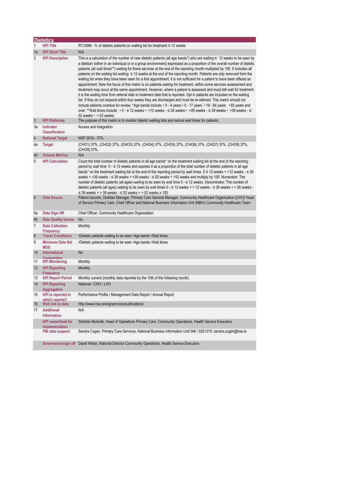|                  | <b>Dietetics</b>                            |                                                                                                                                                                                                                                                                                                                                                                                                                                                                                                                                                                                                                                                                                                                                                                                                                                                                                                                                                                                                                                                                                                                                                                                                                                                                                                                                                                                                                                  |
|------------------|---------------------------------------------|----------------------------------------------------------------------------------------------------------------------------------------------------------------------------------------------------------------------------------------------------------------------------------------------------------------------------------------------------------------------------------------------------------------------------------------------------------------------------------------------------------------------------------------------------------------------------------------------------------------------------------------------------------------------------------------------------------------------------------------------------------------------------------------------------------------------------------------------------------------------------------------------------------------------------------------------------------------------------------------------------------------------------------------------------------------------------------------------------------------------------------------------------------------------------------------------------------------------------------------------------------------------------------------------------------------------------------------------------------------------------------------------------------------------------------|
| 1                | <b>KPI Title</b>                            | $PC109M - %$ of dietetic patients on waiting list for treatment $\leq 12$ weeks                                                                                                                                                                                                                                                                                                                                                                                                                                                                                                                                                                                                                                                                                                                                                                                                                                                                                                                                                                                                                                                                                                                                                                                                                                                                                                                                                  |
| 1a               | <b>KPI Short Title</b>                      | N/A                                                                                                                                                                                                                                                                                                                                                                                                                                                                                                                                                                                                                                                                                                                                                                                                                                                                                                                                                                                                                                                                                                                                                                                                                                                                                                                                                                                                                              |
| 2                | <b>KPI Description</b>                      | This is a calculation of the number of new dietetic patients (all age bands*) who are waiting $\leq 12$ weeks to be seen by<br>a dietitian (either in an individual or in a group environment) expressed as a proportion of the overall number of dietetic<br>patients (all wait times**) waiting for these services at the end of the reporting month multiplied by 100. It includes all<br>patients on the waiting list waiting $\leq 12$ weeks at the end of the reporting month. Patients are only removed from the<br>waiting list when they have been seen for a first appointment, it is not sufficient for a patient to have been offered an<br>appointment. Note the focus of this metric is on patients waiting for treatment, within some services assessment and<br>treatment may occur at the same appointment. However, where a patient is assessed and must still wait for treatment<br>it is the waiting time from referral date to treatment date that is reported. Opt in patients are included on the waiting<br>list. If they do not respond within four weeks they are discharged and must be re-referred. This metric should not<br>include patients overdue for review. *Age bands include: • 0 - 4 years • 5 - 17 years • 18 - 64 years • 65 years and<br>over. **Wait times include: • 0 - ≤ 12 weeks • >12 weeks - ≤ 26 weeks • >26 weeks - ≤ 39 weeks • >39 weeks - ≤<br>52 weeks $\cdot$ > 52 weeks. |
| $\mathbf{3}$     | <b>KPI Rationale</b>                        | The purpose of this metric is to monitor dietetic waiting lists and reduce wait times for patients.                                                                                                                                                                                                                                                                                                                                                                                                                                                                                                                                                                                                                                                                                                                                                                                                                                                                                                                                                                                                                                                                                                                                                                                                                                                                                                                              |
| За               | <b>Indicator</b><br><b>Classification</b>   | Access and Integration                                                                                                                                                                                                                                                                                                                                                                                                                                                                                                                                                                                                                                                                                                                                                                                                                                                                                                                                                                                                                                                                                                                                                                                                                                                                                                                                                                                                           |
| $\overline{4}$   | <b>National Target</b>                      | NSP 2019 - 37%.                                                                                                                                                                                                                                                                                                                                                                                                                                                                                                                                                                                                                                                                                                                                                                                                                                                                                                                                                                                                                                                                                                                                                                                                                                                                                                                                                                                                                  |
| 4a               | <b>Target</b>                               | (CHO1) 37%, (CHO2) 37%, (CHO3) 37%, (CHO4) 37%, (CHO5) 37%, (CHO6) 37%, (CHO7) 37%, (CHO8) 37%,<br>(CHO9) 37%.                                                                                                                                                                                                                                                                                                                                                                                                                                                                                                                                                                                                                                                                                                                                                                                                                                                                                                                                                                                                                                                                                                                                                                                                                                                                                                                   |
| 4b               | <b>Volume Metrics</b>                       | N/A                                                                                                                                                                                                                                                                                                                                                                                                                                                                                                                                                                                                                                                                                                                                                                                                                                                                                                                                                                                                                                                                                                                                                                                                                                                                                                                                                                                                                              |
| 5                | <b>KPI Calculation</b>                      | Count the total number of dietetic patients in all age bands* on the treatment waiting list at the end of the reporting<br>period by wait time $0 \le 12$ weeks and express it as a proportion of the total number of dietetic patients in all age<br>bands* on the treatment waiting list at the end of the reporting period by wait times $0 \le 12$ weeks + >12 weeks - $\le 26$<br>weeks + >26 weeks - $\leq$ 39 weeks + >39 weeks - $\leq$ 52 weeks + >52 weeks and multiply by 100. Numerator: The<br>number of dietetic patients (all ages) waiting to be seen by wait time $0 - \le 12$ weeks. Denominator: The number of<br>dietetic patients (all ages) waiting to be seen by wait times $0 - \le 12$ weeks + > 12 weeks - $\le 26$ weeks + > 26 weeks -<br>$\leq$ 39 weeks + > 39 weeks - $\leq$ 52 weeks + > 52 weeks x 100.                                                                                                                                                                                                                                                                                                                                                                                                                                                                                                                                                                                         |
| $6\phantom{1}6$  | <b>Data Source</b>                          | Patient records, Dietitian Manager, Primary Care General Manager, Community Healthcare Organisation (CHO) Head<br>of Service Primary Care, Chief Officer and National Business Information Unit (NBIU) Community Healthcare Team.                                                                                                                                                                                                                                                                                                                                                                                                                                                                                                                                                                                                                                                                                                                                                                                                                                                                                                                                                                                                                                                                                                                                                                                                |
| 6а               | Data Sign Off                               | Chief Officer, Community Healthcare Organisation                                                                                                                                                                                                                                                                                                                                                                                                                                                                                                                                                                                                                                                                                                                                                                                                                                                                                                                                                                                                                                                                                                                                                                                                                                                                                                                                                                                 |
| 6b               | <b>Data Quality Issues</b>                  | <b>No</b>                                                                                                                                                                                                                                                                                                                                                                                                                                                                                                                                                                                                                                                                                                                                                                                                                                                                                                                                                                                                                                                                                                                                                                                                                                                                                                                                                                                                                        |
| $\overline{7}$   | <b>Data Collection</b><br><b>Frequency</b>  | Monthly                                                                                                                                                                                                                                                                                                                                                                                                                                                                                                                                                                                                                                                                                                                                                                                                                                                                                                                                                                                                                                                                                                                                                                                                                                                                                                                                                                                                                          |
| $\boldsymbol{8}$ | <b>Tracer Conditions</b>                    | •Dietetic patients waiting to be seen • Age bands • Wait times                                                                                                                                                                                                                                                                                                                                                                                                                                                                                                                                                                                                                                                                                                                                                                                                                                                                                                                                                                                                                                                                                                                                                                                                                                                                                                                                                                   |
| 9                | <b>Minimum Data Set</b><br><b>MDS</b>       | •Dietetic patients waiting to be seen •Age bands •Wait times                                                                                                                                                                                                                                                                                                                                                                                                                                                                                                                                                                                                                                                                                                                                                                                                                                                                                                                                                                                                                                                                                                                                                                                                                                                                                                                                                                     |
| 10               | <b>International</b>                        | <b>No</b>                                                                                                                                                                                                                                                                                                                                                                                                                                                                                                                                                                                                                                                                                                                                                                                                                                                                                                                                                                                                                                                                                                                                                                                                                                                                                                                                                                                                                        |
| 11               | Comparison<br><b>KPI Monitoring</b>         | Monthly                                                                                                                                                                                                                                                                                                                                                                                                                                                                                                                                                                                                                                                                                                                                                                                                                                                                                                                                                                                                                                                                                                                                                                                                                                                                                                                                                                                                                          |
| 12               | <b>KPI Reporting</b><br><b>Frequency</b>    | Monthly                                                                                                                                                                                                                                                                                                                                                                                                                                                                                                                                                                                                                                                                                                                                                                                                                                                                                                                                                                                                                                                                                                                                                                                                                                                                                                                                                                                                                          |
| 13               | <b>KPI Report Period</b>                    | Monthly current (monthly data reported by the 10th of the following month)                                                                                                                                                                                                                                                                                                                                                                                                                                                                                                                                                                                                                                                                                                                                                                                                                                                                                                                                                                                                                                                                                                                                                                                                                                                                                                                                                       |
| 14               | <b>KPI Reporting</b><br><b>Aggregation</b>  | National / CHO / LHO                                                                                                                                                                                                                                                                                                                                                                                                                                                                                                                                                                                                                                                                                                                                                                                                                                                                                                                                                                                                                                                                                                                                                                                                                                                                                                                                                                                                             |
| 15               | <b>KPI</b> is reported in                   | Performance Profile / Management Data Report / Annual Report                                                                                                                                                                                                                                                                                                                                                                                                                                                                                                                                                                                                                                                                                                                                                                                                                                                                                                                                                                                                                                                                                                                                                                                                                                                                                                                                                                     |
| 16               | which reports?<br>Web link to data          | http://www.hse.ie/eng/services/publications/                                                                                                                                                                                                                                                                                                                                                                                                                                                                                                                                                                                                                                                                                                                                                                                                                                                                                                                                                                                                                                                                                                                                                                                                                                                                                                                                                                                     |
| 17               | <b>Additional</b><br><b>Information</b>     | N/A                                                                                                                                                                                                                                                                                                                                                                                                                                                                                                                                                                                                                                                                                                                                                                                                                                                                                                                                                                                                                                                                                                                                                                                                                                                                                                                                                                                                                              |
|                  | <b>KPI</b> owner/lead for<br>implementation | Siobhán McArdle, Head of Operations Primary Care, Community Operations, Health Service Executive                                                                                                                                                                                                                                                                                                                                                                                                                                                                                                                                                                                                                                                                                                                                                                                                                                                                                                                                                                                                                                                                                                                                                                                                                                                                                                                                 |
|                  | PBI data support                            | Sandra Cogan, Primary Care Services, National Business Information Unit 046 / 9251315; sandra.cogan@hse.ie                                                                                                                                                                                                                                                                                                                                                                                                                                                                                                                                                                                                                                                                                                                                                                                                                                                                                                                                                                                                                                                                                                                                                                                                                                                                                                                       |
|                  | Governance/sign off                         | David Walsh, National Director Community Operations, Health Service Executive                                                                                                                                                                                                                                                                                                                                                                                                                                                                                                                                                                                                                                                                                                                                                                                                                                                                                                                                                                                                                                                                                                                                                                                                                                                                                                                                                    |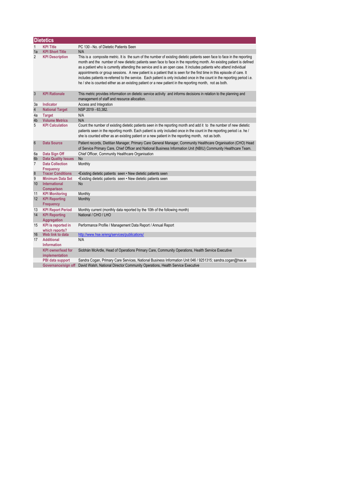|                  | <b>Dietetics</b>                            |                                                                                                                                                                                                                                                                                                                                                                                                                                                                                                                                                                                                                                                                                                                                              |  |  |
|------------------|---------------------------------------------|----------------------------------------------------------------------------------------------------------------------------------------------------------------------------------------------------------------------------------------------------------------------------------------------------------------------------------------------------------------------------------------------------------------------------------------------------------------------------------------------------------------------------------------------------------------------------------------------------------------------------------------------------------------------------------------------------------------------------------------------|--|--|
| 1                | <b>KPI Title</b>                            | PC 130 - No. of Dietetic Patients Seen                                                                                                                                                                                                                                                                                                                                                                                                                                                                                                                                                                                                                                                                                                       |  |  |
| 1a               | <b>KPI Short Title</b>                      | N/A                                                                                                                                                                                                                                                                                                                                                                                                                                                                                                                                                                                                                                                                                                                                          |  |  |
| $\overline{2}$   | <b>KPI Description</b>                      | This is a composite metric. It is the sum of the number of existing dietetic patients seen face to face in the reporting<br>month and the number of new dietetic patients seen face to face in the reporting month. An existing patient is defined<br>as a patient who is currently attending the service and is an open case. It includes patients who attend individual<br>appointments or group sessions. A new patient is a patient that is seen for the first time in this episode of care. It<br>includes patients re-referred to the service. Each patient is only included once in the count in the reporting period i.e.<br>he / she is counted either as an existing patient or a new patient in the reporting month, not as both. |  |  |
| $\mathbf{3}$     | <b>KPI Rationale</b>                        | This metric provides information on dietetic service activity and informs decisions in relation to the planning and<br>management of staff and resource allocation.                                                                                                                                                                                                                                                                                                                                                                                                                                                                                                                                                                          |  |  |
| 3a               | <b>Indicator</b>                            | Access and Integration                                                                                                                                                                                                                                                                                                                                                                                                                                                                                                                                                                                                                                                                                                                       |  |  |
| $\overline{4}$   | <b>National Target</b>                      | NSP 2019 - 63,382.                                                                                                                                                                                                                                                                                                                                                                                                                                                                                                                                                                                                                                                                                                                           |  |  |
| 4a               | <b>Target</b>                               | N/A                                                                                                                                                                                                                                                                                                                                                                                                                                                                                                                                                                                                                                                                                                                                          |  |  |
| 4b               | <b>Volume Metrics</b>                       | N/A                                                                                                                                                                                                                                                                                                                                                                                                                                                                                                                                                                                                                                                                                                                                          |  |  |
| 5                | <b>KPI Calculation</b>                      | Count the number of existing dietetic patients seen in the reporting month and add it to the number of new dietetic<br>patients seen in the reporting month. Each patient is only included once in the count in the reporting period i.e. he /<br>she is counted either as an existing patient or a new patient in the reporting month, not as both.                                                                                                                                                                                                                                                                                                                                                                                         |  |  |
| $6\phantom{1}6$  | <b>Data Source</b>                          | Patient records, Dietitian Manager, Primary Care General Manager, Community Healthcare Organisation (CHO) Head<br>of Service Primary Care, Chief Officer and National Business Information Unit (NBIU) Community Healthcare Team.                                                                                                                                                                                                                                                                                                                                                                                                                                                                                                            |  |  |
| 6a               | Data Sign Off                               | Chief Officer, Community Healthcare Organisation                                                                                                                                                                                                                                                                                                                                                                                                                                                                                                                                                                                                                                                                                             |  |  |
| 6 <sub>b</sub>   | <b>Data Quality Issues</b>                  | <b>No</b>                                                                                                                                                                                                                                                                                                                                                                                                                                                                                                                                                                                                                                                                                                                                    |  |  |
| $\overline{7}$   | <b>Data Collection</b><br><b>Frequency</b>  | Monthly                                                                                                                                                                                                                                                                                                                                                                                                                                                                                                                                                                                                                                                                                                                                      |  |  |
| $\boldsymbol{8}$ | <b>Tracer Conditions</b>                    | •Existing dietetic patients seen • New dietetic patients seen                                                                                                                                                                                                                                                                                                                                                                                                                                                                                                                                                                                                                                                                                |  |  |
| 9                | <b>Minimum Data Set</b>                     | •Existing dietetic patients seen • New dietetic patients seen                                                                                                                                                                                                                                                                                                                                                                                                                                                                                                                                                                                                                                                                                |  |  |
| 10               | <b>International</b><br>Comparison          | <b>No</b>                                                                                                                                                                                                                                                                                                                                                                                                                                                                                                                                                                                                                                                                                                                                    |  |  |
| 11               | <b>KPI Monitoring</b>                       | Monthly                                                                                                                                                                                                                                                                                                                                                                                                                                                                                                                                                                                                                                                                                                                                      |  |  |
| 12               | <b>KPI Reporting</b><br><b>Frequency</b>    | Monthly                                                                                                                                                                                                                                                                                                                                                                                                                                                                                                                                                                                                                                                                                                                                      |  |  |
| 13               | <b>KPI Report Period</b>                    | Monthly current (monthly data reported by the 10th of the following month)                                                                                                                                                                                                                                                                                                                                                                                                                                                                                                                                                                                                                                                                   |  |  |
| 14               | <b>KPI Reporting</b><br><b>Aggregation</b>  | National / CHO / LHO                                                                                                                                                                                                                                                                                                                                                                                                                                                                                                                                                                                                                                                                                                                         |  |  |
| 15               | <b>KPI</b> is reported in<br>which reports? | Performance Profile / Management Data Report / Annual Report                                                                                                                                                                                                                                                                                                                                                                                                                                                                                                                                                                                                                                                                                 |  |  |
| 16               | Web link to data                            | http://www.hse.ie/eng/services/publications/                                                                                                                                                                                                                                                                                                                                                                                                                                                                                                                                                                                                                                                                                                 |  |  |
| 17               | <b>Additional</b><br><b>Information</b>     | N/A                                                                                                                                                                                                                                                                                                                                                                                                                                                                                                                                                                                                                                                                                                                                          |  |  |
|                  | <b>KPI</b> owner/lead for<br>implementation | Siobhán McArdle, Head of Operations Primary Care, Community Operations, Health Service Executive                                                                                                                                                                                                                                                                                                                                                                                                                                                                                                                                                                                                                                             |  |  |
|                  | PBI data support                            | Sandra Cogan, Primary Care Services, National Business Information Unit 046 / 9251315; sandra.cogan@hse.ie                                                                                                                                                                                                                                                                                                                                                                                                                                                                                                                                                                                                                                   |  |  |
|                  | Governance/sign off                         | David Walsh, National Director Community Operations, Health Service Executive                                                                                                                                                                                                                                                                                                                                                                                                                                                                                                                                                                                                                                                                |  |  |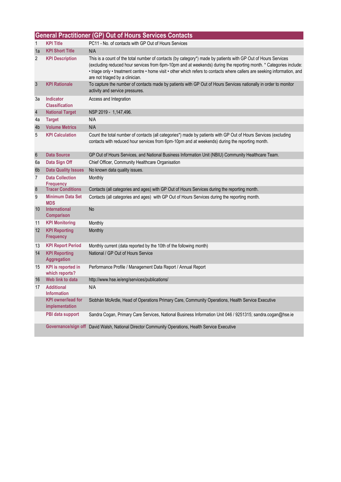|                 | <b>General Practitioner (GP) Out of Hours Services Contacts</b> |                                                                                                                                                                                                                                                                                                                                                                                                    |  |  |
|-----------------|-----------------------------------------------------------------|----------------------------------------------------------------------------------------------------------------------------------------------------------------------------------------------------------------------------------------------------------------------------------------------------------------------------------------------------------------------------------------------------|--|--|
| 1               | <b>KPI Title</b>                                                | PC11 - No. of contacts with GP Out of Hours Services                                                                                                                                                                                                                                                                                                                                               |  |  |
| 1a              | <b>KPI Short Title</b>                                          | N/A                                                                                                                                                                                                                                                                                                                                                                                                |  |  |
| 2               | <b>KPI Description</b>                                          | This is a count of the total number of contacts (by category*) made by patients with GP Out of Hours Services<br>(excluding reduced hour services from 6pm-10pm and at weekends) during the reporting month. * Categories include:<br>• triage only • treatment centre • home visit • other which refers to contacts where callers are seeking information, and<br>are not triaged by a clinician. |  |  |
| $\mathbf{3}$    | <b>KPI Rationale</b>                                            | To capture the number of contacts made by patients with GP Out of Hours Services nationally in order to monitor<br>activity and service pressures.                                                                                                                                                                                                                                                 |  |  |
| За              | Indicator<br><b>Classification</b>                              | Access and Integration                                                                                                                                                                                                                                                                                                                                                                             |  |  |
| $\overline{4}$  | <b>National Target</b>                                          | NSP 2019 - 1,147,496.                                                                                                                                                                                                                                                                                                                                                                              |  |  |
| 4a              | <b>Target</b>                                                   | N/A                                                                                                                                                                                                                                                                                                                                                                                                |  |  |
| 4b              | <b>Volume Metrics</b>                                           | N/A                                                                                                                                                                                                                                                                                                                                                                                                |  |  |
| 5               | <b>KPI Calculation</b>                                          | Count the total number of contacts (all categories*) made by patients with GP Out of Hours Services (excluding<br>contacts with reduced hour services from 6pm-10pm and at weekends) during the reporting month.                                                                                                                                                                                   |  |  |
| $6\phantom{.}6$ | <b>Data Source</b>                                              | GP Out of Hours Services, and National Business Information Unit (NBIU) Community Healthcare Team.                                                                                                                                                                                                                                                                                                 |  |  |
| 6a              | Data Sign Off                                                   | Chief Officer, Community Healthcare Organisation                                                                                                                                                                                                                                                                                                                                                   |  |  |
| 6 <sub>b</sub>  | <b>Data Quality Issues</b>                                      | No known data quality issues.                                                                                                                                                                                                                                                                                                                                                                      |  |  |
| $\overline{7}$  | <b>Data Collection</b>                                          | Monthly                                                                                                                                                                                                                                                                                                                                                                                            |  |  |
| $\bf 8$         | <b>Frequency</b><br><b>Tracer Conditions</b>                    | Contacts (all categories and ages) with GP Out of Hours Services during the reporting month.                                                                                                                                                                                                                                                                                                       |  |  |
| 9               | <b>Minimum Data Set</b>                                         | Contacts (all categories and ages) with GP Out of Hours Services during the reporting month.                                                                                                                                                                                                                                                                                                       |  |  |
|                 | <b>MDS</b>                                                      |                                                                                                                                                                                                                                                                                                                                                                                                    |  |  |
| 10              | <b>International</b><br>Comparison                              | <b>No</b>                                                                                                                                                                                                                                                                                                                                                                                          |  |  |
| 11              | <b>KPI Monitoring</b>                                           | Monthly                                                                                                                                                                                                                                                                                                                                                                                            |  |  |
| 12              | <b>KPI Reporting</b><br><b>Frequency</b>                        | Monthly                                                                                                                                                                                                                                                                                                                                                                                            |  |  |
| 13              | <b>KPI Report Period</b>                                        | Monthly current (data reported by the 10th of the following month)                                                                                                                                                                                                                                                                                                                                 |  |  |
| 14              | <b>KPI Reporting</b><br><b>Aggregation</b>                      | National / GP Out of Hours Service                                                                                                                                                                                                                                                                                                                                                                 |  |  |
| 15              | <b>KPI</b> is reported in<br>which reports?                     | Performance Profile / Management Data Report / Annual Report                                                                                                                                                                                                                                                                                                                                       |  |  |
| 16              | Web link to data                                                | http://www.hse.ie/eng/services/publications/                                                                                                                                                                                                                                                                                                                                                       |  |  |
| 17              | <b>Additional</b><br><b>Information</b>                         | N/A                                                                                                                                                                                                                                                                                                                                                                                                |  |  |
|                 | <b>KPI</b> owner/lead for<br>implementation                     | Siobhán McArdle, Head of Operations Primary Care, Community Operations, Health Service Executive                                                                                                                                                                                                                                                                                                   |  |  |
|                 | PBI data support                                                | Sandra Cogan, Primary Care Services, National Business Information Unit 046 / 9251315; sandra.cogan@hse.ie                                                                                                                                                                                                                                                                                         |  |  |
|                 |                                                                 | Governance/sign off David Walsh, National Director Community Operations, Health Service Executive                                                                                                                                                                                                                                                                                                  |  |  |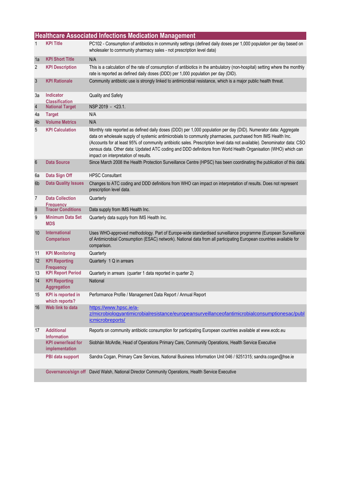|                 | <b>Healthcare Associated Infections Medication Management</b> |                                                                                                                                                                                                                                                                                                                                                                                                                                                                                                                      |  |
|-----------------|---------------------------------------------------------------|----------------------------------------------------------------------------------------------------------------------------------------------------------------------------------------------------------------------------------------------------------------------------------------------------------------------------------------------------------------------------------------------------------------------------------------------------------------------------------------------------------------------|--|
| 1               | <b>KPI Title</b>                                              | PC102 - Consumption of antibiotics in community settings (defined daily doses per 1,000 population per day based on<br>wholesaler to community pharmacy sales - not prescription level data)                                                                                                                                                                                                                                                                                                                         |  |
| 1a              | <b>KPI Short Title</b>                                        | N/A                                                                                                                                                                                                                                                                                                                                                                                                                                                                                                                  |  |
| $\overline{2}$  | <b>KPI Description</b>                                        | This is a calculation of the rate of consumption of antibiotics in the ambulatory (non-hospital) setting where the monthly<br>rate is reported as defined daily doses (DDD) per 1,000 population per day (DID).                                                                                                                                                                                                                                                                                                      |  |
| $\mathfrak{Z}$  | <b>KPI Rationale</b>                                          | Community antibiotic use is strongly linked to antimicrobial resistance, which is a major public health threat.                                                                                                                                                                                                                                                                                                                                                                                                      |  |
| За              | <b>Indicator</b><br><b>Classification</b>                     | Quality and Safety                                                                                                                                                                                                                                                                                                                                                                                                                                                                                                   |  |
| $\overline{4}$  | <b>National Target</b>                                        | NSP 2019 - < 23.1.                                                                                                                                                                                                                                                                                                                                                                                                                                                                                                   |  |
| 4a              | <b>Target</b>                                                 | N/A                                                                                                                                                                                                                                                                                                                                                                                                                                                                                                                  |  |
| 4b              | <b>Volume Metrics</b>                                         | N/A                                                                                                                                                                                                                                                                                                                                                                                                                                                                                                                  |  |
| 5               | <b>KPI Calculation</b>                                        | Monthly rate reported as defined daily doses (DDD) per 1,000 population per day (DID). Numerator data: Aggregate<br>data on wholesale supply of systemic antimicrobials to community pharmacies, purchased from IMS Health Inc.<br>(Accounts for at least 95% of community antibiotic sales. Prescription level data not available). Denominator data: CSO<br>census data. Other data: Updated ATC coding and DDD definitions from World Health Organisation (WHO) which can<br>impact on interpretation of results. |  |
| $6\phantom{.}6$ | <b>Data Source</b>                                            | Since March 2008 the Health Protection Surveillance Centre (HPSC) has been coordinating the publication of this data.                                                                                                                                                                                                                                                                                                                                                                                                |  |
| 6a              | Data Sign Off                                                 | <b>HPSC Consultant</b>                                                                                                                                                                                                                                                                                                                                                                                                                                                                                               |  |
| 6 <sub>b</sub>  | <b>Data Quality Issues</b>                                    | Changes to ATC coding and DDD definitions from WHO can impact on interpretation of results. Does not represent<br>prescription level data.                                                                                                                                                                                                                                                                                                                                                                           |  |
| 7               | <b>Data Collection</b><br><b>Frequency</b>                    | Quarterly                                                                                                                                                                                                                                                                                                                                                                                                                                                                                                            |  |
| 8               | <b>Tracer Conditions</b>                                      | Data supply from IMS Health Inc.                                                                                                                                                                                                                                                                                                                                                                                                                                                                                     |  |
| 9               | <b>Minimum Data Set</b><br><b>MDS</b>                         | Quarterly data supply from IMS Health Inc.                                                                                                                                                                                                                                                                                                                                                                                                                                                                           |  |
| 10              | <b>International</b><br><b>Comparison</b>                     | Uses WHO-approved methodology. Part of Europe-wide standardised surveillance programme (European Surveillance<br>of Antimicrobial Consumption (ESAC) network). National data from all participating European countries available for<br>comparison.                                                                                                                                                                                                                                                                  |  |
| 11              | <b>KPI Monitoring</b>                                         | Quarterly                                                                                                                                                                                                                                                                                                                                                                                                                                                                                                            |  |
| 12              | <b>KPI Reporting</b><br><b>Frequency</b>                      | Quarterly 1 Q in arrears                                                                                                                                                                                                                                                                                                                                                                                                                                                                                             |  |
| 13              | <b>KPI Report Period</b>                                      | Quarterly in arrears (quarter 1 data reported in quarter 2)                                                                                                                                                                                                                                                                                                                                                                                                                                                          |  |
| 14              | <b>KPI Reporting</b><br><b>Aggregation</b>                    | <b>National</b>                                                                                                                                                                                                                                                                                                                                                                                                                                                                                                      |  |
| 15              | <b>KPI</b> is reported in<br>which reports?                   | Performance Profile / Management Data Report / Annual Report                                                                                                                                                                                                                                                                                                                                                                                                                                                         |  |
| 16              | Web link to data                                              | https://www.hpsc.ie/a-<br>z/microbiologyantimicrobialresistance/europeansurveillanceofantimicrobialconsumptionesac/publ<br>icmicrobreports/                                                                                                                                                                                                                                                                                                                                                                          |  |
| 17              | <b>Additional</b><br><b>Information</b>                       | Reports on community antibiotic consumption for participating European countries available at www.ecdc.eu                                                                                                                                                                                                                                                                                                                                                                                                            |  |
|                 | <b>KPI</b> owner/lead for<br>implementation                   | Siobhán McArdle, Head of Operations Primary Care, Community Operations, Health Service Executive                                                                                                                                                                                                                                                                                                                                                                                                                     |  |
|                 | PBI data support                                              | Sandra Cogan, Primary Care Services, National Business Information Unit 046 / 9251315; sandra.cogan@hse.ie                                                                                                                                                                                                                                                                                                                                                                                                           |  |
|                 |                                                               | Governance/sign off David Walsh, National Director Community Operations, Health Service Executive                                                                                                                                                                                                                                                                                                                                                                                                                    |  |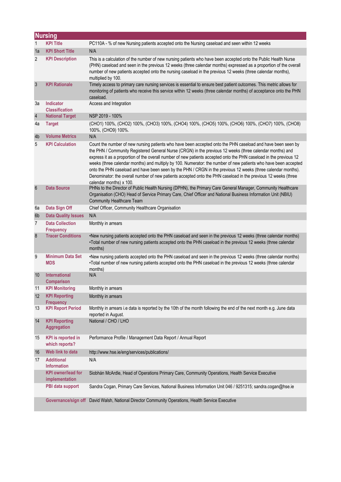|                 | <b>Nursing</b>                              |                                                                                                                                                                                                                                                                                                                                                                                                                                                                                                                                                                                                                                                                                                                               |  |  |
|-----------------|---------------------------------------------|-------------------------------------------------------------------------------------------------------------------------------------------------------------------------------------------------------------------------------------------------------------------------------------------------------------------------------------------------------------------------------------------------------------------------------------------------------------------------------------------------------------------------------------------------------------------------------------------------------------------------------------------------------------------------------------------------------------------------------|--|--|
| $\mathbf{1}$    | <b>KPI Title</b>                            | PC110A - % of new Nursing patients accepted onto the Nursing caseload and seen within 12 weeks                                                                                                                                                                                                                                                                                                                                                                                                                                                                                                                                                                                                                                |  |  |
| 1a              | <b>KPI Short Title</b>                      | N/A                                                                                                                                                                                                                                                                                                                                                                                                                                                                                                                                                                                                                                                                                                                           |  |  |
| $\overline{2}$  | <b>KPI Description</b>                      | This is a calculation of the number of new nursing patients who have been accepted onto the Public Health Nurse<br>(PHN) caseload and seen in the previous 12 weeks (three calendar months) expressed as a proportion of the overall<br>number of new patients accepted onto the nursing caseload in the previous 12 weeks (three calendar months),<br>multiplied by 100.                                                                                                                                                                                                                                                                                                                                                     |  |  |
| 3               | <b>KPI Rationale</b>                        | Timely access to primary care nursing services is essential to ensure best patient outcomes. This metric allows for<br>monitoring of patients who receive this service within 12 weeks (three calendar months) of acceptance onto the PHN<br>caseload.                                                                                                                                                                                                                                                                                                                                                                                                                                                                        |  |  |
| Зa              | <b>Indicator</b><br><b>Classification</b>   | Access and Integration                                                                                                                                                                                                                                                                                                                                                                                                                                                                                                                                                                                                                                                                                                        |  |  |
| $\sqrt{4}$      | <b>National Target</b>                      | NSP 2019 - 100%                                                                                                                                                                                                                                                                                                                                                                                                                                                                                                                                                                                                                                                                                                               |  |  |
| 4a              | <b>Target</b>                               | (CHO1) 100%, (CHO2) 100%, (CHO3) 100%, (CHO4) 100%, (CHO5) 100%, (CHO6) 100%, (CHO7) 100%, (CHO8)<br>100%, (CHO9) 100%.                                                                                                                                                                                                                                                                                                                                                                                                                                                                                                                                                                                                       |  |  |
| 4 <sub>b</sub>  | <b>Volume Metrics</b>                       | N/A                                                                                                                                                                                                                                                                                                                                                                                                                                                                                                                                                                                                                                                                                                                           |  |  |
| 5               | <b>KPI Calculation</b>                      | Count the number of new nursing patients who have been accepted onto the PHN caseload and have been seen by<br>the PHN / Community Registered General Nurse (CRGN) in the previous 12 weeks (three calendar months) and<br>express it as a proportion of the overall number of new patients accepted onto the PHN caseload in the previous 12<br>weeks (three calendar months) and multiply by 100. Numerator: the number of new patients who have been accepted<br>onto the PHN caseload and have been seen by the PHN / CRGN in the previous 12 weeks (three calendar months).<br>Denominator: the overall number of new patients accepted onto the PHN caseload in the previous 12 weeks (three<br>calendar months) x 100. |  |  |
| $6\phantom{1}6$ | <b>Data Source</b>                          | PHNs to the Director of Public Health Nursing (DPHN), the Primary Care General Manager, Community Healthcare<br>Organisation (CHO) Head of Service Primary Care, Chief Officer and National Business Information Unit (NBIU)<br><b>Community Healthcare Team</b>                                                                                                                                                                                                                                                                                                                                                                                                                                                              |  |  |
| 6a              | Data Sign Off                               | Chief Officer, Community Healthcare Organisation                                                                                                                                                                                                                                                                                                                                                                                                                                                                                                                                                                                                                                                                              |  |  |
| 6 <sub>b</sub>  | <b>Data Quality Issues</b>                  | N/A                                                                                                                                                                                                                                                                                                                                                                                                                                                                                                                                                                                                                                                                                                                           |  |  |
| $\overline{7}$  | <b>Data Collection</b><br><b>Frequency</b>  | Monthly in arrears                                                                                                                                                                                                                                                                                                                                                                                                                                                                                                                                                                                                                                                                                                            |  |  |
| 8               | <b>Tracer Conditions</b>                    | •New nursing patients accepted onto the PHN caseload and seen in the previous 12 weeks (three calendar months)<br>•Total number of new nursing patients accepted onto the PHN caseload in the previous 12 weeks (three calendar<br>months)                                                                                                                                                                                                                                                                                                                                                                                                                                                                                    |  |  |
| 9               | <b>Minimum Data Set</b><br><b>MDS</b>       | •New nursing patients accepted onto the PHN caseload and seen in the previous 12 weeks (three calendar months)<br>•Total number of new nursing patients accepted onto the PHN caseload in the previous 12 weeks (three calendar<br>months)                                                                                                                                                                                                                                                                                                                                                                                                                                                                                    |  |  |
| 10              | International<br><b>Comparison</b>          | N/A                                                                                                                                                                                                                                                                                                                                                                                                                                                                                                                                                                                                                                                                                                                           |  |  |
| 11              | <b>KPI Monitoring</b>                       | Monthly in arrears                                                                                                                                                                                                                                                                                                                                                                                                                                                                                                                                                                                                                                                                                                            |  |  |
| 12              | <b>KPI Reporting</b><br><b>Frequency</b>    | Monthly in arrears                                                                                                                                                                                                                                                                                                                                                                                                                                                                                                                                                                                                                                                                                                            |  |  |
| 13              | <b>KPI Report Period</b>                    | Monthly in arrears i.e data is reported by the 10th of the month following the end of the next month e.g. June data<br>reported in August.                                                                                                                                                                                                                                                                                                                                                                                                                                                                                                                                                                                    |  |  |
| 14              | <b>KPI Reporting</b><br>Aggregation         | National / CHO / LHO                                                                                                                                                                                                                                                                                                                                                                                                                                                                                                                                                                                                                                                                                                          |  |  |
| 15              | <b>KPI</b> is reported in<br>which reports? | Performance Profile / Management Data Report / Annual Report                                                                                                                                                                                                                                                                                                                                                                                                                                                                                                                                                                                                                                                                  |  |  |
| 16              | Web link to data                            | http://www.hse.ie/eng/services/publications/                                                                                                                                                                                                                                                                                                                                                                                                                                                                                                                                                                                                                                                                                  |  |  |
| 17              | <b>Additional</b><br><b>Information</b>     | N/A                                                                                                                                                                                                                                                                                                                                                                                                                                                                                                                                                                                                                                                                                                                           |  |  |
|                 | <b>KPI owner/lead for</b><br>implementation | Siobhán McArdle, Head of Operations Primary Care, Community Operations, Health Service Executive                                                                                                                                                                                                                                                                                                                                                                                                                                                                                                                                                                                                                              |  |  |
|                 | PBI data support                            | Sandra Cogan, Primary Care Services, National Business Information Unit 046 / 9251315; sandra.cogan@hse.ie                                                                                                                                                                                                                                                                                                                                                                                                                                                                                                                                                                                                                    |  |  |
|                 |                                             | Governance/sign off David Walsh, National Director Community Operations, Health Service Executive                                                                                                                                                                                                                                                                                                                                                                                                                                                                                                                                                                                                                             |  |  |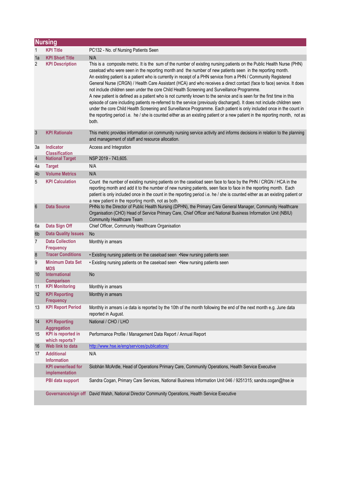|                 | <b>Nursing</b>                              |                                                                                                                                                                                                                                                                                                                                                                                                                                                                                                                                                                                                                                                                                                                                                                                                                                                                                                                                                                                                                                                                                                    |  |
|-----------------|---------------------------------------------|----------------------------------------------------------------------------------------------------------------------------------------------------------------------------------------------------------------------------------------------------------------------------------------------------------------------------------------------------------------------------------------------------------------------------------------------------------------------------------------------------------------------------------------------------------------------------------------------------------------------------------------------------------------------------------------------------------------------------------------------------------------------------------------------------------------------------------------------------------------------------------------------------------------------------------------------------------------------------------------------------------------------------------------------------------------------------------------------------|--|
| 1               | <b>KPI Title</b>                            | PC132 - No. of Nursing Patients Seen                                                                                                                                                                                                                                                                                                                                                                                                                                                                                                                                                                                                                                                                                                                                                                                                                                                                                                                                                                                                                                                               |  |
| 1a              | <b>KPI Short Title</b>                      | N/A                                                                                                                                                                                                                                                                                                                                                                                                                                                                                                                                                                                                                                                                                                                                                                                                                                                                                                                                                                                                                                                                                                |  |
| 2               | <b>KPI Description</b>                      | This is a composite metric. It is the sum of the number of existing nursing patients on the Public Health Nurse (PHN)<br>caseload who were seen in the reporting month and the number of new patients seen in the reporting month.<br>An existing patient is a patient who is currently in receipt of a PHN service from a PHN / Community Registered<br>General Nurse (CRGN) / Health Care Assistant (HCA) and who receives a direct contact (face to face) service. It does<br>not include children seen under the core Child Health Screening and Surveillance Programme.<br>A new patient is defined as a patient who is not currently known to the service and is seen for the first time in this<br>episode of care including patients re-referred to the service (previously discharged). It does not include children seen<br>under the core Child Health Screening and Surveillance Programme. Each patient is only included once in the count in<br>the reporting period i.e. he / she is counted either as an existing patient or a new patient in the reporting month, not as<br>both. |  |
| $\mathbf{3}$    | <b>KPI Rationale</b>                        | This metric provides information on community nursing service activity and informs decisions in relation to the planning<br>and management of staff and resource allocation.                                                                                                                                                                                                                                                                                                                                                                                                                                                                                                                                                                                                                                                                                                                                                                                                                                                                                                                       |  |
| За              | <b>Indicator</b><br><b>Classification</b>   | Access and Integration                                                                                                                                                                                                                                                                                                                                                                                                                                                                                                                                                                                                                                                                                                                                                                                                                                                                                                                                                                                                                                                                             |  |
| $\overline{4}$  | <b>National Target</b>                      | NSP 2019 - 743,605.                                                                                                                                                                                                                                                                                                                                                                                                                                                                                                                                                                                                                                                                                                                                                                                                                                                                                                                                                                                                                                                                                |  |
| 4a              | <b>Target</b>                               | N/A                                                                                                                                                                                                                                                                                                                                                                                                                                                                                                                                                                                                                                                                                                                                                                                                                                                                                                                                                                                                                                                                                                |  |
| 4 <sub>b</sub>  | <b>Volume Metrics</b>                       | N/A                                                                                                                                                                                                                                                                                                                                                                                                                                                                                                                                                                                                                                                                                                                                                                                                                                                                                                                                                                                                                                                                                                |  |
| 5               | <b>KPI Calculation</b>                      | Count the number of existing nursing patients on the caseload seen face to face by the PHN / CRGN / HCA in the<br>reporting month and add it to the number of new nursing patients, seen face to face in the reporting month. Each<br>patient is only included once in the count in the reporting period i.e. he / she is counted either as an existing patient or<br>a new patient in the reporting month, not as both.                                                                                                                                                                                                                                                                                                                                                                                                                                                                                                                                                                                                                                                                           |  |
| $6\phantom{1}6$ | <b>Data Source</b>                          | PHNs to the Director of Public Health Nursing (DPHN), the Primary Care General Manager, Community Healthcare<br>Organisation (CHO) Head of Service Primary Care, Chief Officer and National Business Information Unit (NBIU)<br><b>Community Healthcare Team</b>                                                                                                                                                                                                                                                                                                                                                                                                                                                                                                                                                                                                                                                                                                                                                                                                                                   |  |
| 6a              | Data Sign Off                               | Chief Officer, Community Healthcare Organisation                                                                                                                                                                                                                                                                                                                                                                                                                                                                                                                                                                                                                                                                                                                                                                                                                                                                                                                                                                                                                                                   |  |
| 6 <sub>b</sub>  | <b>Data Quality Issues</b>                  | <b>No</b>                                                                                                                                                                                                                                                                                                                                                                                                                                                                                                                                                                                                                                                                                                                                                                                                                                                                                                                                                                                                                                                                                          |  |
| $\overline{7}$  | <b>Data Collection</b><br><b>Frequency</b>  | Monthly in arrears                                                                                                                                                                                                                                                                                                                                                                                                                                                                                                                                                                                                                                                                                                                                                                                                                                                                                                                                                                                                                                                                                 |  |
| 8               | <b>Tracer Conditions</b>                    | . Existing nursing patients on the caseload seen .New nursing patients seen                                                                                                                                                                                                                                                                                                                                                                                                                                                                                                                                                                                                                                                                                                                                                                                                                                                                                                                                                                                                                        |  |
| 9               | <b>Minimum Data Set</b><br><b>MDS</b>       | • Existing nursing patients on the caseload seen • New nursing patients seen                                                                                                                                                                                                                                                                                                                                                                                                                                                                                                                                                                                                                                                                                                                                                                                                                                                                                                                                                                                                                       |  |
| 10              | <b>International</b><br><b>Comparison</b>   | No                                                                                                                                                                                                                                                                                                                                                                                                                                                                                                                                                                                                                                                                                                                                                                                                                                                                                                                                                                                                                                                                                                 |  |
| 11              | <b>KPI Monitoring</b>                       | Monthly in arrears                                                                                                                                                                                                                                                                                                                                                                                                                                                                                                                                                                                                                                                                                                                                                                                                                                                                                                                                                                                                                                                                                 |  |
| 12              | <b>KPI Reporting</b><br><b>Frequency</b>    | Monthly in arrears                                                                                                                                                                                                                                                                                                                                                                                                                                                                                                                                                                                                                                                                                                                                                                                                                                                                                                                                                                                                                                                                                 |  |
| 13              | <b>KPI Report Period</b>                    | Monthly in arrears i.e data is reported by the 10th of the month following the end of the next month e.g. June data<br>reported in August.                                                                                                                                                                                                                                                                                                                                                                                                                                                                                                                                                                                                                                                                                                                                                                                                                                                                                                                                                         |  |
| 14              | <b>KPI Reporting</b><br><b>Aggregation</b>  | National / CHO / LHO                                                                                                                                                                                                                                                                                                                                                                                                                                                                                                                                                                                                                                                                                                                                                                                                                                                                                                                                                                                                                                                                               |  |
| 15              | <b>KPI</b> is reported in<br>which reports? | Performance Profile / Management Data Report / Annual Report                                                                                                                                                                                                                                                                                                                                                                                                                                                                                                                                                                                                                                                                                                                                                                                                                                                                                                                                                                                                                                       |  |
| 16              | Web link to data                            | http://www.hse.ie/eng/services/publications/                                                                                                                                                                                                                                                                                                                                                                                                                                                                                                                                                                                                                                                                                                                                                                                                                                                                                                                                                                                                                                                       |  |
| 17              | <b>Additional</b><br><b>Information</b>     | N/A                                                                                                                                                                                                                                                                                                                                                                                                                                                                                                                                                                                                                                                                                                                                                                                                                                                                                                                                                                                                                                                                                                |  |
|                 | <b>KPI</b> owner/lead for<br>implementation | Siobhán McArdle, Head of Operations Primary Care, Community Operations, Health Service Executive                                                                                                                                                                                                                                                                                                                                                                                                                                                                                                                                                                                                                                                                                                                                                                                                                                                                                                                                                                                                   |  |
|                 | PBI data support                            | Sandra Cogan, Primary Care Services, National Business Information Unit 046 / 9251315; sandra.cogan@hse.ie                                                                                                                                                                                                                                                                                                                                                                                                                                                                                                                                                                                                                                                                                                                                                                                                                                                                                                                                                                                         |  |
|                 | Governance/sign off                         | David Walsh, National Director Community Operations, Health Service Executive                                                                                                                                                                                                                                                                                                                                                                                                                                                                                                                                                                                                                                                                                                                                                                                                                                                                                                                                                                                                                      |  |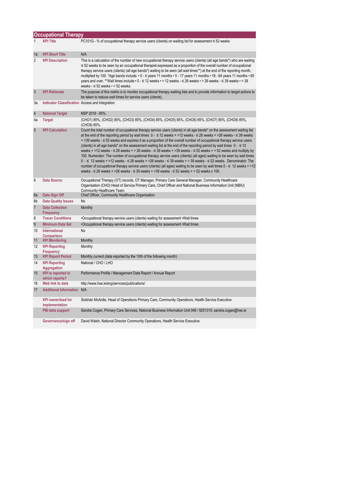|                | <b>Occupational Therapy</b>                     |                                                                                                                                                                                                                                                                                                                                                                                                                                                                                                                                                                                                                                                                                                                                                                                                                                                                                                                                                                                                                                                                                                                 |  |
|----------------|-------------------------------------------------|-----------------------------------------------------------------------------------------------------------------------------------------------------------------------------------------------------------------------------------------------------------------------------------------------------------------------------------------------------------------------------------------------------------------------------------------------------------------------------------------------------------------------------------------------------------------------------------------------------------------------------------------------------------------------------------------------------------------------------------------------------------------------------------------------------------------------------------------------------------------------------------------------------------------------------------------------------------------------------------------------------------------------------------------------------------------------------------------------------------------|--|
| $\mathbf{1}$   | <b>KPI Title</b>                                | PC101G - % of occupational therapy service users (clients) on waiting list for assessment ≤ 52 weeks                                                                                                                                                                                                                                                                                                                                                                                                                                                                                                                                                                                                                                                                                                                                                                                                                                                                                                                                                                                                            |  |
| 1a             | <b>KPI Short Title</b>                          | N/A                                                                                                                                                                                                                                                                                                                                                                                                                                                                                                                                                                                                                                                                                                                                                                                                                                                                                                                                                                                                                                                                                                             |  |
| $\overline{2}$ | <b>KPI Description</b>                          | This is a calculation of the number of new occupational therapy service users (clients) (all age bands*) who are waiting<br>≤ 52 weeks to be seen by an occupational therapist expressed as a proportion of the overall number of occupational<br>therapy service users (clients) (all age bands*) waiting to be seen (all wait times**) at the end of the reporting month,<br>multiplied by 100. *Age bands include: • 0 - 4 years 11 months • 5 - 17 years 11 months • 18 - 64 years 11 months • 65<br>years and over. **Wait times include:• 0 - ≤ 12 weeks • > 12 weeks - ≤ 26 weeks • > 26 weeks - ≤ 39 weeks • > 39<br>weeks - $\leq$ 52 weeks $\cdot$ > 52 weeks.                                                                                                                                                                                                                                                                                                                                                                                                                                        |  |
| $\overline{3}$ | <b>KPI Rationale</b>                            | The purpose of this metric is to monitor occupational therapy waiting lists and to provide information to target actions to<br>be taken to reduce wait times for service users (clients).                                                                                                                                                                                                                                                                                                                                                                                                                                                                                                                                                                                                                                                                                                                                                                                                                                                                                                                       |  |
| За             | Indicator Classification Access and Integration |                                                                                                                                                                                                                                                                                                                                                                                                                                                                                                                                                                                                                                                                                                                                                                                                                                                                                                                                                                                                                                                                                                                 |  |
| $\overline{4}$ | <b>National Target</b>                          | NSP 2019 - 85%.                                                                                                                                                                                                                                                                                                                                                                                                                                                                                                                                                                                                                                                                                                                                                                                                                                                                                                                                                                                                                                                                                                 |  |
| 4a             | <b>Target</b>                                   | (CHO1) 85%, (CHO2) 85%, (CHO3) 85%, (CHO4) 85%, (CHO5) 85%, (CHO6) 85%, (CHO7) 85%, (CHO8) 85%,<br>(CHO9) 85%.                                                                                                                                                                                                                                                                                                                                                                                                                                                                                                                                                                                                                                                                                                                                                                                                                                                                                                                                                                                                  |  |
| 5              | <b>KPI Calculation</b>                          | Count the total number of occupational therapy service users (clients) in all age bands* on the assessment waiting list<br>at the end of the reporting period by wait times $0 - 12$ weeks + >12 weeks - $\leq 26$ weeks + >26 weeks - $\leq 39$ weeks<br>+ >39 weeks - ≤ 52 weeks and express it as a proportion of the overall number of occupational therapy service users<br>(clients) in all age bands* on the assessment waiting list at the end of the reporting period by wait times $0 - \le 12$<br>weeks + >12 weeks - ≤ 26 weeks + > 26 weeks - ≤ 39 weeks + >39 weeks - ≤ 52 weeks + > 52 weeks and multiply by<br>100. Numerator: The number of occupational therapy service users (clients) (all ages) waiting to be seen by wait times<br>$0 - \le 12$ weeks + >12 weeks - ≤ 26 weeks + >26 weeks - ≤ 39 weeks + > 39 weeks - ≤ 52 weeks. Denominator: The<br>number of occupational therapy service users (clients) (all ages) waiting to be seen by wait times 0 - ≤ 12 weeks + >12<br>weeks - $\leq$ 26 weeks + >26 weeks - $\leq$ 39 weeks + >39 weeks - $\leq$ 52 weeks + > 52 weeks x 100. |  |
| 6              | <b>Data Source</b>                              | Occupational Therapy (OT) records, OT Manager, Primary Care General Manager, Community Healthcare<br>Organisation (CHO) Head of Service Primary Care, Chief Officer and National Business Information Unit (NBIU)<br>Community Healthcare Team.                                                                                                                                                                                                                                                                                                                                                                                                                                                                                                                                                                                                                                                                                                                                                                                                                                                                 |  |
| 6a             | Data Sign Off                                   | Chief Officer, Community Healthcare Organisation                                                                                                                                                                                                                                                                                                                                                                                                                                                                                                                                                                                                                                                                                                                                                                                                                                                                                                                                                                                                                                                                |  |
| 6b             | <b>Data Quality Issues</b>                      | No                                                                                                                                                                                                                                                                                                                                                                                                                                                                                                                                                                                                                                                                                                                                                                                                                                                                                                                                                                                                                                                                                                              |  |
| $\overline{7}$ | <b>Data Collection</b><br><b>Frequency</b>      | Monthly                                                                                                                                                                                                                                                                                                                                                                                                                                                                                                                                                                                                                                                                                                                                                                                                                                                                                                                                                                                                                                                                                                         |  |
| 8              | <b>Tracer Conditions</b>                        | •Occupational therapy service users (clients) waiting for assessment • Wait times                                                                                                                                                                                                                                                                                                                                                                                                                                                                                                                                                                                                                                                                                                                                                                                                                                                                                                                                                                                                                               |  |
| 9              | <b>Minimum Data Set</b>                         | •Occupational therapy service users (clients) waiting for assessment • Wait times                                                                                                                                                                                                                                                                                                                                                                                                                                                                                                                                                                                                                                                                                                                                                                                                                                                                                                                                                                                                                               |  |
| 10             | <b>International</b><br><b>Comparison</b>       | No                                                                                                                                                                                                                                                                                                                                                                                                                                                                                                                                                                                                                                                                                                                                                                                                                                                                                                                                                                                                                                                                                                              |  |
| 11             | <b>KPI Monitoring</b>                           | Monthly                                                                                                                                                                                                                                                                                                                                                                                                                                                                                                                                                                                                                                                                                                                                                                                                                                                                                                                                                                                                                                                                                                         |  |
| 12             | <b>KPI Reporting</b><br><b>Frequency</b>        | Monthly                                                                                                                                                                                                                                                                                                                                                                                                                                                                                                                                                                                                                                                                                                                                                                                                                                                                                                                                                                                                                                                                                                         |  |
| 13             | <b>KPI Report Period</b>                        | Monthly current (data reported by the 10th of the following month)                                                                                                                                                                                                                                                                                                                                                                                                                                                                                                                                                                                                                                                                                                                                                                                                                                                                                                                                                                                                                                              |  |
| 14             | <b>KPI Reporting</b><br><b>Aggregation</b>      | National / CHO / LHO                                                                                                                                                                                                                                                                                                                                                                                                                                                                                                                                                                                                                                                                                                                                                                                                                                                                                                                                                                                                                                                                                            |  |
| 15             | <b>KPI</b> is reported in<br>which reports?     | Performance Profile / Management Data Report / Annual Report                                                                                                                                                                                                                                                                                                                                                                                                                                                                                                                                                                                                                                                                                                                                                                                                                                                                                                                                                                                                                                                    |  |
| 16             | Web link to data                                | http://www.hse.ie/eng/services/publications/                                                                                                                                                                                                                                                                                                                                                                                                                                                                                                                                                                                                                                                                                                                                                                                                                                                                                                                                                                                                                                                                    |  |
| 17             | <b>Additional Information N/A</b>               |                                                                                                                                                                                                                                                                                                                                                                                                                                                                                                                                                                                                                                                                                                                                                                                                                                                                                                                                                                                                                                                                                                                 |  |
|                | <b>KPI</b> owner/lead for<br>implementation     | Siobhán McArdle, Head of Operations Primary Care, Community Operations, Health Service Executive                                                                                                                                                                                                                                                                                                                                                                                                                                                                                                                                                                                                                                                                                                                                                                                                                                                                                                                                                                                                                |  |
|                | PBI data support                                | Sandra Cogan, Primary Care Services, National Business Information Unit 046 / 9251315; sandra.cogan@hse.ie                                                                                                                                                                                                                                                                                                                                                                                                                                                                                                                                                                                                                                                                                                                                                                                                                                                                                                                                                                                                      |  |
|                | Governance/sign off                             | David Walsh, National Director Community Operations, Health Service Executive                                                                                                                                                                                                                                                                                                                                                                                                                                                                                                                                                                                                                                                                                                                                                                                                                                                                                                                                                                                                                                   |  |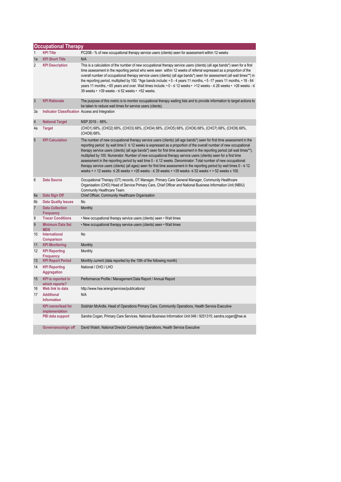|                | <b>Occupational Therapy</b>                                 |                                                                                                                                                                                                                                                                                                                                                                                                                                                                                                                                                                                                                                                                                                                                                                                                                                                                             |  |
|----------------|-------------------------------------------------------------|-----------------------------------------------------------------------------------------------------------------------------------------------------------------------------------------------------------------------------------------------------------------------------------------------------------------------------------------------------------------------------------------------------------------------------------------------------------------------------------------------------------------------------------------------------------------------------------------------------------------------------------------------------------------------------------------------------------------------------------------------------------------------------------------------------------------------------------------------------------------------------|--|
| $\mathbf{1}$   | <b>KPI Title</b>                                            | PC20B - % of new occupational therapy service users (clients) seen for assessment within 12 weeks                                                                                                                                                                                                                                                                                                                                                                                                                                                                                                                                                                                                                                                                                                                                                                           |  |
| 1a             | <b>KPI Short Title</b>                                      | N/A                                                                                                                                                                                                                                                                                                                                                                                                                                                                                                                                                                                                                                                                                                                                                                                                                                                                         |  |
| $\overline{2}$ | <b>KPI Description</b>                                      | This is a calculation of the number of new occupational therapy service users (clients) (all age bands*) seen for a first<br>time assessment in the reporting period who were seen within 12 weeks of referral expressed as a proportion of the<br>overall number of occupational therapy service users (clients) (all age bands*) seen for assessment (all wait times**) in<br>the reporting period, multiplied by 100. *Age bands include: $\cdot$ 0 - 4 years 11 months, $\cdot$ 5 -17 years 11 months, $\cdot$ 18 - 64<br>years 11 months, • 65 years and over. Wait times include: • 0 - ≤ 12 weeks • >12 weeks - ≤ 26 weeks • >26 weeks - ≤<br>39 weeks • > 39 weeks - $\leq$ 52 weeks • > 52 weeks.                                                                                                                                                                  |  |
| 3              | <b>KPI Rationale</b>                                        | The purpose of this metric is to monitor occupational therapy waiting lists and to provide information to target actions to<br>be taken to reduce wait times for service users (clients).                                                                                                                                                                                                                                                                                                                                                                                                                                                                                                                                                                                                                                                                                   |  |
| Зa             | Indicator Classification Access and Integration             |                                                                                                                                                                                                                                                                                                                                                                                                                                                                                                                                                                                                                                                                                                                                                                                                                                                                             |  |
| $\overline{4}$ | <b>National Target</b>                                      | NSP 2019 - 68%.                                                                                                                                                                                                                                                                                                                                                                                                                                                                                                                                                                                                                                                                                                                                                                                                                                                             |  |
| 4a             | <b>Target</b>                                               | (CHO1) 68%, (CHO2) 68%, (CHO3) 68%, (CHO4) 68%, (CHO5) 68%, (CHO6) 68%, (CHO7) 68%, (CHO8) 68%,<br>(CHO9) 68%.                                                                                                                                                                                                                                                                                                                                                                                                                                                                                                                                                                                                                                                                                                                                                              |  |
| 5              | <b>KPI Calculation</b>                                      | The number of new occupational therapy service users (clients) (all age bands*) seen for first time assessment in the<br>reporting period by wait time $0 \le 12$ weeks is expressed as a proportion of the overall number of new occupational<br>therapy service users (clients) (all age bands*) seen for first time assessment in the reporting period (all wait times**),<br>multiplied by 100. Numerator: Number of new occupational therapy service users (clients) seen for a first time<br>assessment in the reporting period by wait time $0 - \le 12$ weeks. Denominator: Total number of new occupational<br>therapy service users (clients) (all ages) seen for first time assessment in the reporting period by wait times $0 - \le 12$<br>weeks + > 12 weeks- $\leq$ 26 weeks + > 26 weeks - $\leq$ 39 weeks + > 39 weeks $\leq$ 52 weeks + > 52 weeks x 100. |  |
| 6              | <b>Data Source</b>                                          | Occupational Therapy (OT) records, OT Manager, Primary Care General Manager, Community Healthcare<br>Organisation (CHO) Head of Service Primary Care, Chief Officer and National Business Information Unit (NBIU)<br>Community Healthcare Team.                                                                                                                                                                                                                                                                                                                                                                                                                                                                                                                                                                                                                             |  |
| 6a             | Data Sign Off                                               | Chief Officer, Community Healthcare Organisation                                                                                                                                                                                                                                                                                                                                                                                                                                                                                                                                                                                                                                                                                                                                                                                                                            |  |
| 6b             | <b>Data Quality Issues</b>                                  | No                                                                                                                                                                                                                                                                                                                                                                                                                                                                                                                                                                                                                                                                                                                                                                                                                                                                          |  |
| $\overline{7}$ | <b>Data Collection</b><br><b>Frequency</b>                  | Monthly                                                                                                                                                                                                                                                                                                                                                                                                                                                                                                                                                                                                                                                                                                                                                                                                                                                                     |  |
| 8              | <b>Tracer Conditions</b>                                    | . New occupational therapy service users (clients) seen . Wait times                                                                                                                                                                                                                                                                                                                                                                                                                                                                                                                                                                                                                                                                                                                                                                                                        |  |
| 9              | <b>Minimum Data Set</b><br><b>MDS</b>                       | . New occupational therapy service users (clients) seen . Wait times                                                                                                                                                                                                                                                                                                                                                                                                                                                                                                                                                                                                                                                                                                                                                                                                        |  |
| 10             | International<br><b>Comparison</b>                          | No                                                                                                                                                                                                                                                                                                                                                                                                                                                                                                                                                                                                                                                                                                                                                                                                                                                                          |  |
| 11             | <b>KPI Monitoring</b>                                       | Monthly                                                                                                                                                                                                                                                                                                                                                                                                                                                                                                                                                                                                                                                                                                                                                                                                                                                                     |  |
| 12             | <b>KPI Reporting</b><br><b>Frequency</b>                    | Monthly                                                                                                                                                                                                                                                                                                                                                                                                                                                                                                                                                                                                                                                                                                                                                                                                                                                                     |  |
| 13             | <b>KPI Report Period</b>                                    | Monthly current (data reported by the 10th of the following month)                                                                                                                                                                                                                                                                                                                                                                                                                                                                                                                                                                                                                                                                                                                                                                                                          |  |
| 14             | <b>KPI Reporting</b><br><b>Aggregation</b>                  | National / CHO / LHO                                                                                                                                                                                                                                                                                                                                                                                                                                                                                                                                                                                                                                                                                                                                                                                                                                                        |  |
| 15             | <b>KPI</b> is reported in<br>which reports?                 | Performance Profile / Management Data Report / Annual Report                                                                                                                                                                                                                                                                                                                                                                                                                                                                                                                                                                                                                                                                                                                                                                                                                |  |
| 16<br>17       | Web link to data<br><b>Additional</b><br><b>Information</b> | http://www.hse.ie/eng/services/publications/<br>N/A                                                                                                                                                                                                                                                                                                                                                                                                                                                                                                                                                                                                                                                                                                                                                                                                                         |  |
|                | <b>KPI owner/lead for</b><br>implementation                 | Siobhán McArdle, Head of Operations Primary Care, Community Operations, Health Service Executive                                                                                                                                                                                                                                                                                                                                                                                                                                                                                                                                                                                                                                                                                                                                                                            |  |
|                | PBI data support                                            | Sandra Cogan, Primary Care Services, National Business Information Unit 046 / 9251315; sandra.cogan@hse.ie                                                                                                                                                                                                                                                                                                                                                                                                                                                                                                                                                                                                                                                                                                                                                                  |  |
|                | Governance/sign off                                         | David Walsh, National Director Community Operations, Health Service Executive                                                                                                                                                                                                                                                                                                                                                                                                                                                                                                                                                                                                                                                                                                                                                                                               |  |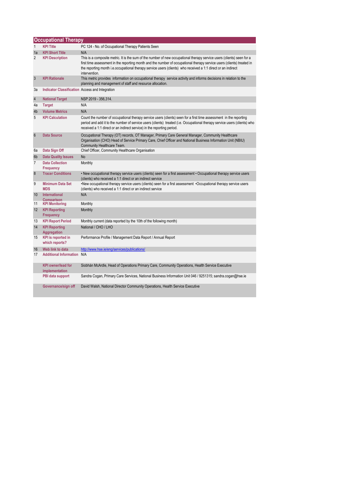|                      | <b>Occupational Therapy</b>                      |                                                                                                                                                                                                                                                                                                                                                                                            |  |
|----------------------|--------------------------------------------------|--------------------------------------------------------------------------------------------------------------------------------------------------------------------------------------------------------------------------------------------------------------------------------------------------------------------------------------------------------------------------------------------|--|
| $\mathbf{1}$         | <b>KPI Title</b>                                 | PC 124 - No. of Occupational Therapy Patients Seen                                                                                                                                                                                                                                                                                                                                         |  |
| 1a<br>$\overline{2}$ | <b>KPI Short Title</b><br><b>KPI Description</b> | N/A<br>This is a composite metric. It is the sum of the number of new occupational therapy service users (clients) seen for a<br>first time assessment in the reporting month and the number of occupational therapy service users (clients) treated in<br>the reporting month i.e. occupational therapy service users (clients) who received a 1:1 direct or an indirect<br>intervention. |  |
| $\mathbf{3}$         | <b>KPI Rationale</b>                             | This metric provides information on occupational therapy service activity and informs decisions in relation to the<br>planning and management of staff and resource allocation.                                                                                                                                                                                                            |  |
| За                   | Indicator Classification Access and Integration  |                                                                                                                                                                                                                                                                                                                                                                                            |  |
| $\overline{4}$       | <b>National Target</b>                           | NSP 2019 - 356,314.                                                                                                                                                                                                                                                                                                                                                                        |  |
| 4a                   | <b>Target</b>                                    | N/A                                                                                                                                                                                                                                                                                                                                                                                        |  |
| 4b                   | <b>Volume Metrics</b>                            | N/A                                                                                                                                                                                                                                                                                                                                                                                        |  |
| 5                    | <b>KPI Calculation</b>                           | Count the number of occupational therapy service users (clients) seen for a first time assessment in the reporting<br>period and add it to the number of service users (clients) treated (i.e. Occupational therapy service users (clients) who<br>received a 1:1 direct or an indirect service) in the reporting period.                                                                  |  |
| $6\phantom{1}6$      | <b>Data Source</b>                               | Occupational Therapy (OT) records, OT Manager, Primary Care General Manager, Community Healthcare<br>Organisation (CHO) Head of Service Primary Care, Chief Officer and National Business Information Unit (NBIU)<br>Community Healthcare Team.                                                                                                                                            |  |
| 6а                   | Data Sign Off                                    | Chief Officer, Community Healthcare Organisation                                                                                                                                                                                                                                                                                                                                           |  |
| 6b                   | <b>Data Quality Issues</b>                       | No                                                                                                                                                                                                                                                                                                                                                                                         |  |
| $\overline{7}$       | <b>Data Collection</b><br><b>Frequency</b>       | Monthly                                                                                                                                                                                                                                                                                                                                                                                    |  |
| $\delta$             | <b>Tracer Conditions</b>                         | • New occupational therapy service users (clients) seen for a first assessment • Occupational therapy service users<br>(clients) who received a 1:1 direct or an indirect service                                                                                                                                                                                                          |  |
| 9                    | <b>Minimum Data Set</b><br><b>MDS</b>            | •New occupational therapy service users (clients) seen for a first assessment •Occupational therapy service users<br>(clients) who received a 1:1 direct or an indirect service                                                                                                                                                                                                            |  |
| 10                   | <b>International</b><br>Comparison               | N/A                                                                                                                                                                                                                                                                                                                                                                                        |  |
| 11                   | <b>KPI Monitoring</b>                            | Monthly                                                                                                                                                                                                                                                                                                                                                                                    |  |
| 12                   | <b>KPI Reporting</b><br><b>Frequency</b>         | Monthly                                                                                                                                                                                                                                                                                                                                                                                    |  |
| 13                   | <b>KPI Report Period</b>                         | Monthly current (data reported by the 10th of the following month)                                                                                                                                                                                                                                                                                                                         |  |
| 14                   | <b>KPI Reporting</b><br><b>Aggregation</b>       | National / CHO / LHO                                                                                                                                                                                                                                                                                                                                                                       |  |
| 15                   | <b>KPI</b> is reported in<br>which reports?      | Performance Profile / Management Data Report / Annual Report                                                                                                                                                                                                                                                                                                                               |  |
| 16                   | Web link to data                                 | http://www.hse.ie/eng/services/publications/                                                                                                                                                                                                                                                                                                                                               |  |
| 17                   | <b>Additional Information N/A</b>                |                                                                                                                                                                                                                                                                                                                                                                                            |  |
|                      | <b>KPI</b> owner/lead for<br>implementation      | Siobhán McArdle, Head of Operations Primary Care, Community Operations, Health Service Executive                                                                                                                                                                                                                                                                                           |  |
|                      | PBI data support                                 | Sandra Cogan, Primary Care Services, National Business Information Unit 046 / 9251315; sandra.cogan@hse.ie                                                                                                                                                                                                                                                                                 |  |
|                      | Governance/sign off                              | David Walsh, National Director Community Operations, Health Service Executive                                                                                                                                                                                                                                                                                                              |  |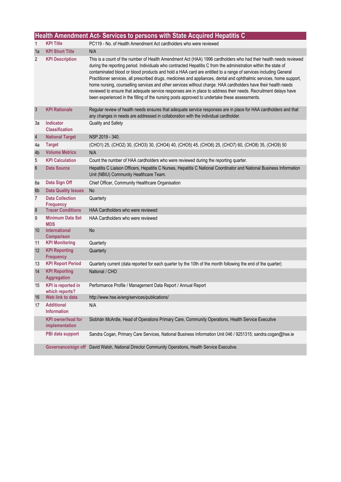|                 |                                             | Health Amendment Act- Services to persons with State Acquired Hepatitis C                                                                                                                                                                                                                                                                                                                                                                                                                                                                                                                                                                                                                                                                                                                                          |
|-----------------|---------------------------------------------|--------------------------------------------------------------------------------------------------------------------------------------------------------------------------------------------------------------------------------------------------------------------------------------------------------------------------------------------------------------------------------------------------------------------------------------------------------------------------------------------------------------------------------------------------------------------------------------------------------------------------------------------------------------------------------------------------------------------------------------------------------------------------------------------------------------------|
| 1               | <b>KPI Title</b>                            | PC119 - No. of Health Amendment Act cardholders who were reviewed                                                                                                                                                                                                                                                                                                                                                                                                                                                                                                                                                                                                                                                                                                                                                  |
| 1a              | <b>KPI Short Title</b>                      | N/A                                                                                                                                                                                                                                                                                                                                                                                                                                                                                                                                                                                                                                                                                                                                                                                                                |
| 2               | <b>KPI Description</b>                      | This is a count of the number of Health Amendment Act (HAA) 1996 cardholders who had their health needs reviewed<br>during the reporting period. Individuals who contracted Hepatitis C from the administration within the state of<br>contaminated blood or blood products and hold a HAA card are entitled to a range of services including General<br>Practitioner services, all prescribed drugs, medicines and appliances, dental and ophthalmic services, home support,<br>home nursing, counselling services and other services without charge. HAA cardholders have their health needs<br>reviewed to ensure that adequate service responses are in place to address their needs. Recruitment delays have<br>been experienced in the filling of the nursing posts approved to undertake these assessments. |
| $\mathbf{3}$    | <b>KPI Rationale</b>                        | Regular review of health needs ensures that adequate service responses are in place for HAA cardholders and that<br>any changes in needs are addressed in collaboration with the individual cardholder.                                                                                                                                                                                                                                                                                                                                                                                                                                                                                                                                                                                                            |
| За              | Indicator<br><b>Classification</b>          | Quality and Safety                                                                                                                                                                                                                                                                                                                                                                                                                                                                                                                                                                                                                                                                                                                                                                                                 |
| $\overline{4}$  | <b>National Target</b>                      | NSP 2019 - 340.                                                                                                                                                                                                                                                                                                                                                                                                                                                                                                                                                                                                                                                                                                                                                                                                    |
| 4a              | <b>Target</b>                               | (CHO1) 25, (CHO2) 30, (CHO3) 30, (CHO4) 40, (CHO5) 45, (CHO6) 25, (CHO7) 60, (CHO8) 35, (CHO9) 50                                                                                                                                                                                                                                                                                                                                                                                                                                                                                                                                                                                                                                                                                                                  |
| 4 <sub>b</sub>  | <b>Volume Metrics</b>                       | N/A                                                                                                                                                                                                                                                                                                                                                                                                                                                                                                                                                                                                                                                                                                                                                                                                                |
| 5               | <b>KPI Calculation</b>                      | Count the number of HAA cardholders who were reviewed during the reporting quarter.                                                                                                                                                                                                                                                                                                                                                                                                                                                                                                                                                                                                                                                                                                                                |
| $6\phantom{1}6$ | <b>Data Source</b>                          | Hepatitis C Liaison Officers, Hepatitis C Nurses, Hepatitis C National Coordinator and National Business Information<br>Unit (NBIU) Community Healthcare Team.                                                                                                                                                                                                                                                                                                                                                                                                                                                                                                                                                                                                                                                     |
| 6а              | Data Sign Off                               | Chief Officer, Community Healthcare Organisation                                                                                                                                                                                                                                                                                                                                                                                                                                                                                                                                                                                                                                                                                                                                                                   |
| 6b              | <b>Data Quality Issues</b>                  | <b>No</b>                                                                                                                                                                                                                                                                                                                                                                                                                                                                                                                                                                                                                                                                                                                                                                                                          |
| $\overline{7}$  | <b>Data Collection</b><br><b>Frequency</b>  | Quarterly                                                                                                                                                                                                                                                                                                                                                                                                                                                                                                                                                                                                                                                                                                                                                                                                          |
| $\bf 8$         | <b>Tracer Conditions</b>                    | <b>HAA Cardholders who were reviewed</b>                                                                                                                                                                                                                                                                                                                                                                                                                                                                                                                                                                                                                                                                                                                                                                           |
| 9               | <b>Minimum Data Set</b><br><b>MDS</b>       | <b>HAA Cardholders who were reviewed</b>                                                                                                                                                                                                                                                                                                                                                                                                                                                                                                                                                                                                                                                                                                                                                                           |
| 10              | <b>International</b><br><b>Comparison</b>   | No                                                                                                                                                                                                                                                                                                                                                                                                                                                                                                                                                                                                                                                                                                                                                                                                                 |
| 11              | <b>KPI Monitoring</b>                       | Quarterly                                                                                                                                                                                                                                                                                                                                                                                                                                                                                                                                                                                                                                                                                                                                                                                                          |
| 12              | <b>KPI Reporting</b><br><b>Frequency</b>    | Quarterly                                                                                                                                                                                                                                                                                                                                                                                                                                                                                                                                                                                                                                                                                                                                                                                                          |
| 13              | <b>KPI Report Period</b>                    | Quarterly current (data reported for each quarter by the 10th of the month following the end of the quarter)                                                                                                                                                                                                                                                                                                                                                                                                                                                                                                                                                                                                                                                                                                       |
| 14              | <b>KPI Reporting</b><br><b>Aggregation</b>  | National / CHO                                                                                                                                                                                                                                                                                                                                                                                                                                                                                                                                                                                                                                                                                                                                                                                                     |
| 15              | <b>KPI</b> is reported in<br>which reports? | Performance Profile / Management Data Report / Annual Report                                                                                                                                                                                                                                                                                                                                                                                                                                                                                                                                                                                                                                                                                                                                                       |
| 16              | Web link to data                            | http://www.hse.ie/eng/services/publications/                                                                                                                                                                                                                                                                                                                                                                                                                                                                                                                                                                                                                                                                                                                                                                       |
| 17              | <b>Additional</b><br><b>Information</b>     | N/A                                                                                                                                                                                                                                                                                                                                                                                                                                                                                                                                                                                                                                                                                                                                                                                                                |
|                 | <b>KPI owner/lead for</b><br>implementation | Siobhán McArdle, Head of Operations Primary Care, Community Operations, Health Service Executive                                                                                                                                                                                                                                                                                                                                                                                                                                                                                                                                                                                                                                                                                                                   |
|                 | PBI data support                            | Sandra Cogan, Primary Care Services, National Business Information Unit 046 / 9251315; sandra.cogan@hse.ie                                                                                                                                                                                                                                                                                                                                                                                                                                                                                                                                                                                                                                                                                                         |
|                 |                                             | Governance/sign off David Walsh, National Director Community Operations, Health Service Executive.                                                                                                                                                                                                                                                                                                                                                                                                                                                                                                                                                                                                                                                                                                                 |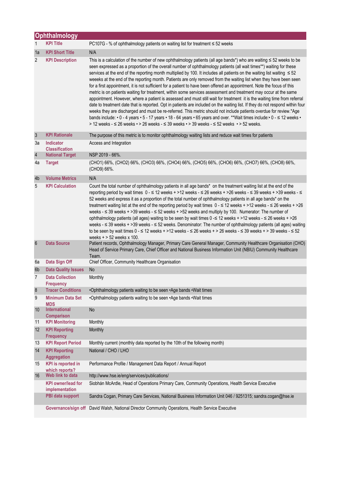|                 | <b>Ophthalmology</b>                          |                                                                                                                                                                                                                                                                                                                                                                                                                                                                                                                                                                                                                                                                                                                                                                                                                                                                                                                                                                                                                                                                                                                                                                                                                                                                                                                                                              |
|-----------------|-----------------------------------------------|--------------------------------------------------------------------------------------------------------------------------------------------------------------------------------------------------------------------------------------------------------------------------------------------------------------------------------------------------------------------------------------------------------------------------------------------------------------------------------------------------------------------------------------------------------------------------------------------------------------------------------------------------------------------------------------------------------------------------------------------------------------------------------------------------------------------------------------------------------------------------------------------------------------------------------------------------------------------------------------------------------------------------------------------------------------------------------------------------------------------------------------------------------------------------------------------------------------------------------------------------------------------------------------------------------------------------------------------------------------|
| 1               | <b>KPI Title</b>                              | PC107G - % of ophthalmology patients on waiting list for treatment $\leq$ 52 weeks                                                                                                                                                                                                                                                                                                                                                                                                                                                                                                                                                                                                                                                                                                                                                                                                                                                                                                                                                                                                                                                                                                                                                                                                                                                                           |
| 1a              | <b>KPI Short Title</b>                        | N/A                                                                                                                                                                                                                                                                                                                                                                                                                                                                                                                                                                                                                                                                                                                                                                                                                                                                                                                                                                                                                                                                                                                                                                                                                                                                                                                                                          |
| 2               | <b>KPI Description</b>                        | This is a calculation of the number of new ophthalmology patients (all age bands*) who are waiting $\leq$ 52 weeks to be<br>seen expressed as a proportion of the overall number of ophthalmology patients (all wait times**) waiting for these<br>services at the end of the reporting month multiplied by 100. It includes all patients on the waiting list waiting ≤ 52<br>weeeks at the end of the reporting month. Patients are only removed from the waiting list when they have been seen<br>for a first appointment, it is not sufficient for a patient to have been offered an appointment. Note the focus of this<br>metric is on patients waiting for treatment, within some services assessment and treatment may occur at the same<br>appointment. However, where a patient is assessed and must still wait for treatment it is the waiting time from referral<br>date to treatment date that is reported. Opt in patients are included on the waiting list. If they do not respond within four<br>weeks they are discharged and must be re-referred. This metric should not include patients overdue for review.*Age<br>bands include: • 0 - 4 years • 5 - 17 years • 18 - 64 years • 65 years and over. **Wait times include: • 0 - ≤ 12 weeks •<br>> 12 weeks - ≤ 26 weeks • > 26 weeks - ≤ 39 weeks • > 39 weeks - ≤ 52 weeks • > 52 weeks. |
| $\mathbf{3}$    | <b>KPI Rationale</b>                          | The purpose of this metric is to monitor ophthalmology waiting lists and reduce wait times for patients                                                                                                                                                                                                                                                                                                                                                                                                                                                                                                                                                                                                                                                                                                                                                                                                                                                                                                                                                                                                                                                                                                                                                                                                                                                      |
| За              | <b>Indicator</b><br><b>Classification</b>     | Access and Integration                                                                                                                                                                                                                                                                                                                                                                                                                                                                                                                                                                                                                                                                                                                                                                                                                                                                                                                                                                                                                                                                                                                                                                                                                                                                                                                                       |
| $\overline{4}$  | <b>National Target</b>                        | NSP 2019 - 66%.                                                                                                                                                                                                                                                                                                                                                                                                                                                                                                                                                                                                                                                                                                                                                                                                                                                                                                                                                                                                                                                                                                                                                                                                                                                                                                                                              |
| 4a              | <b>Target</b>                                 | (CHO1) 66%, (CHO2) 66%, (CHO3) 66%, (CHO4) 66%, (CHO5) 66%, (CHO6) 66%, (CHO7) 66%, (CHO8) 66%,<br>(CHO9) 66%.                                                                                                                                                                                                                                                                                                                                                                                                                                                                                                                                                                                                                                                                                                                                                                                                                                                                                                                                                                                                                                                                                                                                                                                                                                               |
| 4 <sub>b</sub>  | <b>Volume Metrics</b>                         | N/A                                                                                                                                                                                                                                                                                                                                                                                                                                                                                                                                                                                                                                                                                                                                                                                                                                                                                                                                                                                                                                                                                                                                                                                                                                                                                                                                                          |
| 5               | <b>KPI Calculation</b>                        | Count the total number of ophthalmology patients in all age bands* on the treatment waiting list at the end of the<br>reporting period by wait times 0 - ≤ 12 weeks + >12 weeks - ≤ 26 weeks + >26 weeks - ≤ 39 weeks + >39 weeks - ≤<br>52 weeks and express it as a proportion of the total number of ophthalmology patients in all age bands* on the<br>treatment waiting list at the end of the reporting period by wait times $0 - \le 12$ weeks + >12 weeks - $\le 26$ weeks + >26<br>weeks - $\leq$ 39 weeks + > 39 weeks - $\leq$ 52 weeks + > 52 weeks and multiply by 100. Numerator: The number of<br>ophthalmology patients (all ages) waiting to be seen by wait times $0 \le 12$ weeks + >12 weeks - $\le 26$ weeks + >26<br>weeks - ≤ 39 weeks + >39 weeks - ≤ 52 weeks. Denominator: The number of ophthalmology patients (all ages) waiting<br>to be seen by wait times $0 - 12$ weeks + >12 weeks - $\leq 26$ weeks + > 26 weeks - $\leq 39$ weeks + > 39 weeks - $\leq 52$<br>weeks $+$ > 52 weeks x 100.                                                                                                                                                                                                                                                                                                                                 |
| $6\phantom{1}6$ | <b>Data Source</b>                            | Patient records, Ophthalmology Manager, Primary Care General Manager, Community Healthcare Organisation (CHO)<br>Head of Service Primary Care, Chief Officer and National Business Information Unit (NBIU) Community Healthcare<br>Team.                                                                                                                                                                                                                                                                                                                                                                                                                                                                                                                                                                                                                                                                                                                                                                                                                                                                                                                                                                                                                                                                                                                     |
| 6a              | Data Sign Off                                 | Chief Officer, Community Healthcare Organisation                                                                                                                                                                                                                                                                                                                                                                                                                                                                                                                                                                                                                                                                                                                                                                                                                                                                                                                                                                                                                                                                                                                                                                                                                                                                                                             |
| 6 <sub>b</sub>  | <b>Data Quality Issues</b>                    | No                                                                                                                                                                                                                                                                                                                                                                                                                                                                                                                                                                                                                                                                                                                                                                                                                                                                                                                                                                                                                                                                                                                                                                                                                                                                                                                                                           |
| $\overline{7}$  | <b>Data Collection</b><br><b>Frequency</b>    | Monthly                                                                                                                                                                                                                                                                                                                                                                                                                                                                                                                                                                                                                                                                                                                                                                                                                                                                                                                                                                                                                                                                                                                                                                                                                                                                                                                                                      |
| 8               | <b>Tracer Conditions</b>                      | •Ophthalmology patients waiting to be seen •Age bands •Wait times                                                                                                                                                                                                                                                                                                                                                                                                                                                                                                                                                                                                                                                                                                                                                                                                                                                                                                                                                                                                                                                                                                                                                                                                                                                                                            |
| 9               | <b>Minimum Data Set</b><br><b>MDS</b>         | .Ophthalmology patients waiting to be seen .Age bands .Wait times                                                                                                                                                                                                                                                                                                                                                                                                                                                                                                                                                                                                                                                                                                                                                                                                                                                                                                                                                                                                                                                                                                                                                                                                                                                                                            |
| 10              | <b>International</b><br><b>Comparison</b>     | No                                                                                                                                                                                                                                                                                                                                                                                                                                                                                                                                                                                                                                                                                                                                                                                                                                                                                                                                                                                                                                                                                                                                                                                                                                                                                                                                                           |
| 11              | <b>KPI Monitoring</b>                         | Monthly                                                                                                                                                                                                                                                                                                                                                                                                                                                                                                                                                                                                                                                                                                                                                                                                                                                                                                                                                                                                                                                                                                                                                                                                                                                                                                                                                      |
| 12              | <b>KPI Reporting</b><br>Frequency             | Monthly                                                                                                                                                                                                                                                                                                                                                                                                                                                                                                                                                                                                                                                                                                                                                                                                                                                                                                                                                                                                                                                                                                                                                                                                                                                                                                                                                      |
| 13              | <b>KPI Report Period</b>                      | Monthly current (monthly data reported by the 10th of the following month)                                                                                                                                                                                                                                                                                                                                                                                                                                                                                                                                                                                                                                                                                                                                                                                                                                                                                                                                                                                                                                                                                                                                                                                                                                                                                   |
| 14              | <b>KPI Reporting</b><br><b>Aggregation</b>    | National / CHO / LHO                                                                                                                                                                                                                                                                                                                                                                                                                                                                                                                                                                                                                                                                                                                                                                                                                                                                                                                                                                                                                                                                                                                                                                                                                                                                                                                                         |
| 15              | <b>KPI</b> is reported in<br>which reports?   | Performance Profile / Management Data Report / Annual Report                                                                                                                                                                                                                                                                                                                                                                                                                                                                                                                                                                                                                                                                                                                                                                                                                                                                                                                                                                                                                                                                                                                                                                                                                                                                                                 |
| 16              | Web link to data<br><b>KPI owner/lead for</b> | http://www.hse.ie/eng/services/publications/                                                                                                                                                                                                                                                                                                                                                                                                                                                                                                                                                                                                                                                                                                                                                                                                                                                                                                                                                                                                                                                                                                                                                                                                                                                                                                                 |
|                 | implementation                                | Siobhán McArdle, Head of Operations Primary Care, Community Operations, Health Service Executive                                                                                                                                                                                                                                                                                                                                                                                                                                                                                                                                                                                                                                                                                                                                                                                                                                                                                                                                                                                                                                                                                                                                                                                                                                                             |
|                 | PBI data support                              | Sandra Cogan, Primary Care Services, National Business Information Unit 046 / 9251315; sandra.cogan@hse.ie                                                                                                                                                                                                                                                                                                                                                                                                                                                                                                                                                                                                                                                                                                                                                                                                                                                                                                                                                                                                                                                                                                                                                                                                                                                   |
|                 |                                               | Governance/sign off David Walsh, National Director Community Operations, Health Service Executive                                                                                                                                                                                                                                                                                                                                                                                                                                                                                                                                                                                                                                                                                                                                                                                                                                                                                                                                                                                                                                                                                                                                                                                                                                                            |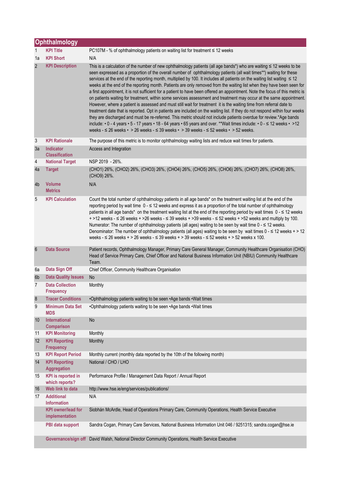|                 | Ophthalmology                               |                                                                                                                                                                                                                                                                                                                                                                                                                                                                                                                                                                                                                                                                                                                                                                                                                                                                                                                                                                                                                                                                                                                                                                                                                                                                                                                                                                            |
|-----------------|---------------------------------------------|----------------------------------------------------------------------------------------------------------------------------------------------------------------------------------------------------------------------------------------------------------------------------------------------------------------------------------------------------------------------------------------------------------------------------------------------------------------------------------------------------------------------------------------------------------------------------------------------------------------------------------------------------------------------------------------------------------------------------------------------------------------------------------------------------------------------------------------------------------------------------------------------------------------------------------------------------------------------------------------------------------------------------------------------------------------------------------------------------------------------------------------------------------------------------------------------------------------------------------------------------------------------------------------------------------------------------------------------------------------------------|
| $\mathbf{1}$    | <b>KPI Title</b>                            | PC107M - % of ophthalmology patients on waiting list for treatment ≤ 12 weeks                                                                                                                                                                                                                                                                                                                                                                                                                                                                                                                                                                                                                                                                                                                                                                                                                                                                                                                                                                                                                                                                                                                                                                                                                                                                                              |
| 1a              | <b>KPI Short</b>                            | N/A                                                                                                                                                                                                                                                                                                                                                                                                                                                                                                                                                                                                                                                                                                                                                                                                                                                                                                                                                                                                                                                                                                                                                                                                                                                                                                                                                                        |
| $\overline{2}$  | <b>KPI Description</b>                      | This is a calculation of the number of new ophthalmology patients (all age bands*) who are waiting $\leq 12$ weeks to be<br>seen expressed as a proportion of the overall number of ophthalmology patients (all wait times**) waiting for these<br>services at the end of the reporting month, multiplied by 100. It includes all patients on the waiting list waiting ≤ 12<br>weeks at the end of the reporting month. Patients are only removed from the waiting list when they have been seen for<br>a first appointment, it is not sufficient for a patient to have been offered an appointment. Note the focus of this metric is<br>on patients waiting for treatment, within some services assessment and treatment may occur at the same appointment.<br>However, where a patient is assessed and must still wait for treatment it is the waiting time from referral date to<br>treatment date that is reported. Opt in patients are included on the waiting list. If they do not respond within four weeks<br>they are discharged and must be re-referred. This metric should not include patients overdue for review.*Age bands<br>include: • 0 - 4 years • 5 - 17 years • 18 - 64 years • 65 years and over. **Wait times include: • 0 - ≤ 12 weeks • >12<br>weeks - $\leq$ 26 weeks • > 26 weeks - $\leq$ 39 weeks • > 39 weeks - $\leq$ 52 weeks • > 52 weeks. |
| 3               | <b>KPI Rationale</b>                        | The purpose of this metric is to monitor ophthalmology waiting lists and reduce wait times for patients.                                                                                                                                                                                                                                                                                                                                                                                                                                                                                                                                                                                                                                                                                                                                                                                                                                                                                                                                                                                                                                                                                                                                                                                                                                                                   |
| 3a              | Indicator<br><b>Classification</b>          | Access and Integration                                                                                                                                                                                                                                                                                                                                                                                                                                                                                                                                                                                                                                                                                                                                                                                                                                                                                                                                                                                                                                                                                                                                                                                                                                                                                                                                                     |
| 4               | <b>National Target</b>                      | NSP 2019 - 26%.                                                                                                                                                                                                                                                                                                                                                                                                                                                                                                                                                                                                                                                                                                                                                                                                                                                                                                                                                                                                                                                                                                                                                                                                                                                                                                                                                            |
| 4a              | <b>Target</b>                               | (CHO1) 26%, (CHO2) 26%, (CHO3) 26%, (CHO4) 26%, (CHO5) 26%, (CHO6) 26%, (CHO7) 26%, (CHO8) 26%,<br>(CHO9) 26%.                                                                                                                                                                                                                                                                                                                                                                                                                                                                                                                                                                                                                                                                                                                                                                                                                                                                                                                                                                                                                                                                                                                                                                                                                                                             |
| 4 <sub>b</sub>  | <b>Volume</b><br><b>Metrics</b>             | N/A                                                                                                                                                                                                                                                                                                                                                                                                                                                                                                                                                                                                                                                                                                                                                                                                                                                                                                                                                                                                                                                                                                                                                                                                                                                                                                                                                                        |
| 5               | <b>KPI Calculation</b>                      | Count the total number of ophthalmology patients in all age bands* on the treatment waiting list at the end of the<br>reporting period by wait time $0 - 12$ weeks and express it as a proportion of the total number of ophthalmology<br>patients in all age bands* on the treatment waiting list at the end of the reporting period by wait times 0 - ≤ 12 weeks<br>$+$ >12 weeks - $\leq$ 26 weeks + >26 weeks - $\leq$ 39 weeks + >39 weeks - $\leq$ 52 weeks + >52 weeks and multiply by 100.<br>Numerator: The number of ophthalmology patients (all ages) waiting to be seen by wait time $0 - \le 12$ weeks.<br>Denominator: The number of ophthalmology patients (all ages) waiting to be seen by wait times $0 - \le 12$ weeks + > 12<br>weeks - $\leq$ 26 weeks + > 26 weeks - $\leq$ 39 weeks + > 39 weeks - $\leq$ 52 weeks + > 52 weeks x 100.                                                                                                                                                                                                                                                                                                                                                                                                                                                                                                               |
| $6\phantom{1}6$ | <b>Data Source</b>                          | Patient records, Ophthalmology Manager, Primary Care General Manager, Community Healthcare Organisation (CHO)<br>Head of Service Primary Care, Chief Officer and National Business Information Unit (NBIU) Community Healthcare<br>Team.                                                                                                                                                                                                                                                                                                                                                                                                                                                                                                                                                                                                                                                                                                                                                                                                                                                                                                                                                                                                                                                                                                                                   |
| 6a              | Data Sign Off                               | Chief Officer, Community Healthcare Organisation                                                                                                                                                                                                                                                                                                                                                                                                                                                                                                                                                                                                                                                                                                                                                                                                                                                                                                                                                                                                                                                                                                                                                                                                                                                                                                                           |
| 6 <sub>b</sub>  | <b>Data Quality Issues</b>                  | <b>No</b>                                                                                                                                                                                                                                                                                                                                                                                                                                                                                                                                                                                                                                                                                                                                                                                                                                                                                                                                                                                                                                                                                                                                                                                                                                                                                                                                                                  |
| $\overline{7}$  | <b>Data Collection</b><br><b>Frequency</b>  | Monthly                                                                                                                                                                                                                                                                                                                                                                                                                                                                                                                                                                                                                                                                                                                                                                                                                                                                                                                                                                                                                                                                                                                                                                                                                                                                                                                                                                    |
| $\bf 8$         | <b>Tracer Conditions</b>                    | .Ophthalmology patients waiting to be seen .Age bands .Wait times                                                                                                                                                                                                                                                                                                                                                                                                                                                                                                                                                                                                                                                                                                                                                                                                                                                                                                                                                                                                                                                                                                                                                                                                                                                                                                          |
| 9               | <b>Minimum Data Set</b><br><b>MDS</b>       | •Ophthalmology patients waiting to be seen •Age bands •Wait times                                                                                                                                                                                                                                                                                                                                                                                                                                                                                                                                                                                                                                                                                                                                                                                                                                                                                                                                                                                                                                                                                                                                                                                                                                                                                                          |
| 10              | <b>International</b><br><b>Comparison</b>   | No                                                                                                                                                                                                                                                                                                                                                                                                                                                                                                                                                                                                                                                                                                                                                                                                                                                                                                                                                                                                                                                                                                                                                                                                                                                                                                                                                                         |
| 11              | <b>KPI Monitoring</b>                       | Monthly                                                                                                                                                                                                                                                                                                                                                                                                                                                                                                                                                                                                                                                                                                                                                                                                                                                                                                                                                                                                                                                                                                                                                                                                                                                                                                                                                                    |
| 12              | <b>KPI Reporting</b><br><b>Frequency</b>    | Monthly                                                                                                                                                                                                                                                                                                                                                                                                                                                                                                                                                                                                                                                                                                                                                                                                                                                                                                                                                                                                                                                                                                                                                                                                                                                                                                                                                                    |
| 13              | <b>KPI Report Period</b>                    | Monthly current (monthly data reported by the 10th of the following month)                                                                                                                                                                                                                                                                                                                                                                                                                                                                                                                                                                                                                                                                                                                                                                                                                                                                                                                                                                                                                                                                                                                                                                                                                                                                                                 |
| 14              | <b>KPI Reporting</b><br><b>Aggregation</b>  | National / CHO / LHO                                                                                                                                                                                                                                                                                                                                                                                                                                                                                                                                                                                                                                                                                                                                                                                                                                                                                                                                                                                                                                                                                                                                                                                                                                                                                                                                                       |
| 15              | <b>KPI</b> is reported in<br>which reports? | Performance Profile / Management Data Report / Annual Report                                                                                                                                                                                                                                                                                                                                                                                                                                                                                                                                                                                                                                                                                                                                                                                                                                                                                                                                                                                                                                                                                                                                                                                                                                                                                                               |
| 16              | Web link to data                            | http://www.hse.ie/eng/services/publications/                                                                                                                                                                                                                                                                                                                                                                                                                                                                                                                                                                                                                                                                                                                                                                                                                                                                                                                                                                                                                                                                                                                                                                                                                                                                                                                               |
| 17              | <b>Additional</b><br><b>Information</b>     | N/A                                                                                                                                                                                                                                                                                                                                                                                                                                                                                                                                                                                                                                                                                                                                                                                                                                                                                                                                                                                                                                                                                                                                                                                                                                                                                                                                                                        |
|                 | <b>KPI</b> owner/lead for<br>implementation | Siobhán McArdle, Head of Operations Primary Care, Community Operations, Health Service Executive                                                                                                                                                                                                                                                                                                                                                                                                                                                                                                                                                                                                                                                                                                                                                                                                                                                                                                                                                                                                                                                                                                                                                                                                                                                                           |
|                 | PBI data support                            | Sandra Cogan, Primary Care Services, National Business Information Unit 046 / 9251315; sandra.cogan@hse.ie                                                                                                                                                                                                                                                                                                                                                                                                                                                                                                                                                                                                                                                                                                                                                                                                                                                                                                                                                                                                                                                                                                                                                                                                                                                                 |
|                 | Governance/sign off                         | David Walsh, National Director Community Operations, Health Service Executive                                                                                                                                                                                                                                                                                                                                                                                                                                                                                                                                                                                                                                                                                                                                                                                                                                                                                                                                                                                                                                                                                                                                                                                                                                                                                              |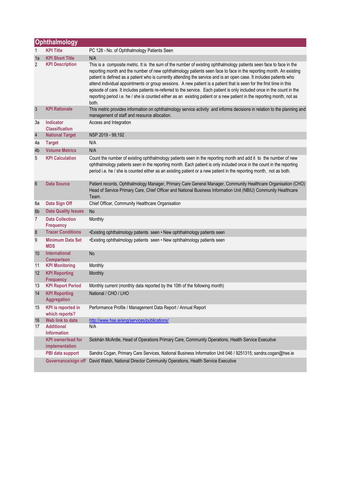|                  | Ophthalmology                               |                                                                                                                                                                                                                                                                                                                                                                                                                                                                                                                                                                                                                                                                                                                                                           |  |
|------------------|---------------------------------------------|-----------------------------------------------------------------------------------------------------------------------------------------------------------------------------------------------------------------------------------------------------------------------------------------------------------------------------------------------------------------------------------------------------------------------------------------------------------------------------------------------------------------------------------------------------------------------------------------------------------------------------------------------------------------------------------------------------------------------------------------------------------|--|
| 1                | <b>KPI Title</b>                            | PC 128 - No. of Ophthalmology Patients Seen                                                                                                                                                                                                                                                                                                                                                                                                                                                                                                                                                                                                                                                                                                               |  |
| 1a               | <b>KPI Short Title</b>                      | N/A                                                                                                                                                                                                                                                                                                                                                                                                                                                                                                                                                                                                                                                                                                                                                       |  |
| 2                | <b>KPI Description</b>                      | This is a composite metric. It is the sum of the number of existing ophthalmology patients seen face to face in the<br>reporting month and the number of new ophthalmology patients seen face to face in the reporting month. An existing<br>patient is defined as a patient who is currently attending the service and is an open case. It includes patients who<br>attend individual appointments or group sessions. A new patient is a patient that is seen for the first time in this<br>episode of care. It includes patients re-referred to the service. Each patient is only included once in the count in the<br>reporting period i.e. he / she is counted either as an existing patient or a new patient in the reporting month, not as<br>both. |  |
| $\mathbf{3}$     | <b>KPI Rationale</b>                        | This metric provides information on ophthalmology service activity and informs decisions in relation to the planning and<br>management of staff and resource allocation.                                                                                                                                                                                                                                                                                                                                                                                                                                                                                                                                                                                  |  |
| За               | <b>Indicator</b><br><b>Classification</b>   | Access and Integration                                                                                                                                                                                                                                                                                                                                                                                                                                                                                                                                                                                                                                                                                                                                    |  |
| $\sqrt{4}$       | <b>National Target</b>                      | NSP 2019 - 99,192                                                                                                                                                                                                                                                                                                                                                                                                                                                                                                                                                                                                                                                                                                                                         |  |
| 4a               | <b>Target</b>                               | N/A                                                                                                                                                                                                                                                                                                                                                                                                                                                                                                                                                                                                                                                                                                                                                       |  |
| 4b               | <b>Volume Metrics</b>                       | N/A                                                                                                                                                                                                                                                                                                                                                                                                                                                                                                                                                                                                                                                                                                                                                       |  |
| 5                | <b>KPI Calculation</b>                      | Count the number of existing ophthalmology patients seen in the reporting month and add it to the number of new<br>ophthalmology patients seen in the reporting month. Each patient is only included once in the count in the reporting<br>period i.e. he / she is counted either as an existing patient or a new patient in the reporting month, not as both.                                                                                                                                                                                                                                                                                                                                                                                            |  |
| $6\phantom{1}6$  | <b>Data Source</b>                          | Patient records, Ophthalmology Manager, Primary Care General Manager, Community Healthcare Organisation (CHO)<br>Head of Service Primary Care, Chief Officer and National Business Information Unit (NBIU) Community Healthcare<br>Team.                                                                                                                                                                                                                                                                                                                                                                                                                                                                                                                  |  |
| 6a               | Data Sign Off                               | Chief Officer, Community Healthcare Organisation                                                                                                                                                                                                                                                                                                                                                                                                                                                                                                                                                                                                                                                                                                          |  |
| 6 <sub>b</sub>   | <b>Data Quality Issues</b>                  | No                                                                                                                                                                                                                                                                                                                                                                                                                                                                                                                                                                                                                                                                                                                                                        |  |
| $\overline{7}$   | <b>Data Collection</b><br><b>Frequency</b>  | Monthly                                                                                                                                                                                                                                                                                                                                                                                                                                                                                                                                                                                                                                                                                                                                                   |  |
| $\boldsymbol{8}$ | <b>Tracer Conditions</b>                    | •Existing ophthalmology patients seen • New ophthalmology patients seen                                                                                                                                                                                                                                                                                                                                                                                                                                                                                                                                                                                                                                                                                   |  |
| 9                | <b>Minimum Data Set</b><br><b>MDS</b>       | •Existing ophthalmology patients seen • New ophthalmology patients seen                                                                                                                                                                                                                                                                                                                                                                                                                                                                                                                                                                                                                                                                                   |  |
| 10               | International<br><b>Comparison</b>          | No                                                                                                                                                                                                                                                                                                                                                                                                                                                                                                                                                                                                                                                                                                                                                        |  |
| 11               | <b>KPI Monitoring</b>                       | Monthly                                                                                                                                                                                                                                                                                                                                                                                                                                                                                                                                                                                                                                                                                                                                                   |  |
| 12               | <b>KPI Reporting</b><br><b>Frequency</b>    | Monthly                                                                                                                                                                                                                                                                                                                                                                                                                                                                                                                                                                                                                                                                                                                                                   |  |
| 13               | <b>KPI Report Period</b>                    | Monthly current (monthly data reported by the 10th of the following month)                                                                                                                                                                                                                                                                                                                                                                                                                                                                                                                                                                                                                                                                                |  |
| 14               | <b>KPI Reporting</b><br><b>Aggregation</b>  | National / CHO / LHO                                                                                                                                                                                                                                                                                                                                                                                                                                                                                                                                                                                                                                                                                                                                      |  |
| 15               | <b>KPI</b> is reported in<br>which reports? | Performance Profile / Management Data Report / Annual Report                                                                                                                                                                                                                                                                                                                                                                                                                                                                                                                                                                                                                                                                                              |  |
| 16               | Web link to data                            | http://www.hse.ie/eng/services/publications/                                                                                                                                                                                                                                                                                                                                                                                                                                                                                                                                                                                                                                                                                                              |  |
| 17               | <b>Additional</b><br><b>Information</b>     | N/A                                                                                                                                                                                                                                                                                                                                                                                                                                                                                                                                                                                                                                                                                                                                                       |  |
|                  | <b>KPI</b> owner/lead for<br>implementation | Siobhán McArdle, Head of Operations Primary Care, Community Operations, Health Service Executive                                                                                                                                                                                                                                                                                                                                                                                                                                                                                                                                                                                                                                                          |  |
|                  | PBI data support                            | Sandra Cogan, Primary Care Services, National Business Information Unit 046 / 9251315; sandra.cogan@hse.ie                                                                                                                                                                                                                                                                                                                                                                                                                                                                                                                                                                                                                                                |  |
|                  | Governance/sign off                         | David Walsh, National Director Community Operations, Health Service Executive                                                                                                                                                                                                                                                                                                                                                                                                                                                                                                                                                                                                                                                                             |  |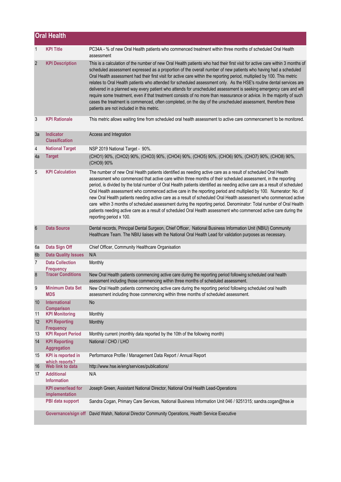|                 | <b>Oral Health</b>                           |                                                                                                                                                                                                                                                                                                                                                                                                                                                                                                                                                                                                                                                                                                                                                                                                                                                                                                                  |
|-----------------|----------------------------------------------|------------------------------------------------------------------------------------------------------------------------------------------------------------------------------------------------------------------------------------------------------------------------------------------------------------------------------------------------------------------------------------------------------------------------------------------------------------------------------------------------------------------------------------------------------------------------------------------------------------------------------------------------------------------------------------------------------------------------------------------------------------------------------------------------------------------------------------------------------------------------------------------------------------------|
| 1               | <b>KPI Title</b>                             | PC34A - % of new Oral Health patients who commenced treatment within three months of scheduled Oral Health<br>assessment                                                                                                                                                                                                                                                                                                                                                                                                                                                                                                                                                                                                                                                                                                                                                                                         |
| $\overline{2}$  | <b>KPI Description</b>                       | This is a calculation of the number of new Oral Health patients who had their first visit for active care within 3 months of<br>scheduled assessment expressed as a proportion of the overall number of new patients who having had a scheduled<br>Oral Health assessment had their first visit for active care within the reporting period, multiplied by 100. This metric<br>relates to Oral Health patients who attended for scheduled assessment only. As the HSE's routine dental services are<br>delivered in a planned way every patient who attends for unscheduled assessment is seeking emergency care and will<br>require some treatment, even if that treatment consists of no more than reassurance or advice. In the majority of such<br>cases the treatment is commenced, often completed, on the day of the unscheduled assessment, therefore these<br>patients are not included in this metric. |
| 3               | <b>KPI Rationale</b>                         | This metric allows waiting time from scheduled oral health assessment to active care commencement to be monitored.                                                                                                                                                                                                                                                                                                                                                                                                                                                                                                                                                                                                                                                                                                                                                                                               |
| За              | Indicator<br><b>Classification</b>           | Access and Integration                                                                                                                                                                                                                                                                                                                                                                                                                                                                                                                                                                                                                                                                                                                                                                                                                                                                                           |
| 4               | <b>National Target</b>                       | NSP 2019 National Target - 90%.                                                                                                                                                                                                                                                                                                                                                                                                                                                                                                                                                                                                                                                                                                                                                                                                                                                                                  |
| 4a              | <b>Target</b>                                | (CHO1) 90%, (CHO2) 90%, (CHO3) 90%, (CHO4) 90%, (CHO5) 90%, (CHO6) 90%, (CHO7) 90%, (CHO8) 90%,<br>(CHO9) 90%                                                                                                                                                                                                                                                                                                                                                                                                                                                                                                                                                                                                                                                                                                                                                                                                    |
| 5               | <b>KPI Calculation</b>                       | The number of new Oral Health patients identified as needing active care as a result of scheduled Oral Health<br>assessment who commenced that active care within three months of their scheduled assessment, in the reporting<br>period, is divided by the total number of Oral Health patients identified as needing active care as a result of scheduled<br>Oral Health assessment who commenced active care in the reporting period and multiplied by 100. Numerator: No. of<br>new Oral Health patients needing active care as a result of scheduled Oral Health assessment who commenced active<br>care within 3 months of scheduled assessment during the reporting period. Denominator: Total number of Oral Health<br>patients needing active care as a result of scheduled Oral Health assessment who commenced active care during the<br>reporting period x 100.                                      |
| $6\phantom{1}6$ | <b>Data Source</b>                           | Dental records, Principal Dental Surgeon, Chief Officer, National Business Information Unit (NBIU) Community<br>Healthcare Team. The NBIU liaises with the National Oral Health Lead for validation purposes as necessary.                                                                                                                                                                                                                                                                                                                                                                                                                                                                                                                                                                                                                                                                                       |
| 6а              | Data Sign Off                                | Chief Officer, Community Healthcare Organisation                                                                                                                                                                                                                                                                                                                                                                                                                                                                                                                                                                                                                                                                                                                                                                                                                                                                 |
| 6b              | <b>Data Quality Issues</b>                   | N/A                                                                                                                                                                                                                                                                                                                                                                                                                                                                                                                                                                                                                                                                                                                                                                                                                                                                                                              |
| 7               | <b>Data Collection</b><br><b>Frequency</b>   | Monthly                                                                                                                                                                                                                                                                                                                                                                                                                                                                                                                                                                                                                                                                                                                                                                                                                                                                                                          |
| 8               | <b>Tracer Conditions</b>                     | New Oral Health patients commencing active care during the reporting period following scheduled oral health<br>asessment including those commencing within three months of scheduled assessment.                                                                                                                                                                                                                                                                                                                                                                                                                                                                                                                                                                                                                                                                                                                 |
| 9               | <b>Minimum Data Set</b><br><b>MDS</b>        | New Oral Health patients commencing active care during the reporting period following scheduled oral health<br>assessment including those commencing within three months of scheduled assessment.                                                                                                                                                                                                                                                                                                                                                                                                                                                                                                                                                                                                                                                                                                                |
| 10              | International<br><b>Comparison</b>           | No                                                                                                                                                                                                                                                                                                                                                                                                                                                                                                                                                                                                                                                                                                                                                                                                                                                                                                               |
| 11              | <b>KPI Monitoring</b>                        | Monthly                                                                                                                                                                                                                                                                                                                                                                                                                                                                                                                                                                                                                                                                                                                                                                                                                                                                                                          |
| 12              | <b>KPI Reporting</b>                         | Monthly                                                                                                                                                                                                                                                                                                                                                                                                                                                                                                                                                                                                                                                                                                                                                                                                                                                                                                          |
| 13              | <b>Frequency</b><br><b>KPI Report Period</b> | Monthly current (monthly data reported by the 10th of the following month)                                                                                                                                                                                                                                                                                                                                                                                                                                                                                                                                                                                                                                                                                                                                                                                                                                       |
| 14              | <b>KPI Reporting</b><br><b>Aggregation</b>   | National / CHO / LHO                                                                                                                                                                                                                                                                                                                                                                                                                                                                                                                                                                                                                                                                                                                                                                                                                                                                                             |
| 15              | <b>KPI</b> is reported in                    | Performance Profile / Management Data Report / Annual Report                                                                                                                                                                                                                                                                                                                                                                                                                                                                                                                                                                                                                                                                                                                                                                                                                                                     |
| 16              | which reports?<br>Web link to data           | http://www.hse.ie/eng/services/publications/                                                                                                                                                                                                                                                                                                                                                                                                                                                                                                                                                                                                                                                                                                                                                                                                                                                                     |
| 17              | <b>Additional</b><br><b>Information</b>      | N/A                                                                                                                                                                                                                                                                                                                                                                                                                                                                                                                                                                                                                                                                                                                                                                                                                                                                                                              |
|                 | <b>KPI</b> owner/lead for<br>implementation  | Joseph Green, Assistant National Director, National Oral Health Lead-Operations                                                                                                                                                                                                                                                                                                                                                                                                                                                                                                                                                                                                                                                                                                                                                                                                                                  |
|                 | PBI data support                             | Sandra Cogan, Primary Care Services, National Business Information Unit 046 / 9251315; sandra.cogan@hse.ie                                                                                                                                                                                                                                                                                                                                                                                                                                                                                                                                                                                                                                                                                                                                                                                                       |
|                 | Governance/sign off                          | David Walsh, National Director Community Operations, Health Service Executive                                                                                                                                                                                                                                                                                                                                                                                                                                                                                                                                                                                                                                                                                                                                                                                                                                    |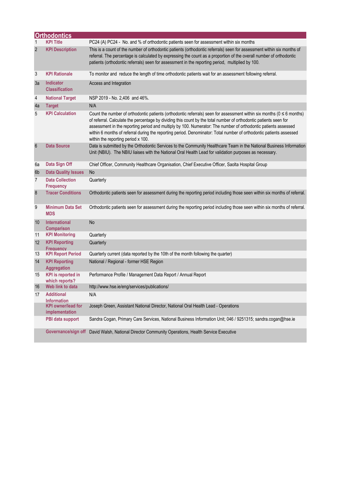|                 | <b>Orthodontics</b>                         |                                                                                                                                                                                                                                                                                                                                                                                                                                                                                                                                |
|-----------------|---------------------------------------------|--------------------------------------------------------------------------------------------------------------------------------------------------------------------------------------------------------------------------------------------------------------------------------------------------------------------------------------------------------------------------------------------------------------------------------------------------------------------------------------------------------------------------------|
| $\mathbf 1$     | <b>KPI Title</b>                            | PC24 (A) PC24 - No. and % of orthodontic patients seen for assessment within six months                                                                                                                                                                                                                                                                                                                                                                                                                                        |
| $\overline{2}$  | <b>KPI Description</b>                      | This is a count of the number of orthodontic patients (orthodontic referrals) seen for assessment within six months of<br>referral. The percentage is calculated by expressing the count as a proportion of the overall number of orthodontic<br>patients (orthodontic referrals) seen for assessment in the reporting period, multiplied by 100.                                                                                                                                                                              |
| 3               | <b>KPI Rationale</b>                        | To monitor and reduce the length of time orthodontic patients wait for an assessment following referral.                                                                                                                                                                                                                                                                                                                                                                                                                       |
| 3a              | Indicator<br><b>Classification</b>          | Access and Integration                                                                                                                                                                                                                                                                                                                                                                                                                                                                                                         |
| 4               | <b>National Target</b>                      | NSP 2019 - No. 2,406 and 46%.                                                                                                                                                                                                                                                                                                                                                                                                                                                                                                  |
| 4a              | <b>Target</b>                               | N/A                                                                                                                                                                                                                                                                                                                                                                                                                                                                                                                            |
| 5               | <b>KPI Calculation</b>                      | Count the number of orthodontic patients (orthodontic referrals) seen for assessment within six months ( $0 \le 6$ months)<br>of referral. Calculate the percentage by dividing this count by the total number of orthodontic patients seen for<br>assessment in the reporting period and multiply by 100. Numerator: The number of orthodontic patients assessed<br>within 6 months of referral during the reporting period. Denominator: Total number of orthodontic patients assessed<br>within the reporting period x 100. |
| $6\phantom{1}6$ | <b>Data Source</b>                          | Data is submitted by the Orthodontic Services to the Community Healthcare Team in the National Business Information<br>Unit (NBIU). The NBIU liaises with the National Oral Health Lead for validation purposes as necessary.                                                                                                                                                                                                                                                                                                  |
| 6а              | Data Sign Off                               | Chief Officer, Community Healthcare Organisation, Chief Executive Officer, Saolta Hospital Group                                                                                                                                                                                                                                                                                                                                                                                                                               |
| 6b              | <b>Data Quality Issues</b>                  | No                                                                                                                                                                                                                                                                                                                                                                                                                                                                                                                             |
| 7               | <b>Data Collection</b><br><b>Frequency</b>  | Quarterly                                                                                                                                                                                                                                                                                                                                                                                                                                                                                                                      |
| 8               | <b>Tracer Conditions</b>                    | Orthodontic patients seen for assessment during the reporting period including those seen within six months of referral.                                                                                                                                                                                                                                                                                                                                                                                                       |
| 9               | <b>Minimum Data Set</b><br><b>MDS</b>       | Orthodontic patients seen for assessment during the reporting period including those seen within six months of referral.                                                                                                                                                                                                                                                                                                                                                                                                       |
| 10              | <b>International</b><br><b>Comparison</b>   | No                                                                                                                                                                                                                                                                                                                                                                                                                                                                                                                             |
| 11              | <b>KPI Monitoring</b>                       | Quarterly                                                                                                                                                                                                                                                                                                                                                                                                                                                                                                                      |
| 12              | <b>KPI Reporting</b><br><b>Frequency</b>    | Quarterly                                                                                                                                                                                                                                                                                                                                                                                                                                                                                                                      |
| 13              | <b>KPI Report Period</b>                    | Quarterly current (data reported by the 10th of the month following the quarter)                                                                                                                                                                                                                                                                                                                                                                                                                                               |
| 14              | <b>KPI Reporting</b><br><b>Aggregation</b>  | National / Regional - former HSE Region                                                                                                                                                                                                                                                                                                                                                                                                                                                                                        |
| 15              | <b>KPI</b> is reported in<br>which reports? | Performance Profile / Management Data Report / Annual Report                                                                                                                                                                                                                                                                                                                                                                                                                                                                   |
| 16              | Web link to data                            | http://www.hse.ie/eng/services/publications/                                                                                                                                                                                                                                                                                                                                                                                                                                                                                   |
| 17              | <b>Additional</b><br><b>Information</b>     | N/A                                                                                                                                                                                                                                                                                                                                                                                                                                                                                                                            |
|                 | <b>KPI</b> owner/lead for<br>implementation | Joseph Green, Assistant National Director, National Oral Health Lead - Operations                                                                                                                                                                                                                                                                                                                                                                                                                                              |
|                 | PBI data support                            | Sandra Cogan, Primary Care Services, National Business Information Unit; 046 / 9251315; sandra.cogan@hse.ie                                                                                                                                                                                                                                                                                                                                                                                                                    |
|                 |                                             | Governance/sign off David Walsh, National Director Community Operations, Health Service Executive                                                                                                                                                                                                                                                                                                                                                                                                                              |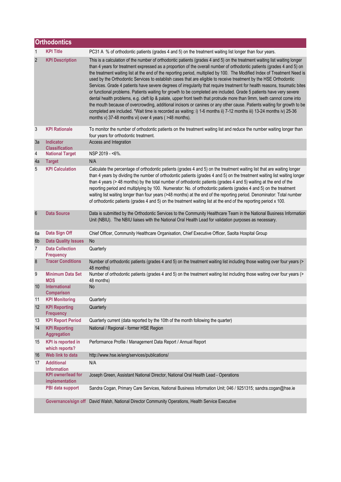|                | <b>Orthodontics</b>                         |                                                                                                                                                                                                                                                                                                                                                                                                                                                                                                                                                                                                                                                                                                                                                                                                                                                                                                                                                                                                                                                                                                                                                                                                 |  |  |
|----------------|---------------------------------------------|-------------------------------------------------------------------------------------------------------------------------------------------------------------------------------------------------------------------------------------------------------------------------------------------------------------------------------------------------------------------------------------------------------------------------------------------------------------------------------------------------------------------------------------------------------------------------------------------------------------------------------------------------------------------------------------------------------------------------------------------------------------------------------------------------------------------------------------------------------------------------------------------------------------------------------------------------------------------------------------------------------------------------------------------------------------------------------------------------------------------------------------------------------------------------------------------------|--|--|
| 1              | <b>KPI Title</b>                            | PC31 A % of orthodontic patients (grades 4 and 5) on the treatment waiting list longer than four years.                                                                                                                                                                                                                                                                                                                                                                                                                                                                                                                                                                                                                                                                                                                                                                                                                                                                                                                                                                                                                                                                                         |  |  |
| $\overline{2}$ | <b>KPI Description</b>                      | This is a calculation of the number of orthodontic patients (grades 4 and 5) on the treatment waiting list waiting longer<br>than 4 years for treatment expressed as a proportion of the overall number of orthodontic patients (grades 4 and 5) on<br>the treatment waiting list at the end of the reporting period, multiplied by 100. The Modified Index of Treatment Need is<br>used by the Orthodontic Services to establish cases that are eligible to receive treatment by the HSE Orthodontic<br>Services. Grade 4 patients have severe degrees of irregularity that require treatment for health reasons, traumatic bites<br>or functional problems. Patients waiting for growth to be completed are included. Grade 5 patients have very severe<br>dental health problems, e.g. cleft lip & palate, upper front teeth that protrude more than 9mm, teeth cannot come into<br>the mouth because of overcrowding, additional incisors or canines or any other cause. Patients waiting for growth to be<br>completed are included. *Wait time is recorded as waiting: i) 1-6 months ii) 7-12 months iii) 13-24 months iv) 25-36<br>months v) 37-48 months vi) over 4 years (>48 months). |  |  |
| 3              | <b>KPI Rationale</b>                        | To monitor the number of orthodontic patients on the treatment waiting list and reduce the number waiting longer than<br>four years for orthodontic treatment.                                                                                                                                                                                                                                                                                                                                                                                                                                                                                                                                                                                                                                                                                                                                                                                                                                                                                                                                                                                                                                  |  |  |
| 3a             | Indicator<br><b>Classification</b>          | Access and Integration                                                                                                                                                                                                                                                                                                                                                                                                                                                                                                                                                                                                                                                                                                                                                                                                                                                                                                                                                                                                                                                                                                                                                                          |  |  |
| 4              | <b>National Target</b>                      | NSP 2019 - <6%.                                                                                                                                                                                                                                                                                                                                                                                                                                                                                                                                                                                                                                                                                                                                                                                                                                                                                                                                                                                                                                                                                                                                                                                 |  |  |
| 4a             | <b>Target</b>                               | N/A                                                                                                                                                                                                                                                                                                                                                                                                                                                                                                                                                                                                                                                                                                                                                                                                                                                                                                                                                                                                                                                                                                                                                                                             |  |  |
| 5              | <b>KPI Calculation</b>                      | Calculate the percentage of orthodontic patients (grades 4 and 5) on the treatment waiting list that are waiting longer<br>than 4 years by dividing the number of orthodontic patients (grades 4 and 5) on the treatment waiting list waiting longer<br>than 4 years (> 48 months) by the total number of orthodontic patients (grades 4 and 5) waiting at the end of the<br>reporting period and multiplying by 100. Numerator: No. of orthodontic patients (grades 4 and 5) on the treatment<br>waiting list waiting longer than four years (>48 months) at the end of the reporting period. Denominator: Total number<br>of orthodontic patients (grades 4 and 5) on the treatment waiting list at the end of the reporting period x 100.                                                                                                                                                                                                                                                                                                                                                                                                                                                    |  |  |
| 6              | <b>Data Source</b>                          | Data is submitted by the Orthodontic Services to the Community Healthcare Team in the National Business Information<br>Unit (NBIU). The NBIU liaises with the National Oral Health Lead for validation purposes as necessary.                                                                                                                                                                                                                                                                                                                                                                                                                                                                                                                                                                                                                                                                                                                                                                                                                                                                                                                                                                   |  |  |
| 6a             | Data Sign Off                               | Chief Officer, Community Healthcare Organisation, Chief Executive Officer, Saolta Hospital Group                                                                                                                                                                                                                                                                                                                                                                                                                                                                                                                                                                                                                                                                                                                                                                                                                                                                                                                                                                                                                                                                                                |  |  |
| 6 <sub>b</sub> | <b>Data Quality Issues</b>                  | <b>No</b>                                                                                                                                                                                                                                                                                                                                                                                                                                                                                                                                                                                                                                                                                                                                                                                                                                                                                                                                                                                                                                                                                                                                                                                       |  |  |
| $\overline{7}$ | <b>Data Collection</b><br><b>Frequency</b>  | Quarterly                                                                                                                                                                                                                                                                                                                                                                                                                                                                                                                                                                                                                                                                                                                                                                                                                                                                                                                                                                                                                                                                                                                                                                                       |  |  |
| 8              | <b>Tracer Conditions</b>                    | Number of orthodontic patients (grades 4 and 5) on the treatment waiting list including those waiting over four years (><br>48 months)                                                                                                                                                                                                                                                                                                                                                                                                                                                                                                                                                                                                                                                                                                                                                                                                                                                                                                                                                                                                                                                          |  |  |
| 9              | <b>Minimum Data Set</b><br><b>MDS</b>       | Number of orthodontic patients (grades 4 and 5) on the treatment waiting list including those waiting over four years (><br>48 months)                                                                                                                                                                                                                                                                                                                                                                                                                                                                                                                                                                                                                                                                                                                                                                                                                                                                                                                                                                                                                                                          |  |  |
| 10             | <b>International</b><br><b>Comparison</b>   | No                                                                                                                                                                                                                                                                                                                                                                                                                                                                                                                                                                                                                                                                                                                                                                                                                                                                                                                                                                                                                                                                                                                                                                                              |  |  |
| 11             | <b>KPI Monitoring</b>                       | Quarterly                                                                                                                                                                                                                                                                                                                                                                                                                                                                                                                                                                                                                                                                                                                                                                                                                                                                                                                                                                                                                                                                                                                                                                                       |  |  |
| 12             | <b>KPI Reporting</b><br><b>Frequency</b>    | Quarterly                                                                                                                                                                                                                                                                                                                                                                                                                                                                                                                                                                                                                                                                                                                                                                                                                                                                                                                                                                                                                                                                                                                                                                                       |  |  |
| 13             | <b>KPI Report Period</b>                    | Quarterly current (data reported by the 10th of the month following the quarter)                                                                                                                                                                                                                                                                                                                                                                                                                                                                                                                                                                                                                                                                                                                                                                                                                                                                                                                                                                                                                                                                                                                |  |  |
| 14             | <b>KPI Reporting</b><br>Aggregation         | National / Regional - former HSE Region                                                                                                                                                                                                                                                                                                                                                                                                                                                                                                                                                                                                                                                                                                                                                                                                                                                                                                                                                                                                                                                                                                                                                         |  |  |
| 15             | <b>KPI</b> is reported in<br>which reports? | Performance Profile / Management Data Report / Annual Report                                                                                                                                                                                                                                                                                                                                                                                                                                                                                                                                                                                                                                                                                                                                                                                                                                                                                                                                                                                                                                                                                                                                    |  |  |
| 16             | Web link to data                            | http://www.hse.ie/eng/services/publications/                                                                                                                                                                                                                                                                                                                                                                                                                                                                                                                                                                                                                                                                                                                                                                                                                                                                                                                                                                                                                                                                                                                                                    |  |  |
| 17             | <b>Additional</b><br><b>Information</b>     | N/A                                                                                                                                                                                                                                                                                                                                                                                                                                                                                                                                                                                                                                                                                                                                                                                                                                                                                                                                                                                                                                                                                                                                                                                             |  |  |
|                | <b>KPI</b> owner/lead for<br>implementation | Joseph Green, Assistant National Director, National Oral Health Lead - Operations                                                                                                                                                                                                                                                                                                                                                                                                                                                                                                                                                                                                                                                                                                                                                                                                                                                                                                                                                                                                                                                                                                               |  |  |
|                | PBI data support                            | Sandra Cogan, Primary Care Services, National Business Information Unit; 046 / 9251315; sandra.cogan@hse.ie                                                                                                                                                                                                                                                                                                                                                                                                                                                                                                                                                                                                                                                                                                                                                                                                                                                                                                                                                                                                                                                                                     |  |  |
|                |                                             | Governance/sign off David Walsh, National Director Community Operations, Health Service Executive                                                                                                                                                                                                                                                                                                                                                                                                                                                                                                                                                                                                                                                                                                                                                                                                                                                                                                                                                                                                                                                                                               |  |  |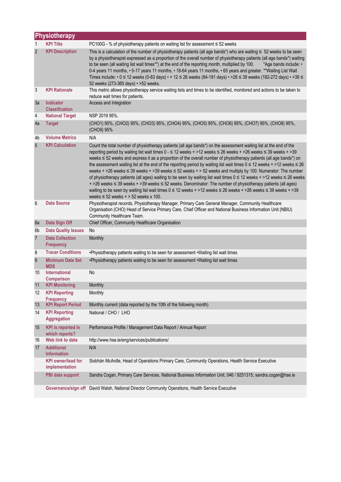|                | Physiotherapy                               |                                                                                                                                                                                                                                                                                                                                                                                                                                                                                                                                                                                                                                                                                                                                                                                                                                                                                                                                                                                                                                             |  |  |
|----------------|---------------------------------------------|---------------------------------------------------------------------------------------------------------------------------------------------------------------------------------------------------------------------------------------------------------------------------------------------------------------------------------------------------------------------------------------------------------------------------------------------------------------------------------------------------------------------------------------------------------------------------------------------------------------------------------------------------------------------------------------------------------------------------------------------------------------------------------------------------------------------------------------------------------------------------------------------------------------------------------------------------------------------------------------------------------------------------------------------|--|--|
| 1              | <b>KPI Title</b>                            | PC100G - % of physiotherapy patients on waiting list for assessment ≤ 52 weeks                                                                                                                                                                                                                                                                                                                                                                                                                                                                                                                                                                                                                                                                                                                                                                                                                                                                                                                                                              |  |  |
| $\overline{2}$ | <b>KPI Description</b>                      | This is a calculation of the number of physiotherapy patients (all age bands*) who are waiting $\leq 52$ weeks to be seen<br>by a physiotherapist expressed as a proportion of the overall number of physiotherapy patients (all age bands*) waiting<br>to be seen (all waiting list wait times**) at the end of the reporting month, multiplied by 100.<br>*Age bands include: •<br>0-4 years 11 months, • 5-17 years 11 months, • 18-64 years 11 months, • 65 years and greater. **Waiting List Wait<br>Times include: • 0 ≤ 12 weeks (0-83 days) • > 12 ≤ 26 weeks (84-181 days) • > 26 ≤ 39 weeks (182-272 days) • > 39 ≤<br>52 weeks (273-365 days) • > 52 weeks.                                                                                                                                                                                                                                                                                                                                                                      |  |  |
| 3              | <b>KPI Rationale</b>                        | This metric allows physiotherapy service waiting lists and times to be identified, monitored and actions to be taken to<br>reduce wait times for patients.                                                                                                                                                                                                                                                                                                                                                                                                                                                                                                                                                                                                                                                                                                                                                                                                                                                                                  |  |  |
| 3a             | Indicator<br><b>Classification</b>          | Access and Integration                                                                                                                                                                                                                                                                                                                                                                                                                                                                                                                                                                                                                                                                                                                                                                                                                                                                                                                                                                                                                      |  |  |
| 4              | <b>National Target</b>                      | NSP 2019 95%.                                                                                                                                                                                                                                                                                                                                                                                                                                                                                                                                                                                                                                                                                                                                                                                                                                                                                                                                                                                                                               |  |  |
| 4a             | <b>Target</b>                               | (CHO1) 95%, (CHO2) 95%, (CHO3) 95%, (CHO4) 95%, (CHO5) 95%, (CHO6) 95%, (CHO7) 95%, (CHO8) 95%,<br>(CHO9) 95%                                                                                                                                                                                                                                                                                                                                                                                                                                                                                                                                                                                                                                                                                                                                                                                                                                                                                                                               |  |  |
| 4b             | <b>Volume Metrics</b>                       | N/A                                                                                                                                                                                                                                                                                                                                                                                                                                                                                                                                                                                                                                                                                                                                                                                                                                                                                                                                                                                                                                         |  |  |
| 5              | <b>KPI Calculation</b>                      | Count the total number of physiotherapy patients (all age bands*) on the assessment waiting list at the end of the<br>reporting period by waiting list wait times 0 - ≤ 12 weeks + >12 weeks ≤ 26 weeks + >26 weeks ≤ 39 weeks + >39<br>weeks ≤ 52 weeks and express it as a proportion of the overall number of physiotherapy patients (all age bands*) on<br>the assessment waiting list at the end of the reporting period by waiting list wait times $0 \le 12$ weeks + >12 weeks $\le 26$<br>weeks + >26 weeks $\leq$ 39 weeks + >39 weeks $\leq$ 52 weeks + > 52 weeks and multiply by 100. Numerator: The number<br>of physiotherapy patients (all ages) waiting to be seen by waiting list wait times 0 ≤ 12 weeks + >12 weeks ≤ 26 weeks<br>+ >26 weeks ≤ 39 weeks + >39 weeks ≤ 52 weeks. Denominator: The number of physiotherapy patients (all ages)<br>waiting to be seen by waiting list wait times $0 \le 12$ weeks + >12 weeks $\le 26$ weeks + >26 weeks $\le 39$ weeks + >39<br>weeks $\leq$ 52 weeks + > 52 weeks x 100. |  |  |
| 6              | <b>Data Source</b>                          | Physiotherapist records, Physiotherapy Manager, Primary Care General Manager, Community Healthcare<br>Organisation (CHO) Head of Service Primary Care, Chief Officer and National Business Information Unit (NBIU)<br>Community Healthcare Team.                                                                                                                                                                                                                                                                                                                                                                                                                                                                                                                                                                                                                                                                                                                                                                                            |  |  |
| 6a             | Data Sign Off                               | Chief Officer, Community Healthcare Organisation                                                                                                                                                                                                                                                                                                                                                                                                                                                                                                                                                                                                                                                                                                                                                                                                                                                                                                                                                                                            |  |  |
| 6b             | <b>Data Quality Issues</b>                  | No                                                                                                                                                                                                                                                                                                                                                                                                                                                                                                                                                                                                                                                                                                                                                                                                                                                                                                                                                                                                                                          |  |  |
| $\overline{7}$ | <b>Data Collection</b><br><b>Frequency</b>  | Monthly                                                                                                                                                                                                                                                                                                                                                                                                                                                                                                                                                                                                                                                                                                                                                                                                                                                                                                                                                                                                                                     |  |  |
| 8              | <b>Tracer Conditions</b>                    | .Physiotherapy patients waiting to be seen for assessment . Waiting list wait times                                                                                                                                                                                                                                                                                                                                                                                                                                                                                                                                                                                                                                                                                                                                                                                                                                                                                                                                                         |  |  |
| 9              | <b>Minimum Data Set</b><br><b>MDS</b>       | •Physiotherapy patients waiting to be seen for assessment • Waiting list wait times                                                                                                                                                                                                                                                                                                                                                                                                                                                                                                                                                                                                                                                                                                                                                                                                                                                                                                                                                         |  |  |
| 10             | <b>International</b><br><b>Comparison</b>   | No                                                                                                                                                                                                                                                                                                                                                                                                                                                                                                                                                                                                                                                                                                                                                                                                                                                                                                                                                                                                                                          |  |  |
| 11             | <b>KPI Monitoring</b>                       | Monthly                                                                                                                                                                                                                                                                                                                                                                                                                                                                                                                                                                                                                                                                                                                                                                                                                                                                                                                                                                                                                                     |  |  |
| 12             | <b>KPI Reporting</b><br><b>Frequency</b>    | Monthly                                                                                                                                                                                                                                                                                                                                                                                                                                                                                                                                                                                                                                                                                                                                                                                                                                                                                                                                                                                                                                     |  |  |
| 13             | <b>KPI Report Period</b>                    | Monthly current (data reported by the 10th of the following month)                                                                                                                                                                                                                                                                                                                                                                                                                                                                                                                                                                                                                                                                                                                                                                                                                                                                                                                                                                          |  |  |
| 14             | <b>KPI Reporting</b><br>Aggregation         | National / CHO / LHO                                                                                                                                                                                                                                                                                                                                                                                                                                                                                                                                                                                                                                                                                                                                                                                                                                                                                                                                                                                                                        |  |  |
| 15             | <b>KPI</b> is reported in<br>which reports? | Performance Profile / Management Data Report / Annual Report                                                                                                                                                                                                                                                                                                                                                                                                                                                                                                                                                                                                                                                                                                                                                                                                                                                                                                                                                                                |  |  |
| 16             | Web link to data                            | http://www.hse.ie/eng/services/publications/                                                                                                                                                                                                                                                                                                                                                                                                                                                                                                                                                                                                                                                                                                                                                                                                                                                                                                                                                                                                |  |  |
| 17             | <b>Additional</b><br><b>Information</b>     | N/A                                                                                                                                                                                                                                                                                                                                                                                                                                                                                                                                                                                                                                                                                                                                                                                                                                                                                                                                                                                                                                         |  |  |
|                | <b>KPI</b> owner/lead for<br>implementation | Siobhán McArdle, Head of Operations Primary Care, Community Operations, Health Service Executive                                                                                                                                                                                                                                                                                                                                                                                                                                                                                                                                                                                                                                                                                                                                                                                                                                                                                                                                            |  |  |
|                | PBI data support                            | Sandra Cogan, Primary Care Services, National Business Information Unit; 046 / 9251315; sandra.cogan@hse.ie                                                                                                                                                                                                                                                                                                                                                                                                                                                                                                                                                                                                                                                                                                                                                                                                                                                                                                                                 |  |  |
|                |                                             | Governance/sign off David Walsh, National Director Community Operations, Health Service Executive                                                                                                                                                                                                                                                                                                                                                                                                                                                                                                                                                                                                                                                                                                                                                                                                                                                                                                                                           |  |  |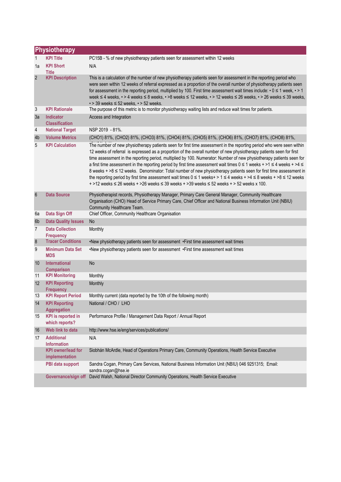|                 | Physiotherapy                               |                                                                                                                                                                                                                                                                                                                                                                                                                                                                                                                                                                                                                                                                                                                                                                                                                                                                                       |  |  |
|-----------------|---------------------------------------------|---------------------------------------------------------------------------------------------------------------------------------------------------------------------------------------------------------------------------------------------------------------------------------------------------------------------------------------------------------------------------------------------------------------------------------------------------------------------------------------------------------------------------------------------------------------------------------------------------------------------------------------------------------------------------------------------------------------------------------------------------------------------------------------------------------------------------------------------------------------------------------------|--|--|
| $\mathbf{1}$    | <b>KPI Title</b>                            | PC15B - % of new physiotherapy patients seen for assessment within 12 weeks                                                                                                                                                                                                                                                                                                                                                                                                                                                                                                                                                                                                                                                                                                                                                                                                           |  |  |
| 1a              | <b>KPI Short</b><br><b>Title</b>            | N/A                                                                                                                                                                                                                                                                                                                                                                                                                                                                                                                                                                                                                                                                                                                                                                                                                                                                                   |  |  |
| $\overline{2}$  | <b>KPI Description</b>                      | This is a calculation of the number of new physiotherapy patients seen for assessment in the reporting period who<br>were seen within 12 weeks of referral expressed as a proportion of the overall number of physiotherapy patients seen<br>for assessment in the reporting period, multiplied by 100. First time assessment wait times include: $\cdot$ 0 $\leq$ 1 week, $\cdot$ > 1<br>week ≤ 4 weeks, • > 4 weeks ≤ 8 weeks, • >8 weeks ≤ 12 weeks, • > 12 weeks ≤ 26 weeks, • > 26 weeks ≤ 39 weeks,<br>$\cdot$ > 39 weeks $\leq$ 52 weeks, $\cdot$ > 52 weeks.                                                                                                                                                                                                                                                                                                                  |  |  |
| 3               | <b>KPI Rationale</b>                        | The purpose of this metric is to monitor physiotherapy waiting lists and reduce wait times for patients.                                                                                                                                                                                                                                                                                                                                                                                                                                                                                                                                                                                                                                                                                                                                                                              |  |  |
| 3a              | <b>Indicator</b><br><b>Classification</b>   | Access and Integration                                                                                                                                                                                                                                                                                                                                                                                                                                                                                                                                                                                                                                                                                                                                                                                                                                                                |  |  |
| $\overline{4}$  | <b>National Target</b>                      | NSP 2019 - 81%.                                                                                                                                                                                                                                                                                                                                                                                                                                                                                                                                                                                                                                                                                                                                                                                                                                                                       |  |  |
| 4b              | <b>Volume Metrics</b>                       | (CHO1) 81%, (CHO2) 81%, (CHO3) 81%, (CHO4) 81%, (CHO5) 81%, (CHO6) 81%, (CHO7) 81%, (CHO8) 81%,                                                                                                                                                                                                                                                                                                                                                                                                                                                                                                                                                                                                                                                                                                                                                                                       |  |  |
| 5               | <b>KPI Calculation</b>                      | The number of new physiotherapy patients seen for first time assessment in the reporting period who were seen within<br>12 weeks of referral is expressed as a proportion of the overall number of new physiotherapy patients seen for first<br>time assessment in the reporting period, multiplied by 100. Numerator: Number of new physiotherapy patients seen for<br>a first time assessment in the reporting period by first time assessment wait times $0 \le 1$ weeks + >1 $\le 4$ weeks + >4 $\le$<br>8 weeks + >8 ≤ 12 weeks. Denominator: Total number of new physiotherapy patients seen for first time assessment in<br>the reporting period by first time assessment wait times $0 \le 1$ weeks + > 1 $\le 4$ weeks + > 4 $\le 8$ weeks + > 8 $\le 12$ weeks<br>$+$ >12 weeks $\leq$ 26 weeks + >26 weeks $\leq$ 39 weeks + >39 weeks $\leq$ 52 weeks + > 52 weeks x 100. |  |  |
| $6\phantom{1}6$ | <b>Data Source</b>                          | Physiotherapist records, Physiotherapy Manager, Primary Care General Manager, Community Healthcare<br>Organisation (CHO) Head of Service Primary Care, Chief Officer and National Business Information Unit (NBIU)<br>Community Healthcare Team.                                                                                                                                                                                                                                                                                                                                                                                                                                                                                                                                                                                                                                      |  |  |
| 6a              | Data Sign Off                               | Chief Officer, Community Healthcare Organisation                                                                                                                                                                                                                                                                                                                                                                                                                                                                                                                                                                                                                                                                                                                                                                                                                                      |  |  |
| 6 <sub>b</sub>  | <b>Data Quality Issues</b>                  | No                                                                                                                                                                                                                                                                                                                                                                                                                                                                                                                                                                                                                                                                                                                                                                                                                                                                                    |  |  |
| $\overline{7}$  | <b>Data Collection</b><br><b>Frequency</b>  | Monthly                                                                                                                                                                                                                                                                                                                                                                                                                                                                                                                                                                                                                                                                                                                                                                                                                                                                               |  |  |
| 8               | <b>Tracer Conditions</b>                    | •New physiotherapy patients seen for assessment •First time assessment wait times                                                                                                                                                                                                                                                                                                                                                                                                                                                                                                                                                                                                                                                                                                                                                                                                     |  |  |
| 9               | <b>Minimum Data Set</b><br><b>MDS</b>       | .New physiotherapy patients seen for assessment .First time assessment wait times                                                                                                                                                                                                                                                                                                                                                                                                                                                                                                                                                                                                                                                                                                                                                                                                     |  |  |
| 10              | <b>International</b><br><b>Comparison</b>   | No                                                                                                                                                                                                                                                                                                                                                                                                                                                                                                                                                                                                                                                                                                                                                                                                                                                                                    |  |  |
| 11              | <b>KPI Monitoring</b>                       | Monthly                                                                                                                                                                                                                                                                                                                                                                                                                                                                                                                                                                                                                                                                                                                                                                                                                                                                               |  |  |
| 12              | <b>KPI Reporting</b><br><b>Frequency</b>    | Monthly                                                                                                                                                                                                                                                                                                                                                                                                                                                                                                                                                                                                                                                                                                                                                                                                                                                                               |  |  |
| 13              | <b>KPI Report Period</b>                    | Monthly current (data reported by the 10th of the following month)                                                                                                                                                                                                                                                                                                                                                                                                                                                                                                                                                                                                                                                                                                                                                                                                                    |  |  |
| 14              | <b>KPI Reporting</b><br><b>Aggregation</b>  | National / CHO / LHO                                                                                                                                                                                                                                                                                                                                                                                                                                                                                                                                                                                                                                                                                                                                                                                                                                                                  |  |  |
| 15              | <b>KPI</b> is reported in<br>which reports? | Performance Profile / Management Data Report / Annual Report                                                                                                                                                                                                                                                                                                                                                                                                                                                                                                                                                                                                                                                                                                                                                                                                                          |  |  |
| 16              | Web link to data                            | http://www.hse.ie/eng/services/publications/                                                                                                                                                                                                                                                                                                                                                                                                                                                                                                                                                                                                                                                                                                                                                                                                                                          |  |  |
| 17              | <b>Additional</b><br>Information            | N/A                                                                                                                                                                                                                                                                                                                                                                                                                                                                                                                                                                                                                                                                                                                                                                                                                                                                                   |  |  |
|                 | <b>KPI</b> owner/lead for<br>implementation | Siobhán McArdle, Head of Operations Primary Care, Community Operations, Health Service Executive                                                                                                                                                                                                                                                                                                                                                                                                                                                                                                                                                                                                                                                                                                                                                                                      |  |  |
|                 | PBI data support                            | Sandra Cogan, Primary Care Services, National Business Information Unit (NBIU) 046 9251315; Email:<br>sandra.cogan@hse.ie                                                                                                                                                                                                                                                                                                                                                                                                                                                                                                                                                                                                                                                                                                                                                             |  |  |
|                 | Governance/sign off                         | David Walsh, National Director Community Operations, Health Service Executive                                                                                                                                                                                                                                                                                                                                                                                                                                                                                                                                                                                                                                                                                                                                                                                                         |  |  |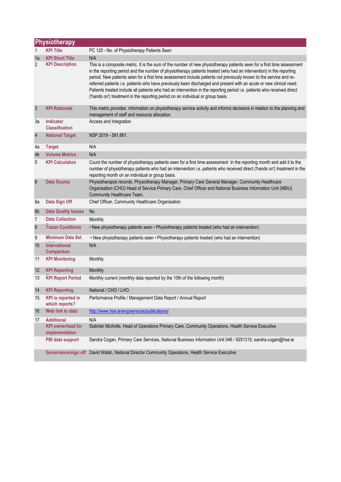|                 | <b>Physiotherapy</b>                        |                                                                                                                                                                                                                                                                                                                                                                                                                                                                                                                                                                                                                                                                                                          |  |  |
|-----------------|---------------------------------------------|----------------------------------------------------------------------------------------------------------------------------------------------------------------------------------------------------------------------------------------------------------------------------------------------------------------------------------------------------------------------------------------------------------------------------------------------------------------------------------------------------------------------------------------------------------------------------------------------------------------------------------------------------------------------------------------------------------|--|--|
|                 | <b>KPI Title</b>                            | PC 125 - No. of Physiotherapy Patients Seen                                                                                                                                                                                                                                                                                                                                                                                                                                                                                                                                                                                                                                                              |  |  |
| 1a              | <b>KPI Short Title</b>                      | N/A                                                                                                                                                                                                                                                                                                                                                                                                                                                                                                                                                                                                                                                                                                      |  |  |
| $\mathbf{2}$    | <b>KPI Description</b>                      | This is a composite metric. It is the sum of the number of new physiotherapy patients seen for a first time assessment<br>in the reporting period and the number of physiotherapy patients treated (who had an intervention) in the reporting<br>period. New patients seen for a first time assessment include patients not previously known to the service and re-<br>referred patients i.e. patients who have previously been discharged and present with an acute or new clinical need.<br>Patients treated include all patients who had an intervention in the reporting period i.e. patients who received direct<br>('hands on') treatment in the reporting period on an individual or group basis. |  |  |
| 3               | <b>KPI Rationale</b>                        | This metric provides information on physiotherapy service activity and informs decisions in relation to the planning and<br>management of staff and resource allocation.                                                                                                                                                                                                                                                                                                                                                                                                                                                                                                                                 |  |  |
| За              | <b>Indicator</b><br><b>Classification</b>   | Access and Integration                                                                                                                                                                                                                                                                                                                                                                                                                                                                                                                                                                                                                                                                                   |  |  |
| $\sqrt{4}$      | <b>National Target</b>                      | NSP 2019 - 581,661.                                                                                                                                                                                                                                                                                                                                                                                                                                                                                                                                                                                                                                                                                      |  |  |
| 4a              | <b>Target</b>                               | N/A                                                                                                                                                                                                                                                                                                                                                                                                                                                                                                                                                                                                                                                                                                      |  |  |
| 4b              | <b>Volume Metrics</b>                       | N/A                                                                                                                                                                                                                                                                                                                                                                                                                                                                                                                                                                                                                                                                                                      |  |  |
| 5               | <b>KPI Calculation</b>                      | Count the number of physiotherapy patients seen for a first time assessment in the reporting month and add it to the<br>number of physiotherapy patients who had an intervention i.e. patients who received direct ('hands on') treatment in the<br>reporting month on an individual or group basis.                                                                                                                                                                                                                                                                                                                                                                                                     |  |  |
| $6\phantom{1}6$ | <b>Data Source</b>                          | Physiotherapist records, Physiotherapy Manager, Primary Care General Manager, Community Healthcare<br>Organisation (CHO) Head of Service Primary Care, Chief Officer and National Business Information Unit (NBIU)<br>Community Healthcare Team.                                                                                                                                                                                                                                                                                                                                                                                                                                                         |  |  |
| 6a              | Data Sign Off                               | Chief Officer, Community Healthcare Organisation                                                                                                                                                                                                                                                                                                                                                                                                                                                                                                                                                                                                                                                         |  |  |
| 6b              | <b>Data Quality Issues</b>                  | <b>No</b>                                                                                                                                                                                                                                                                                                                                                                                                                                                                                                                                                                                                                                                                                                |  |  |
| 7               | <b>Data Collection</b>                      | Monthly                                                                                                                                                                                                                                                                                                                                                                                                                                                                                                                                                                                                                                                                                                  |  |  |
| 8               | <b>Tracer Conditions</b>                    | . New physiotherapy patients seen . Physiotherapy patients treated (who had an intervention)                                                                                                                                                                                                                                                                                                                                                                                                                                                                                                                                                                                                             |  |  |
| 9               | <b>Minimum Data Set</b>                     | . New physiotherapy patients seen . Physiotherapy patients treated (who had an intervention)                                                                                                                                                                                                                                                                                                                                                                                                                                                                                                                                                                                                             |  |  |
| 10              | International<br><b>Comparison</b>          | N/A                                                                                                                                                                                                                                                                                                                                                                                                                                                                                                                                                                                                                                                                                                      |  |  |
| 11              | <b>KPI Monitoring</b>                       | Monthly                                                                                                                                                                                                                                                                                                                                                                                                                                                                                                                                                                                                                                                                                                  |  |  |
| 12              | <b>KPI Reporting</b>                        | Monthly                                                                                                                                                                                                                                                                                                                                                                                                                                                                                                                                                                                                                                                                                                  |  |  |
| 13              | <b>KPI Report Period</b>                    | Monthly current (monthly data reported by the 10th of the following month)                                                                                                                                                                                                                                                                                                                                                                                                                                                                                                                                                                                                                               |  |  |
| 14              | <b>KPI Reporting</b>                        | National / CHO / LHO                                                                                                                                                                                                                                                                                                                                                                                                                                                                                                                                                                                                                                                                                     |  |  |
| 15              | <b>KPI</b> is reported in<br>which reports? | Performance Profile / Management Data Report / Annual Report                                                                                                                                                                                                                                                                                                                                                                                                                                                                                                                                                                                                                                             |  |  |
| 16              | Web link to data                            | http://www.hse.ie/eng/services/publications/                                                                                                                                                                                                                                                                                                                                                                                                                                                                                                                                                                                                                                                             |  |  |
| 17              | <b>Additional</b>                           | N/A                                                                                                                                                                                                                                                                                                                                                                                                                                                                                                                                                                                                                                                                                                      |  |  |
|                 | <b>KPI</b> owner/lead for<br>implementation | Siobhán McArdle, Head of Operations Primary Care, Community Operations, Health Service Executive                                                                                                                                                                                                                                                                                                                                                                                                                                                                                                                                                                                                         |  |  |
|                 | PBI data support                            | Sandra Cogan, Primary Care Services, National Business Information Unit 046 / 9251315; sandra.cogan@hse.ie                                                                                                                                                                                                                                                                                                                                                                                                                                                                                                                                                                                               |  |  |
|                 | Governance/sign off                         | David Walsh, National Director Community Operations, Health Service Executive                                                                                                                                                                                                                                                                                                                                                                                                                                                                                                                                                                                                                            |  |  |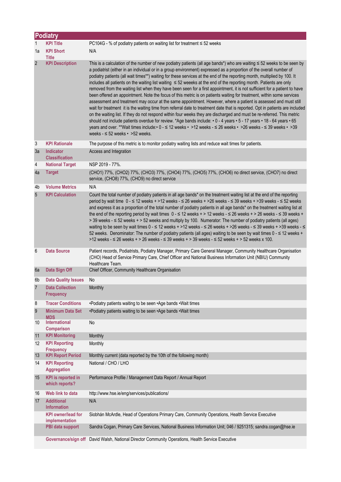|                | <b>Podiatry</b>                             |                                                                                                                                                                                                                                                                                                                                                                                                                                                                                                                                                                                                                                                                                                                                                                                                                                                                                                                                                                                                                                                                                                                                                                                                                                                                                                                                                                                                                                                             |  |  |
|----------------|---------------------------------------------|-------------------------------------------------------------------------------------------------------------------------------------------------------------------------------------------------------------------------------------------------------------------------------------------------------------------------------------------------------------------------------------------------------------------------------------------------------------------------------------------------------------------------------------------------------------------------------------------------------------------------------------------------------------------------------------------------------------------------------------------------------------------------------------------------------------------------------------------------------------------------------------------------------------------------------------------------------------------------------------------------------------------------------------------------------------------------------------------------------------------------------------------------------------------------------------------------------------------------------------------------------------------------------------------------------------------------------------------------------------------------------------------------------------------------------------------------------------|--|--|
| 1              | <b>KPI Title</b>                            | PC104G - % of podiatry patients on waiting list for treatment $\leq$ 52 weeks                                                                                                                                                                                                                                                                                                                                                                                                                                                                                                                                                                                                                                                                                                                                                                                                                                                                                                                                                                                                                                                                                                                                                                                                                                                                                                                                                                               |  |  |
| 1a             | <b>KPI Short</b><br><b>Title</b>            | N/A                                                                                                                                                                                                                                                                                                                                                                                                                                                                                                                                                                                                                                                                                                                                                                                                                                                                                                                                                                                                                                                                                                                                                                                                                                                                                                                                                                                                                                                         |  |  |
| $\overline{2}$ | <b>KPI Description</b>                      | This is a calculation of the number of new podiatry patients (all age bands*) who are waiting $\leq$ 52 weeks to be seen by<br>a podiatrist (either in an individual or in a group environment) expressed as a proportion of the overall number of<br>podiatry patients (all wait times**) waiting for these services at the end of the reporting month, multiplied by 100. It<br>includes all patients on the waiting list waiting ≤ 52 weeeks at the end of the reporting month. Patients are only<br>removed from the waiting list when they have been seen for a first appointment, it is not sufficient for a patient to have<br>been offered an appointment. Note the focus of this metric is on patients waiting for treatment, within some services<br>assessment and treatment may occur at the same appointment. However, where a patient is assessed and must still<br>wait for treatment it is the waiting time from referral date to treatment date that is reported. Opt in patients are included<br>on the waiting list. If they do not respond within four weeks they are discharged and must be re-referred. This metric<br>should not include patients overdue for review. *Age bands include: $\cdot$ 0 - 4 years $\cdot$ 5 - 17 years $\cdot$ 18 - 64 years $\cdot$ 65<br>years and over. **Wait times include: • 0 - ≤ 12 weeks • >12 weeks - ≤ 26 weeks • >26 weeks - ≤ 39 weeks • >39<br>weeks - $\leq$ 52 weeks $\cdot$ > 52 weeks. |  |  |
| 3              | <b>KPI Rationale</b>                        | The purpose of this metric is to monitor podiatry waiting lists and reduce wait times for patients.                                                                                                                                                                                                                                                                                                                                                                                                                                                                                                                                                                                                                                                                                                                                                                                                                                                                                                                                                                                                                                                                                                                                                                                                                                                                                                                                                         |  |  |
| 3a             | <b>Indicator</b><br><b>Classification</b>   | Access and Integration                                                                                                                                                                                                                                                                                                                                                                                                                                                                                                                                                                                                                                                                                                                                                                                                                                                                                                                                                                                                                                                                                                                                                                                                                                                                                                                                                                                                                                      |  |  |
| 4              | <b>National Target</b>                      | NSP 2019 - 77%.                                                                                                                                                                                                                                                                                                                                                                                                                                                                                                                                                                                                                                                                                                                                                                                                                                                                                                                                                                                                                                                                                                                                                                                                                                                                                                                                                                                                                                             |  |  |
| 4a             | <b>Target</b>                               | (CHO1) 77%, (CHO2) 77%, (CHO3) 77%, (CHO4) 77%, (CHO5) 77%, (CHO6) no direct service, (CHO7) no direct<br>service, (CHO8) 77%, (CHO9) no direct service                                                                                                                                                                                                                                                                                                                                                                                                                                                                                                                                                                                                                                                                                                                                                                                                                                                                                                                                                                                                                                                                                                                                                                                                                                                                                                     |  |  |
| 4b             | <b>Volume Metrics</b>                       | N/A                                                                                                                                                                                                                                                                                                                                                                                                                                                                                                                                                                                                                                                                                                                                                                                                                                                                                                                                                                                                                                                                                                                                                                                                                                                                                                                                                                                                                                                         |  |  |
| 5              | <b>KPI Calculation</b>                      | Count the total number of podiatry patients in all age bands* on the treatment waiting list at the end of the reporting<br>period by wait time $0 - 12$ weeks + >12 weeks - $\leq 26$ weeks + >26 weeks - $\leq 39$ weeks + >39 weeks - $\leq 52$ weeks<br>and express it as a proportion of the total number of podiatry patients in all age bands* on the treatment waiting list at<br>the end of the reporting period by wait times $0 - 12$ weeks + > 12 weeks - $\leq 26$ weeks + > 26 weeks - $\leq 39$ weeks +<br>> 39 weeks - < 52 weeks + > 52 weeks and multiply by 100. Numerator: The number of podiatry patients (all ages)<br>waiting to be seen by wait times $0 - 12$ weeks + >12 weeks - $\leq 26$ weeks + >26 weeks - $\leq 39$ weeks + >39 weeks - $\leq$<br>52 weeks. Denominator: The number of podiatry patients (all ages) waiting to be seen by wait times 0 - ≤ 12 weeks +<br>>12 weeks - ≤ 26 weeks + > 26 weeks - ≤ 39 weeks + > 39 weeks - ≤ 52 weeks + > 52 weeks x 100.                                                                                                                                                                                                                                                                                                                                                                                                                                                       |  |  |
| 6              | <b>Data Source</b>                          | Patient records, Podiatrists, Podiatry Manager, Primary Care General Manager, Community Healthcare Organisation<br>(CHO) Head of Service Primary Care, Chief Officer and National Business Information Unit (NBIU) Community<br>Healthcare Team.                                                                                                                                                                                                                                                                                                                                                                                                                                                                                                                                                                                                                                                                                                                                                                                                                                                                                                                                                                                                                                                                                                                                                                                                            |  |  |
| 6a             | Data Sign Off                               | Chief Officer, Community Healthcare Organisation                                                                                                                                                                                                                                                                                                                                                                                                                                                                                                                                                                                                                                                                                                                                                                                                                                                                                                                                                                                                                                                                                                                                                                                                                                                                                                                                                                                                            |  |  |
| 6b             | <b>Data Quality Issues</b>                  | No.                                                                                                                                                                                                                                                                                                                                                                                                                                                                                                                                                                                                                                                                                                                                                                                                                                                                                                                                                                                                                                                                                                                                                                                                                                                                                                                                                                                                                                                         |  |  |
| 7              | <b>Data Collection</b><br><b>Frequency</b>  | Monthly                                                                                                                                                                                                                                                                                                                                                                                                                                                                                                                                                                                                                                                                                                                                                                                                                                                                                                                                                                                                                                                                                                                                                                                                                                                                                                                                                                                                                                                     |  |  |
| 8              | <b>Tracer Conditions</b>                    | •Podiatry patients waiting to be seen •Age bands •Wait times                                                                                                                                                                                                                                                                                                                                                                                                                                                                                                                                                                                                                                                                                                                                                                                                                                                                                                                                                                                                                                                                                                                                                                                                                                                                                                                                                                                                |  |  |
| 9              | <b>Minimum Data Set</b><br><b>MDS</b>       | •Podiatry patients waiting to be seen •Age bands •Wait times                                                                                                                                                                                                                                                                                                                                                                                                                                                                                                                                                                                                                                                                                                                                                                                                                                                                                                                                                                                                                                                                                                                                                                                                                                                                                                                                                                                                |  |  |
| 10             | International<br><b>Comparison</b>          | No                                                                                                                                                                                                                                                                                                                                                                                                                                                                                                                                                                                                                                                                                                                                                                                                                                                                                                                                                                                                                                                                                                                                                                                                                                                                                                                                                                                                                                                          |  |  |
| 11             | <b>KPI Monitoring</b>                       | Monthly                                                                                                                                                                                                                                                                                                                                                                                                                                                                                                                                                                                                                                                                                                                                                                                                                                                                                                                                                                                                                                                                                                                                                                                                                                                                                                                                                                                                                                                     |  |  |
| 12             | <b>KPI Reporting</b><br><b>Frequency</b>    | Monthly                                                                                                                                                                                                                                                                                                                                                                                                                                                                                                                                                                                                                                                                                                                                                                                                                                                                                                                                                                                                                                                                                                                                                                                                                                                                                                                                                                                                                                                     |  |  |
| 13             | <b>KPI Report Period</b>                    | Monthly current (data reported by the 10th of the following month)                                                                                                                                                                                                                                                                                                                                                                                                                                                                                                                                                                                                                                                                                                                                                                                                                                                                                                                                                                                                                                                                                                                                                                                                                                                                                                                                                                                          |  |  |
| 14             | <b>KPI Reporting</b><br><b>Aggregation</b>  | National / CHO / LHO                                                                                                                                                                                                                                                                                                                                                                                                                                                                                                                                                                                                                                                                                                                                                                                                                                                                                                                                                                                                                                                                                                                                                                                                                                                                                                                                                                                                                                        |  |  |
| 15             | <b>KPI</b> is reported in<br>which reports? | Performance Profile / Management Data Report / Annual Report                                                                                                                                                                                                                                                                                                                                                                                                                                                                                                                                                                                                                                                                                                                                                                                                                                                                                                                                                                                                                                                                                                                                                                                                                                                                                                                                                                                                |  |  |
| 16             | Web link to data                            | http://www.hse.ie/eng/services/publications/                                                                                                                                                                                                                                                                                                                                                                                                                                                                                                                                                                                                                                                                                                                                                                                                                                                                                                                                                                                                                                                                                                                                                                                                                                                                                                                                                                                                                |  |  |
| 17             | <b>Additional</b><br><b>Information</b>     | N/A                                                                                                                                                                                                                                                                                                                                                                                                                                                                                                                                                                                                                                                                                                                                                                                                                                                                                                                                                                                                                                                                                                                                                                                                                                                                                                                                                                                                                                                         |  |  |
|                | <b>KPI owner/lead for</b>                   | Siobhán McArdle, Head of Operations Primary Care, Community Operations, Health Service Executive                                                                                                                                                                                                                                                                                                                                                                                                                                                                                                                                                                                                                                                                                                                                                                                                                                                                                                                                                                                                                                                                                                                                                                                                                                                                                                                                                            |  |  |
|                | implementation<br>PBI data support          | Sandra Cogan, Primary Care Services, National Business Information Unit; 046 / 9251315; sandra.cogan@hse.ie                                                                                                                                                                                                                                                                                                                                                                                                                                                                                                                                                                                                                                                                                                                                                                                                                                                                                                                                                                                                                                                                                                                                                                                                                                                                                                                                                 |  |  |
|                |                                             | Governance/sign off David Walsh, National Director Community Operations, Health Service Executive                                                                                                                                                                                                                                                                                                                                                                                                                                                                                                                                                                                                                                                                                                                                                                                                                                                                                                                                                                                                                                                                                                                                                                                                                                                                                                                                                           |  |  |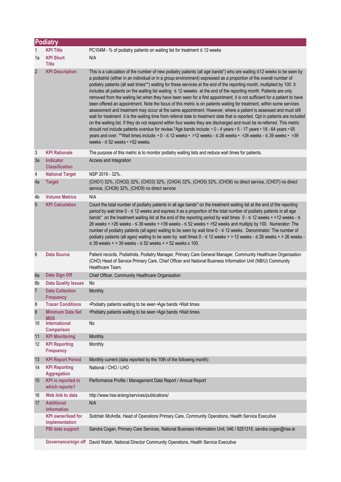|                   | <b>Podiatry</b>                             |                                                                                                                                                                                                                                                                                                                                                                                                                                                                                                                                                                                                                                                                                                                                                                                                                                                                                                                                                                                                                                                                                                                                                                                                                                                                                                                                                                                                                            |  |  |
|-------------------|---------------------------------------------|----------------------------------------------------------------------------------------------------------------------------------------------------------------------------------------------------------------------------------------------------------------------------------------------------------------------------------------------------------------------------------------------------------------------------------------------------------------------------------------------------------------------------------------------------------------------------------------------------------------------------------------------------------------------------------------------------------------------------------------------------------------------------------------------------------------------------------------------------------------------------------------------------------------------------------------------------------------------------------------------------------------------------------------------------------------------------------------------------------------------------------------------------------------------------------------------------------------------------------------------------------------------------------------------------------------------------------------------------------------------------------------------------------------------------|--|--|
| 1                 | <b>KPI Title</b>                            | PC104M - % of podiatry patients on waiting list for treatment ≤ 12 weeks                                                                                                                                                                                                                                                                                                                                                                                                                                                                                                                                                                                                                                                                                                                                                                                                                                                                                                                                                                                                                                                                                                                                                                                                                                                                                                                                                   |  |  |
| 1a                | <b>KPI Short</b><br><b>Title</b>            | N/A                                                                                                                                                                                                                                                                                                                                                                                                                                                                                                                                                                                                                                                                                                                                                                                                                                                                                                                                                                                                                                                                                                                                                                                                                                                                                                                                                                                                                        |  |  |
| $\overline{2}$    | <b>KPI Description</b>                      | This is a calculation of the number of new podiatry patients (all age bands*) who are waiting ≤12 weeks to be seen by<br>a podiatrist (either in an individual or in a group environment) expressed as a proportion of the overall number of<br>podiatry patients (all wait times**) waiting for these services at the end of the reporting month, multiplied by 100. It<br>includes all patients on the waiting list waiting ≤ 12 weeeks at the end of the reporting month. Patients are only<br>removed from the waiting list when they have been seen for a first appointment, it is not sufficient for a patient to have<br>been offered an appointment. Note the focus of this metric is on patients waiting for treatment, within some services<br>assessment and treatment may occur at the same appointment. However, where a patient is assessed and must still<br>wait for treatment it is the waiting time from referral date to treatment date that is reported. Opt in patients are included<br>on the waiting list. If they do not respond within four weeks they are discharged and must be re-referred. This metric<br>should not include patients overdue for review.*Age bands include: • 0 - 4 years • 5 - 17 years • 18 - 64 years • 65<br>years and over. **Wait times include: • 0 - ≤ 12 weeks • >12 weeks - ≤ 26 weeks • >26 weeks - ≤ 39 weeks • >39<br>weeks $ \leq$ 52 weeks $\cdot$ >52 weeks. |  |  |
| 3                 | <b>KPI Rationale</b>                        | The purpose of this metric is to monitor podiatry waiting lists and reduce wait times for patients.                                                                                                                                                                                                                                                                                                                                                                                                                                                                                                                                                                                                                                                                                                                                                                                                                                                                                                                                                                                                                                                                                                                                                                                                                                                                                                                        |  |  |
| 3a                | <b>Indicator</b><br><b>Classification</b>   | Access and Integration                                                                                                                                                                                                                                                                                                                                                                                                                                                                                                                                                                                                                                                                                                                                                                                                                                                                                                                                                                                                                                                                                                                                                                                                                                                                                                                                                                                                     |  |  |
| 4                 | <b>National Target</b>                      | NSP 2019 - 32%.                                                                                                                                                                                                                                                                                                                                                                                                                                                                                                                                                                                                                                                                                                                                                                                                                                                                                                                                                                                                                                                                                                                                                                                                                                                                                                                                                                                                            |  |  |
| 4a                | <b>Target</b>                               | (CHO1) 32%, (CHO2) 32%, (CHO3) 32%, (CHO4) 32%, (CHO5) 32%, (CHO6) no direct service, (CHO7) no direct<br>service, (CHO8) 32%, (CHO9) no direct service                                                                                                                                                                                                                                                                                                                                                                                                                                                                                                                                                                                                                                                                                                                                                                                                                                                                                                                                                                                                                                                                                                                                                                                                                                                                    |  |  |
| 4b                | <b>Volume Metrics</b>                       | N/A                                                                                                                                                                                                                                                                                                                                                                                                                                                                                                                                                                                                                                                                                                                                                                                                                                                                                                                                                                                                                                                                                                                                                                                                                                                                                                                                                                                                                        |  |  |
| 5                 | <b>KPI Calculation</b>                      | Count the total number of podiatry patients in all age bands* on the treatment waiting list at the end of the reporting<br>period by wait time 0 - ≤ 12 weeks and express it as a proportion of the total number of podiatry patients in all age<br>bands* on the treatment waiting list at the end of the reporting period by wait times $0 - \le 12$ weeks + >12 weeks - $\le$<br>26 weeks + >26 weeks - ≤ 39 weeks + >39 weeks - ≤ 52 weeks + >52 weeks and multiply by 100. Numerator: The<br>number of podiatry patients (all ages) waiting to be seen by wait time 0 - ≤ 12 weeks. Denominator: The number of<br>podiatry patients (all ages) waiting to be seen by wait times $0 - 12$ weeks + > 12 weeks - $\leq$ 26 weeks + > 26 weeks -<br>$\leq$ 39 weeks + > 39 weeks - $\leq$ 52 weeks + > 52 weeks x 100.                                                                                                                                                                                                                                                                                                                                                                                                                                                                                                                                                                                                    |  |  |
| 6                 | <b>Data Source</b>                          | Patient records, Podiatrists, Podiatry Manager, Primary Care General Manager, Community Healthcare Organisation<br>(CHO) Head of Service Primary Care, Chief Officer and National Business Information Unit (NBIU) Community<br>Healthcare Team.                                                                                                                                                                                                                                                                                                                                                                                                                                                                                                                                                                                                                                                                                                                                                                                                                                                                                                                                                                                                                                                                                                                                                                           |  |  |
| 6a                | Data Sign Off                               | Chief Officer, Community Healthcare Organisation                                                                                                                                                                                                                                                                                                                                                                                                                                                                                                                                                                                                                                                                                                                                                                                                                                                                                                                                                                                                                                                                                                                                                                                                                                                                                                                                                                           |  |  |
| 6b                | <b>Data Quality Issues</b>                  | No                                                                                                                                                                                                                                                                                                                                                                                                                                                                                                                                                                                                                                                                                                                                                                                                                                                                                                                                                                                                                                                                                                                                                                                                                                                                                                                                                                                                                         |  |  |
| $\overline{7}$    | <b>Data Collection</b><br><b>Frequency</b>  | Monthly                                                                                                                                                                                                                                                                                                                                                                                                                                                                                                                                                                                                                                                                                                                                                                                                                                                                                                                                                                                                                                                                                                                                                                                                                                                                                                                                                                                                                    |  |  |
| 8                 | <b>Tracer Conditions</b>                    | •Podiatry patients waiting to be seen •Age bands •Wait times                                                                                                                                                                                                                                                                                                                                                                                                                                                                                                                                                                                                                                                                                                                                                                                                                                                                                                                                                                                                                                                                                                                                                                                                                                                                                                                                                               |  |  |
| 9                 | <b>Minimum Data Set</b><br><b>MDS</b>       | •Podiatry patients waiting to be seen •Age bands •Wait times                                                                                                                                                                                                                                                                                                                                                                                                                                                                                                                                                                                                                                                                                                                                                                                                                                                                                                                                                                                                                                                                                                                                                                                                                                                                                                                                                               |  |  |
| 10                | <b>International</b><br><b>Comparison</b>   | No                                                                                                                                                                                                                                                                                                                                                                                                                                                                                                                                                                                                                                                                                                                                                                                                                                                                                                                                                                                                                                                                                                                                                                                                                                                                                                                                                                                                                         |  |  |
| 11                | <b>KPI Monitoring</b>                       | Monthly                                                                                                                                                                                                                                                                                                                                                                                                                                                                                                                                                                                                                                                                                                                                                                                                                                                                                                                                                                                                                                                                                                                                                                                                                                                                                                                                                                                                                    |  |  |
| $12 \overline{ }$ | <b>KPI Reporting</b><br><b>Frequency</b>    | Monthly                                                                                                                                                                                                                                                                                                                                                                                                                                                                                                                                                                                                                                                                                                                                                                                                                                                                                                                                                                                                                                                                                                                                                                                                                                                                                                                                                                                                                    |  |  |
| 13                | <b>KPI Report Period</b>                    | Monthly current (data reported by the 10th of the following month)                                                                                                                                                                                                                                                                                                                                                                                                                                                                                                                                                                                                                                                                                                                                                                                                                                                                                                                                                                                                                                                                                                                                                                                                                                                                                                                                                         |  |  |
| 14                | <b>KPI Reporting</b><br><b>Aggregation</b>  | National / CHO / LHO                                                                                                                                                                                                                                                                                                                                                                                                                                                                                                                                                                                                                                                                                                                                                                                                                                                                                                                                                                                                                                                                                                                                                                                                                                                                                                                                                                                                       |  |  |
| 15                | <b>KPI</b> is reported in<br>which reports? | Performance Profile / Management Data Report / Annual Report                                                                                                                                                                                                                                                                                                                                                                                                                                                                                                                                                                                                                                                                                                                                                                                                                                                                                                                                                                                                                                                                                                                                                                                                                                                                                                                                                               |  |  |
| 16                | Web link to data                            | http://www.hse.ie/eng/services/publications/                                                                                                                                                                                                                                                                                                                                                                                                                                                                                                                                                                                                                                                                                                                                                                                                                                                                                                                                                                                                                                                                                                                                                                                                                                                                                                                                                                               |  |  |
| 17                | <b>Additional</b><br><b>Information</b>     | N/A                                                                                                                                                                                                                                                                                                                                                                                                                                                                                                                                                                                                                                                                                                                                                                                                                                                                                                                                                                                                                                                                                                                                                                                                                                                                                                                                                                                                                        |  |  |
|                   | <b>KPI owner/lead for</b><br>implementation | Siobhán McArdle, Head of Operations Primary Care, Community Operations, Health Service Executive                                                                                                                                                                                                                                                                                                                                                                                                                                                                                                                                                                                                                                                                                                                                                                                                                                                                                                                                                                                                                                                                                                                                                                                                                                                                                                                           |  |  |
|                   | PBI data support                            | Sandra Cogan, Primary Care Services, National Business Information Unit; 046 / 9251315; sandra.cogan@hse.ie                                                                                                                                                                                                                                                                                                                                                                                                                                                                                                                                                                                                                                                                                                                                                                                                                                                                                                                                                                                                                                                                                                                                                                                                                                                                                                                |  |  |
|                   |                                             | Governance/sign off David Walsh, National Director Community Operations, Health Service Executive                                                                                                                                                                                                                                                                                                                                                                                                                                                                                                                                                                                                                                                                                                                                                                                                                                                                                                                                                                                                                                                                                                                                                                                                                                                                                                                          |  |  |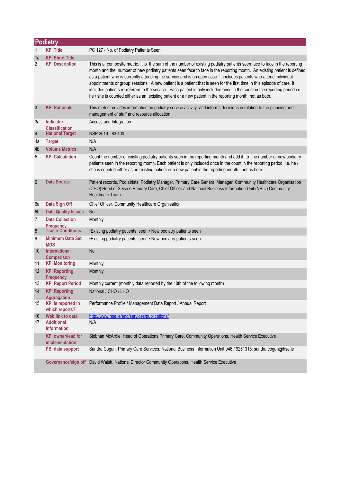|                 | <b>Podiatry</b>                             |                                                                                                                                                                                                                                                                                                                                                                                                                                                                                                                                                                                                                                                                                                                                              |  |  |
|-----------------|---------------------------------------------|----------------------------------------------------------------------------------------------------------------------------------------------------------------------------------------------------------------------------------------------------------------------------------------------------------------------------------------------------------------------------------------------------------------------------------------------------------------------------------------------------------------------------------------------------------------------------------------------------------------------------------------------------------------------------------------------------------------------------------------------|--|--|
| 1               | <b>KPI Title</b>                            | PC 127 - No. of Podiatry Patients Seen                                                                                                                                                                                                                                                                                                                                                                                                                                                                                                                                                                                                                                                                                                       |  |  |
| 1a              | <b>KPI Short Title</b>                      |                                                                                                                                                                                                                                                                                                                                                                                                                                                                                                                                                                                                                                                                                                                                              |  |  |
| 2               | <b>KPI Description</b>                      | This is a composite metric. It is the sum of the number of existing podiatry patients seen face to face in the reporting<br>month and the number of new podiatry patients seen face to face in the reporting month. An existing patient is defined<br>as a patient who is currently attending the service and is an open case. It includes patients who attend individual<br>appointments or group sessions. A new patient is a patient that is seen for the first time in this episode of care. It<br>includes patients re-referred to the service. Each patient is only included once in the count in the reporting period i.e.<br>he / she is counted either as an existing patient or a new patient in the reporting month, not as both. |  |  |
| $\mathfrak{Z}$  | <b>KPI Rationale</b>                        | This metric provides information on podiatry service activity and informs decisions in relation to the planning and<br>management of staff and resource allocation.                                                                                                                                                                                                                                                                                                                                                                                                                                                                                                                                                                          |  |  |
| За              | <b>Indicator</b><br><b>Classification</b>   | Access and Integration                                                                                                                                                                                                                                                                                                                                                                                                                                                                                                                                                                                                                                                                                                                       |  |  |
| $\sqrt{4}$      | <b>National Target</b>                      | NSP 2019 - 83,100.                                                                                                                                                                                                                                                                                                                                                                                                                                                                                                                                                                                                                                                                                                                           |  |  |
| 4a              | <b>Target</b>                               | N/A                                                                                                                                                                                                                                                                                                                                                                                                                                                                                                                                                                                                                                                                                                                                          |  |  |
| 4b              | <b>Volume Metrics</b>                       | N/A                                                                                                                                                                                                                                                                                                                                                                                                                                                                                                                                                                                                                                                                                                                                          |  |  |
| 5               | <b>KPI Calculation</b>                      | Count the number of existing podiatry patients seen in the reporting month and add it to the number of new podiatry<br>patients seen in the reporting month. Each patient is only included once in the count in the reporting period i.e. he /<br>she is counted either as an existing patient or a new patient in the reporting month, not as both.                                                                                                                                                                                                                                                                                                                                                                                         |  |  |
| $6\phantom{.}6$ | <b>Data Source</b>                          | Patient records, Podiatrists, Podiatry Manager, Primary Care General Manager, Community Healthcare Organisation<br>(CHO) Head of Service Primary Care, Chief Officer and National Business Information Unit (NBIU) Community<br>Healthcare Team.                                                                                                                                                                                                                                                                                                                                                                                                                                                                                             |  |  |
| 6a              | Data Sign Off                               | Chief Officer, Community Healthcare Organisation                                                                                                                                                                                                                                                                                                                                                                                                                                                                                                                                                                                                                                                                                             |  |  |
| 6 <sub>b</sub>  | <b>Data Quality Issues</b>                  | <b>No</b>                                                                                                                                                                                                                                                                                                                                                                                                                                                                                                                                                                                                                                                                                                                                    |  |  |
| 7               | <b>Data Collection</b><br><b>Frequency</b>  | Monthly                                                                                                                                                                                                                                                                                                                                                                                                                                                                                                                                                                                                                                                                                                                                      |  |  |
| 8               | <b>Tracer Conditions</b>                    | •Existing podiatry patients seen • New podiatry patients seen                                                                                                                                                                                                                                                                                                                                                                                                                                                                                                                                                                                                                                                                                |  |  |
| 9               | <b>Minimum Data Set</b><br><b>MDS</b>       | . Existing podiatry patients seen . New podiatry patients seen                                                                                                                                                                                                                                                                                                                                                                                                                                                                                                                                                                                                                                                                               |  |  |
| 10              | <b>International</b><br><b>Comparison</b>   | <b>No</b>                                                                                                                                                                                                                                                                                                                                                                                                                                                                                                                                                                                                                                                                                                                                    |  |  |
| 11              | <b>KPI Monitoring</b>                       | Monthly                                                                                                                                                                                                                                                                                                                                                                                                                                                                                                                                                                                                                                                                                                                                      |  |  |
| 12              | <b>KPI Reporting</b><br><b>Frequency</b>    | Monthly                                                                                                                                                                                                                                                                                                                                                                                                                                                                                                                                                                                                                                                                                                                                      |  |  |
| 13              | <b>KPI Report Period</b>                    | Monthly current (monthly data reported by the 10th of the following month)                                                                                                                                                                                                                                                                                                                                                                                                                                                                                                                                                                                                                                                                   |  |  |
| 14              | <b>KPI Reporting</b><br><b>Aggregation</b>  | National / CHO / LHO                                                                                                                                                                                                                                                                                                                                                                                                                                                                                                                                                                                                                                                                                                                         |  |  |
| 15              | <b>KPI</b> is reported in<br>which reports? | Performance Profile / Management Data Report / Annual Report                                                                                                                                                                                                                                                                                                                                                                                                                                                                                                                                                                                                                                                                                 |  |  |
| 16              | Web link to data                            | http://www.hse.ie/eng/services/publications/                                                                                                                                                                                                                                                                                                                                                                                                                                                                                                                                                                                                                                                                                                 |  |  |
| 17              | <b>Additional</b><br><b>Information</b>     | N/A                                                                                                                                                                                                                                                                                                                                                                                                                                                                                                                                                                                                                                                                                                                                          |  |  |
|                 | <b>KPI</b> owner/lead for<br>implementation | Siobhán McArdle, Head of Operations Primary Care, Community Operations, Health Service Executive                                                                                                                                                                                                                                                                                                                                                                                                                                                                                                                                                                                                                                             |  |  |
|                 | PBI data support                            | Sandra Cogan, Primary Care Services, National Business Information Unit 046 / 9251315; sandra.cogan@hse.ie                                                                                                                                                                                                                                                                                                                                                                                                                                                                                                                                                                                                                                   |  |  |
|                 | Governance/sign off                         | David Walsh, National Director Community Operations, Health Service Executive                                                                                                                                                                                                                                                                                                                                                                                                                                                                                                                                                                                                                                                                |  |  |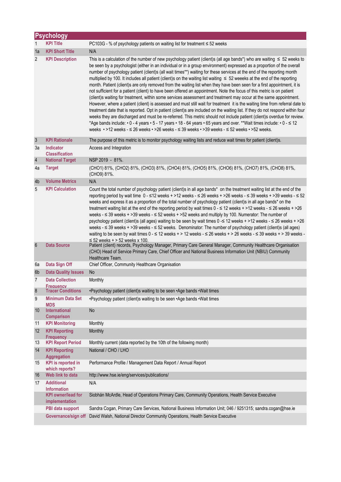|                 | <b>Psychology</b>                           |                                                                                                                                                                                                                                                                                                                                                                                                                                                                                                                                                                                                                                                                                                                                                                                                                                                                                                                                                                                                                                                                                                                                                                                                                                                                                                                                                                                                                                                                                                                    |  |
|-----------------|---------------------------------------------|--------------------------------------------------------------------------------------------------------------------------------------------------------------------------------------------------------------------------------------------------------------------------------------------------------------------------------------------------------------------------------------------------------------------------------------------------------------------------------------------------------------------------------------------------------------------------------------------------------------------------------------------------------------------------------------------------------------------------------------------------------------------------------------------------------------------------------------------------------------------------------------------------------------------------------------------------------------------------------------------------------------------------------------------------------------------------------------------------------------------------------------------------------------------------------------------------------------------------------------------------------------------------------------------------------------------------------------------------------------------------------------------------------------------------------------------------------------------------------------------------------------------|--|
| 1               | <b>KPI Title</b>                            | PC103G - % of psychology patients on waiting list for treatment $\leq$ 52 weeks                                                                                                                                                                                                                                                                                                                                                                                                                                                                                                                                                                                                                                                                                                                                                                                                                                                                                                                                                                                                                                                                                                                                                                                                                                                                                                                                                                                                                                    |  |
| 1a              | <b>KPI Short Title</b>                      | N/A                                                                                                                                                                                                                                                                                                                                                                                                                                                                                                                                                                                                                                                                                                                                                                                                                                                                                                                                                                                                                                                                                                                                                                                                                                                                                                                                                                                                                                                                                                                |  |
| 2               | <b>KPI Description</b>                      | This is a calculation of the number of new psychology patient (client)s (all age bands*) who are waiting $\leq 52$ weeks to<br>be seen by a psychologist (either in an individual or in a group environment) expressed as a proportion of the overall<br>number of psychology patient (client)s (all wait times**) waiting for these services at the end of the reporting month<br>multiplied by 100. It includes all patient (client)s on the waiting list waiting $\leq 52$ weeeks at the end of the reporting<br>month. Patient (client)s are only removed from the waiting list when they have been seen for a first appointment, it is<br>not sufficient for a patient (client) to have been offered an appointment. Note the focus of this metric is on patient<br>(client)s waiting for treatment, within some services assessment and treatment may occur at the same appointment.<br>However, where a patient (client) is assessed and must still wait for treatment it is the waiting time from referral date to<br>treatment date that is reported. Opt in patient (client)s are included on the waiting list. If they do not respond within four<br>weeks they are discharged and must be re-referred. This metric should not include patient (client)s overdue for review.<br>*Age bands include: • 0 - 4 years • 5 - 17 years • 18 - 64 years • 65 years and over. **Wait times include: • 0 - ≤ 12<br>weeks • >12 weeks - ≤ 26 weeks • >26 weeks - ≤ 39 weeks • >39 weeks - ≤ 52 weeks • >52 weeks. |  |
| $\mathbf{3}$    | <b>KPI Rationale</b>                        | The purpose of this metric is to monitor psychology waiting lists and reduce wait times for patient (client)s.                                                                                                                                                                                                                                                                                                                                                                                                                                                                                                                                                                                                                                                                                                                                                                                                                                                                                                                                                                                                                                                                                                                                                                                                                                                                                                                                                                                                     |  |
| За              | Indicator<br><b>Classification</b>          | Access and Integration                                                                                                                                                                                                                                                                                                                                                                                                                                                                                                                                                                                                                                                                                                                                                                                                                                                                                                                                                                                                                                                                                                                                                                                                                                                                                                                                                                                                                                                                                             |  |
| $\overline{4}$  | <b>National Target</b>                      | NSP 2019 - 81%.                                                                                                                                                                                                                                                                                                                                                                                                                                                                                                                                                                                                                                                                                                                                                                                                                                                                                                                                                                                                                                                                                                                                                                                                                                                                                                                                                                                                                                                                                                    |  |
| 4a              | <b>Target</b>                               | (CHO1) 81%, (CHO2) 81%, (CHO3) 81%, (CHO4) 81%, (CHO5) 81%, (CHO6) 81%, (CHO7) 81%, (CHO8) 81%,<br>(CHO9) 81%.                                                                                                                                                                                                                                                                                                                                                                                                                                                                                                                                                                                                                                                                                                                                                                                                                                                                                                                                                                                                                                                                                                                                                                                                                                                                                                                                                                                                     |  |
| 4b              | <b>Volume Metrics</b>                       | N/A                                                                                                                                                                                                                                                                                                                                                                                                                                                                                                                                                                                                                                                                                                                                                                                                                                                                                                                                                                                                                                                                                                                                                                                                                                                                                                                                                                                                                                                                                                                |  |
| 5               | <b>KPI Calculation</b>                      | Count the total number of psychology patient (client)s in all age bands* on the treatment waiting list at the end of the<br>reporting period by wait time $0 - 12$ weeks + >12 weeks - $\leq 26$ weeks + >26 weeks - $\leq 39$ weeks + >39 weeks - $\leq 52$<br>weeks and express it as a proportion of the total number of psychology patient (client)s in all age bands* on the<br>treatment waiting list at the end of the reporting period by wait times $0 - 12$ weeks + >12 weeks - $\leq 26$ weeks + >26<br>weeks - $\leq$ 39 weeks + > 39 weeks - $\leq$ 52 weeks + > 52 weeks and multiply by 100. Numerator: The number of<br>psychology patient (client)s (all ages) waiting to be seen by wait times 0 - ≤ 12 weeks + >12 weeks - ≤ 26 weeks + >26<br>weeks - $\leq$ 39 weeks + > 39 weeks - $\leq$ 52 weeks. Denominator: The number of psychology patient (client)s (all ages)<br>waiting to be seen by wait times $0 - 12$ weeks + > 12 weeks - $\leq 26$ weeks + > 26 weeks - $\leq 39$ weeks + > 39 weeks -<br>$\le$ 52 weeks + > 52 weeks x 100.                                                                                                                                                                                                                                                                                                                                                                                                                                                 |  |
| $6\phantom{1}6$ | <b>Data Source</b>                          | Patient (client) records, Psychology Manager, Primary Care General Manager, Community Healthcare Organisation<br>(CHO) Head of Service Primary Care, Chief Officer and National Business Information Unit (NBIU) Community<br>Healthcare Team.                                                                                                                                                                                                                                                                                                                                                                                                                                                                                                                                                                                                                                                                                                                                                                                                                                                                                                                                                                                                                                                                                                                                                                                                                                                                     |  |
| 6a              | Data Sign Off                               | Chief Officer, Community Healthcare Organisation                                                                                                                                                                                                                                                                                                                                                                                                                                                                                                                                                                                                                                                                                                                                                                                                                                                                                                                                                                                                                                                                                                                                                                                                                                                                                                                                                                                                                                                                   |  |
| 6b              | <b>Data Quality Issues</b>                  | No                                                                                                                                                                                                                                                                                                                                                                                                                                                                                                                                                                                                                                                                                                                                                                                                                                                                                                                                                                                                                                                                                                                                                                                                                                                                                                                                                                                                                                                                                                                 |  |
| 7               | <b>Data Collection</b><br><b>Frequency</b>  | Monthly                                                                                                                                                                                                                                                                                                                                                                                                                                                                                                                                                                                                                                                                                                                                                                                                                                                                                                                                                                                                                                                                                                                                                                                                                                                                                                                                                                                                                                                                                                            |  |
| $\bf 8$         | <b>Tracer Conditions</b>                    | •Psychology patient (client)s waiting to be seen •Age bands •Wait times                                                                                                                                                                                                                                                                                                                                                                                                                                                                                                                                                                                                                                                                                                                                                                                                                                                                                                                                                                                                                                                                                                                                                                                                                                                                                                                                                                                                                                            |  |
| 9               | <b>Minimum Data Set</b><br><b>MDS</b>       | •Psychology patient (client)s waiting to be seen •Age bands •Wait times                                                                                                                                                                                                                                                                                                                                                                                                                                                                                                                                                                                                                                                                                                                                                                                                                                                                                                                                                                                                                                                                                                                                                                                                                                                                                                                                                                                                                                            |  |
| 10              | International<br><b>Comparison</b>          | No                                                                                                                                                                                                                                                                                                                                                                                                                                                                                                                                                                                                                                                                                                                                                                                                                                                                                                                                                                                                                                                                                                                                                                                                                                                                                                                                                                                                                                                                                                                 |  |
| 11              | <b>KPI Monitoring</b>                       | Monthly                                                                                                                                                                                                                                                                                                                                                                                                                                                                                                                                                                                                                                                                                                                                                                                                                                                                                                                                                                                                                                                                                                                                                                                                                                                                                                                                                                                                                                                                                                            |  |
| 12              | <b>KPI Reporting</b><br><b>Frequency</b>    | Monthly                                                                                                                                                                                                                                                                                                                                                                                                                                                                                                                                                                                                                                                                                                                                                                                                                                                                                                                                                                                                                                                                                                                                                                                                                                                                                                                                                                                                                                                                                                            |  |
| 13              | <b>KPI Report Period</b>                    | Monthly current (data reported by the 10th of the following month)                                                                                                                                                                                                                                                                                                                                                                                                                                                                                                                                                                                                                                                                                                                                                                                                                                                                                                                                                                                                                                                                                                                                                                                                                                                                                                                                                                                                                                                 |  |
| 14              | <b>KPI Reporting</b><br><b>Aggregation</b>  | National / CHO / LHO                                                                                                                                                                                                                                                                                                                                                                                                                                                                                                                                                                                                                                                                                                                                                                                                                                                                                                                                                                                                                                                                                                                                                                                                                                                                                                                                                                                                                                                                                               |  |
| 15              | <b>KPI</b> is reported in<br>which reports? | Performance Profile / Management Data Report / Annual Report                                                                                                                                                                                                                                                                                                                                                                                                                                                                                                                                                                                                                                                                                                                                                                                                                                                                                                                                                                                                                                                                                                                                                                                                                                                                                                                                                                                                                                                       |  |
| 16              | Web link to data                            | http://www.hse.ie/eng/services/publications/                                                                                                                                                                                                                                                                                                                                                                                                                                                                                                                                                                                                                                                                                                                                                                                                                                                                                                                                                                                                                                                                                                                                                                                                                                                                                                                                                                                                                                                                       |  |
| 17              | <b>Additional</b><br><b>Information</b>     | N/A                                                                                                                                                                                                                                                                                                                                                                                                                                                                                                                                                                                                                                                                                                                                                                                                                                                                                                                                                                                                                                                                                                                                                                                                                                                                                                                                                                                                                                                                                                                |  |
|                 | <b>KPI</b> owner/lead for<br>implementation | Siobhán McArdle, Head of Operations Primary Care, Community Operations, Health Service Executive                                                                                                                                                                                                                                                                                                                                                                                                                                                                                                                                                                                                                                                                                                                                                                                                                                                                                                                                                                                                                                                                                                                                                                                                                                                                                                                                                                                                                   |  |
|                 | PBI data support                            | Sandra Cogan, Primary Care Services, National Business Information Unit; 046 / 9251315; sandra.cogan@hse.ie                                                                                                                                                                                                                                                                                                                                                                                                                                                                                                                                                                                                                                                                                                                                                                                                                                                                                                                                                                                                                                                                                                                                                                                                                                                                                                                                                                                                        |  |
|                 | Governance/sign off                         | David Walsh, National Director Community Operations, Health Service Executive                                                                                                                                                                                                                                                                                                                                                                                                                                                                                                                                                                                                                                                                                                                                                                                                                                                                                                                                                                                                                                                                                                                                                                                                                                                                                                                                                                                                                                      |  |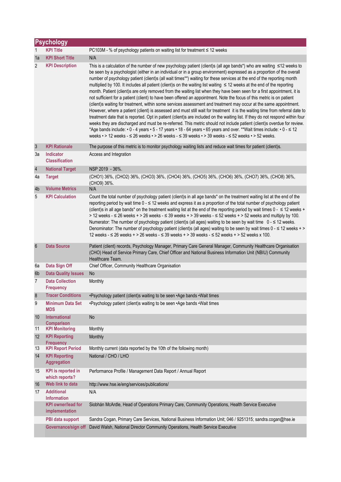|                  | <b>Psychology</b>                           |                                                                                                                                                                                                                                                                                                                                                                                                                                                                                                                                                                                                                                                                                                                                                                                                                                                                                                                                                                                                                                                                                                                                                                                                                                                                                                                                                                                                                                                                                                                                                   |
|------------------|---------------------------------------------|---------------------------------------------------------------------------------------------------------------------------------------------------------------------------------------------------------------------------------------------------------------------------------------------------------------------------------------------------------------------------------------------------------------------------------------------------------------------------------------------------------------------------------------------------------------------------------------------------------------------------------------------------------------------------------------------------------------------------------------------------------------------------------------------------------------------------------------------------------------------------------------------------------------------------------------------------------------------------------------------------------------------------------------------------------------------------------------------------------------------------------------------------------------------------------------------------------------------------------------------------------------------------------------------------------------------------------------------------------------------------------------------------------------------------------------------------------------------------------------------------------------------------------------------------|
| 1                | <b>KPI Title</b>                            | PC103M - % of psychology patients on waiting list for treatment ≤ 12 weeks                                                                                                                                                                                                                                                                                                                                                                                                                                                                                                                                                                                                                                                                                                                                                                                                                                                                                                                                                                                                                                                                                                                                                                                                                                                                                                                                                                                                                                                                        |
| 1a               | <b>KPI Short Title</b>                      | N/A                                                                                                                                                                                                                                                                                                                                                                                                                                                                                                                                                                                                                                                                                                                                                                                                                                                                                                                                                                                                                                                                                                                                                                                                                                                                                                                                                                                                                                                                                                                                               |
| 2                | <b>KPI Description</b>                      | This is a calculation of the number of new psychology patient (client)s (all age bands*) who are waiting ≤12 weeks to<br>be seen by a psychologist (either in an individual or in a group environment) expressed as a proportion of the overall<br>number of psychology patient (client)s (all wait times**) waiting for these services at the end of the reporting month<br>multiplied by 100. It includes all patient (client)s on the waiting list waiting ≤ 12 weeks at the end of the reporting<br>month. Patient (client)s are only removed from the waiting list when they have been seen for a first appointment, it is<br>not sufficient for a patient (client) to have been offered an appointment. Note the focus of this metric is on patient<br>(client)s waiting for treatment, within some services assessment and treatment may occur at the same appointment.<br>However, where a patient (client) is assessed and must still wait for treatment it is the waiting time from referral date to<br>treatment date that is reported. Opt in patient (client)s are included on the waiting list. If they do not respond within four<br>weeks they are discharged and must be re-referred. This metric should not include patient (client)s overdue for review.<br>*Age bands include: • 0 - 4 years • 5 - 17 years • 18 - 64 years • 65 years and over. **Wait times include: • 0 - ≤ 12<br>weeks $\cdot$ > 12 weeks - $\leq$ 26 weeks $\cdot$ > 26 weeks - $\leq$ 39 weeks $\cdot$ > 39 weeks - $\leq$ 52 weeks $\cdot$ > 52 weeks. |
| $\mathbf{3}$     | <b>KPI Rationale</b>                        | The purpose of this metric is to monitor psychology waiting lists and reduce wait times for patient (client)s.                                                                                                                                                                                                                                                                                                                                                                                                                                                                                                                                                                                                                                                                                                                                                                                                                                                                                                                                                                                                                                                                                                                                                                                                                                                                                                                                                                                                                                    |
| За               | Indicator<br><b>Classification</b>          | Access and Integration                                                                                                                                                                                                                                                                                                                                                                                                                                                                                                                                                                                                                                                                                                                                                                                                                                                                                                                                                                                                                                                                                                                                                                                                                                                                                                                                                                                                                                                                                                                            |
| $\sqrt{4}$       | <b>National Target</b>                      | NSP 2019 - 36%.                                                                                                                                                                                                                                                                                                                                                                                                                                                                                                                                                                                                                                                                                                                                                                                                                                                                                                                                                                                                                                                                                                                                                                                                                                                                                                                                                                                                                                                                                                                                   |
| 4a               | <b>Target</b>                               | (CHO1) 36%, (CHO2) 36%, (CHO3) 36%, (CHO4) 36%, (CHO5) 36%, (CHO6) 36%, (CHO7) 36%, (CHO8) 36%,<br>(CHO9) 36%.                                                                                                                                                                                                                                                                                                                                                                                                                                                                                                                                                                                                                                                                                                                                                                                                                                                                                                                                                                                                                                                                                                                                                                                                                                                                                                                                                                                                                                    |
| 4b               | <b>Volume Metrics</b>                       | N/A                                                                                                                                                                                                                                                                                                                                                                                                                                                                                                                                                                                                                                                                                                                                                                                                                                                                                                                                                                                                                                                                                                                                                                                                                                                                                                                                                                                                                                                                                                                                               |
| 5                | <b>KPI Calculation</b>                      | Count the total number of psychology patient (client)s in all age bands* on the treatment waiting list at the end of the<br>reporting period by wait time $0 - 12$ weeks and express it as a proportion of the total number of psychology patient<br>(client)s in all age bands* on the treatment waiting list at the end of the reporting period by wait times $0 - \le 12$ weeks +<br>> 12 weeks - $\leq$ 26 weeks + > 26 weeks - $\leq$ 39 weeks + > 39 weeks - $\leq$ 52 weeks + > 52 weeks and multiply by 100.<br>Numerator: The number of psychology patient (client)s (all ages) waiting to be seen by wait time 0 - ≤ 12 weeks.<br>Denominator: The number of psychology patient (client)s (all ages) waiting to be seen by wait times $0 - \le 12$ weeks + ><br>12 weeks - ≤ 26 weeks + > 26 weeks - ≤ 39 weeks + > 39 weeks - ≤ 52 weeks + > 52 weeks x 100.                                                                                                                                                                                                                                                                                                                                                                                                                                                                                                                                                                                                                                                                           |
| $\boldsymbol{6}$ | <b>Data Source</b>                          | Patient (client) records, Psychology Manager, Primary Care General Manager, Community Healthcare Organisation<br>(CHO) Head of Service Primary Care, Chief Officer and National Business Information Unit (NBIU) Community<br>Healthcare Team.                                                                                                                                                                                                                                                                                                                                                                                                                                                                                                                                                                                                                                                                                                                                                                                                                                                                                                                                                                                                                                                                                                                                                                                                                                                                                                    |
| 6a               | Data Sign Off                               | Chief Officer, Community Healthcare Organisation                                                                                                                                                                                                                                                                                                                                                                                                                                                                                                                                                                                                                                                                                                                                                                                                                                                                                                                                                                                                                                                                                                                                                                                                                                                                                                                                                                                                                                                                                                  |
| 6b               | <b>Data Quality Issues</b>                  | No                                                                                                                                                                                                                                                                                                                                                                                                                                                                                                                                                                                                                                                                                                                                                                                                                                                                                                                                                                                                                                                                                                                                                                                                                                                                                                                                                                                                                                                                                                                                                |
| $\overline{7}$   | <b>Data Collection</b><br><b>Frequency</b>  | Monthly                                                                                                                                                                                                                                                                                                                                                                                                                                                                                                                                                                                                                                                                                                                                                                                                                                                                                                                                                                                                                                                                                                                                                                                                                                                                                                                                                                                                                                                                                                                                           |
| $\bf 8$          | <b>Tracer Conditions</b>                    | •Psychology patient (client)s waiting to be seen •Age bands •Wait times                                                                                                                                                                                                                                                                                                                                                                                                                                                                                                                                                                                                                                                                                                                                                                                                                                                                                                                                                                                                                                                                                                                                                                                                                                                                                                                                                                                                                                                                           |
| 9                | <b>Minimum Data Set</b><br><b>MDS</b>       | •Psychology patient (client)s waiting to be seen •Age bands •Wait times                                                                                                                                                                                                                                                                                                                                                                                                                                                                                                                                                                                                                                                                                                                                                                                                                                                                                                                                                                                                                                                                                                                                                                                                                                                                                                                                                                                                                                                                           |
| 10               | <b>International</b><br><b>Comparison</b>   | <b>No</b>                                                                                                                                                                                                                                                                                                                                                                                                                                                                                                                                                                                                                                                                                                                                                                                                                                                                                                                                                                                                                                                                                                                                                                                                                                                                                                                                                                                                                                                                                                                                         |
| 11               | <b>KPI Monitoring</b>                       | Monthly                                                                                                                                                                                                                                                                                                                                                                                                                                                                                                                                                                                                                                                                                                                                                                                                                                                                                                                                                                                                                                                                                                                                                                                                                                                                                                                                                                                                                                                                                                                                           |
| 12               | <b>KPI Reporting</b><br><b>Frequency</b>    | Monthly                                                                                                                                                                                                                                                                                                                                                                                                                                                                                                                                                                                                                                                                                                                                                                                                                                                                                                                                                                                                                                                                                                                                                                                                                                                                                                                                                                                                                                                                                                                                           |
| 13               | <b>KPI Report Period</b>                    | Monthly current (data reported by the 10th of the following month)                                                                                                                                                                                                                                                                                                                                                                                                                                                                                                                                                                                                                                                                                                                                                                                                                                                                                                                                                                                                                                                                                                                                                                                                                                                                                                                                                                                                                                                                                |
| 14               | <b>KPI Reporting</b><br><b>Aggregation</b>  | National / CHO / LHO                                                                                                                                                                                                                                                                                                                                                                                                                                                                                                                                                                                                                                                                                                                                                                                                                                                                                                                                                                                                                                                                                                                                                                                                                                                                                                                                                                                                                                                                                                                              |
| 15               | <b>KPI</b> is reported in<br>which reports? | Performance Profile / Management Data Report / Annual Report                                                                                                                                                                                                                                                                                                                                                                                                                                                                                                                                                                                                                                                                                                                                                                                                                                                                                                                                                                                                                                                                                                                                                                                                                                                                                                                                                                                                                                                                                      |
| 16               | Web link to data                            | http://www.hse.ie/eng/services/publications/                                                                                                                                                                                                                                                                                                                                                                                                                                                                                                                                                                                                                                                                                                                                                                                                                                                                                                                                                                                                                                                                                                                                                                                                                                                                                                                                                                                                                                                                                                      |
| 17               | <b>Additional</b><br><b>Information</b>     | N/A                                                                                                                                                                                                                                                                                                                                                                                                                                                                                                                                                                                                                                                                                                                                                                                                                                                                                                                                                                                                                                                                                                                                                                                                                                                                                                                                                                                                                                                                                                                                               |
|                  | <b>KPI owner/lead for</b><br>implementation | Siobhán McArdle, Head of Operations Primary Care, Community Operations, Health Service Executive                                                                                                                                                                                                                                                                                                                                                                                                                                                                                                                                                                                                                                                                                                                                                                                                                                                                                                                                                                                                                                                                                                                                                                                                                                                                                                                                                                                                                                                  |
|                  | PBI data support                            | Sandra Cogan, Primary Care Services, National Business Information Unit; 046 / 9251315; sandra.cogan@hse.ie                                                                                                                                                                                                                                                                                                                                                                                                                                                                                                                                                                                                                                                                                                                                                                                                                                                                                                                                                                                                                                                                                                                                                                                                                                                                                                                                                                                                                                       |
|                  | Governance/sign off                         | David Walsh, National Director Community Operations, Health Service Executive                                                                                                                                                                                                                                                                                                                                                                                                                                                                                                                                                                                                                                                                                                                                                                                                                                                                                                                                                                                                                                                                                                                                                                                                                                                                                                                                                                                                                                                                     |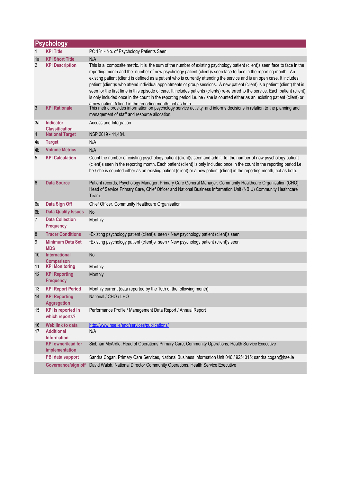|                  | <b>Psychology</b>                           |                                                                                                                                                                                                                                                                                                                                                                                                                                                                                                                                                                                                                                                                                                                                                                                                                                              |
|------------------|---------------------------------------------|----------------------------------------------------------------------------------------------------------------------------------------------------------------------------------------------------------------------------------------------------------------------------------------------------------------------------------------------------------------------------------------------------------------------------------------------------------------------------------------------------------------------------------------------------------------------------------------------------------------------------------------------------------------------------------------------------------------------------------------------------------------------------------------------------------------------------------------------|
| 1                | <b>KPI Title</b>                            | PC 131 - No. of Psychology Patients Seen                                                                                                                                                                                                                                                                                                                                                                                                                                                                                                                                                                                                                                                                                                                                                                                                     |
| 1a               | <b>KPI Short Title</b>                      | N/A                                                                                                                                                                                                                                                                                                                                                                                                                                                                                                                                                                                                                                                                                                                                                                                                                                          |
| 2                | <b>KPI Description</b>                      | This is a composite metric. It is the sum of the number of existing psychology patient (client)s seen face to face in the<br>reporting month and the number of new psychology patient (client)s seen face to face in the reporting month. An<br>existing patient (client) is defined as a patient who is currently attending the service and is an open case. It includes<br>patient (client)s who attend individual appointments or group sessions. A new patient (client) is a patient (client) that is<br>seen for the first time in this episode of care. It includes patients (clients) re-referred to the service. Each patient (client)<br>is only included once in the count in the reporting period i.e. he / she is counted either as an existing patient (client) or<br>a new natient (client) in the reporting month not as both |
| $\mathbf{3}$     | <b>KPI Rationale</b>                        | This metric provides information on psychology service activity and informs decisions in relation to the planning and<br>management of staff and resource allocation.                                                                                                                                                                                                                                                                                                                                                                                                                                                                                                                                                                                                                                                                        |
| За               | Indicator<br><b>Classification</b>          | Access and Integration                                                                                                                                                                                                                                                                                                                                                                                                                                                                                                                                                                                                                                                                                                                                                                                                                       |
| $\sqrt{4}$       | <b>National Target</b>                      | NSP 2019 - 41,484.                                                                                                                                                                                                                                                                                                                                                                                                                                                                                                                                                                                                                                                                                                                                                                                                                           |
| 4a               | <b>Target</b>                               | N/A                                                                                                                                                                                                                                                                                                                                                                                                                                                                                                                                                                                                                                                                                                                                                                                                                                          |
| 4b               | <b>Volume Metrics</b>                       | N/A                                                                                                                                                                                                                                                                                                                                                                                                                                                                                                                                                                                                                                                                                                                                                                                                                                          |
| 5                | <b>KPI Calculation</b>                      | Count the number of existing psychology patient (client)s seen and add it to the number of new psychology patient<br>(client)s seen in the reporting month. Each patient (client) is only included once in the count in the reporting period i.e.<br>he / she is counted either as an existing patient (client) or a new patient (client) in the reporting month, not as both.                                                                                                                                                                                                                                                                                                                                                                                                                                                               |
| $6\phantom{1}6$  | <b>Data Source</b>                          | Patient records, Psychology Manager, Primary Care General Manager, Community Healthcare Organisation (CHO)<br>Head of Service Primary Care, Chief Officer and National Business Information Unit (NBIU) Community Healthcare<br>Team.                                                                                                                                                                                                                                                                                                                                                                                                                                                                                                                                                                                                        |
| 6a               | Data Sign Off                               | Chief Officer, Community Healthcare Organisation                                                                                                                                                                                                                                                                                                                                                                                                                                                                                                                                                                                                                                                                                                                                                                                             |
| 6b               | <b>Data Quality Issues</b>                  | No                                                                                                                                                                                                                                                                                                                                                                                                                                                                                                                                                                                                                                                                                                                                                                                                                                           |
| 7                | <b>Data Collection</b><br><b>Frequency</b>  | Monthly                                                                                                                                                                                                                                                                                                                                                                                                                                                                                                                                                                                                                                                                                                                                                                                                                                      |
| $\boldsymbol{8}$ | <b>Tracer Conditions</b>                    | •Existing psychology patient (client)s seen • New psychology patient (client)s seen                                                                                                                                                                                                                                                                                                                                                                                                                                                                                                                                                                                                                                                                                                                                                          |
| 9                | <b>Minimum Data Set</b><br><b>MDS</b>       | •Existing psychology patient (client)s seen • New psychology patient (client)s seen                                                                                                                                                                                                                                                                                                                                                                                                                                                                                                                                                                                                                                                                                                                                                          |
| 10               | <b>International</b><br><b>Comparison</b>   | No                                                                                                                                                                                                                                                                                                                                                                                                                                                                                                                                                                                                                                                                                                                                                                                                                                           |
| 11               | <b>KPI Monitoring</b>                       | Monthly                                                                                                                                                                                                                                                                                                                                                                                                                                                                                                                                                                                                                                                                                                                                                                                                                                      |
| 12               | <b>KPI Reporting</b><br><b>Frequency</b>    | Monthly                                                                                                                                                                                                                                                                                                                                                                                                                                                                                                                                                                                                                                                                                                                                                                                                                                      |
| 13               | <b>KPI Report Period</b>                    | Monthly current (data reported by the 10th of the following month)                                                                                                                                                                                                                                                                                                                                                                                                                                                                                                                                                                                                                                                                                                                                                                           |
| 14               | <b>KPI Reporting</b><br><b>Aggregation</b>  | National / CHO / LHO                                                                                                                                                                                                                                                                                                                                                                                                                                                                                                                                                                                                                                                                                                                                                                                                                         |
| 15               | <b>KPI</b> is reported in<br>which reports? | Performance Profile / Management Data Report / Annual Report                                                                                                                                                                                                                                                                                                                                                                                                                                                                                                                                                                                                                                                                                                                                                                                 |
| 16               | Web link to data                            | http://www.hse.ie/eng/services/publications/                                                                                                                                                                                                                                                                                                                                                                                                                                                                                                                                                                                                                                                                                                                                                                                                 |
| 17               | <b>Additional</b><br><b>Information</b>     | N/A                                                                                                                                                                                                                                                                                                                                                                                                                                                                                                                                                                                                                                                                                                                                                                                                                                          |
|                  | <b>KPI</b> owner/lead for<br>implementation | Siobhán McArdle, Head of Operations Primary Care, Community Operations, Health Service Executive                                                                                                                                                                                                                                                                                                                                                                                                                                                                                                                                                                                                                                                                                                                                             |
|                  | PBI data support                            | Sandra Cogan, Primary Care Services, National Business Information Unit 046 / 9251315; sandra.cogan@hse.ie                                                                                                                                                                                                                                                                                                                                                                                                                                                                                                                                                                                                                                                                                                                                   |
|                  | Governance/sign off                         | David Walsh, National Director Community Operations, Health Service Executive                                                                                                                                                                                                                                                                                                                                                                                                                                                                                                                                                                                                                                                                                                                                                                |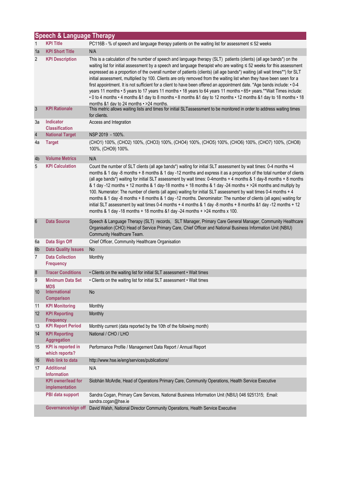| <b>Speech &amp; Language Therapy</b> |                                             |                                                                                                                                                                                                                                                                                                                                                                                                                                                                                                                                                                                                                                                                                                                                                                                                                                                                                                                               |  |  |  |
|--------------------------------------|---------------------------------------------|-------------------------------------------------------------------------------------------------------------------------------------------------------------------------------------------------------------------------------------------------------------------------------------------------------------------------------------------------------------------------------------------------------------------------------------------------------------------------------------------------------------------------------------------------------------------------------------------------------------------------------------------------------------------------------------------------------------------------------------------------------------------------------------------------------------------------------------------------------------------------------------------------------------------------------|--|--|--|
| 1                                    | <b>KPI Title</b>                            | PC116B - % of speech and language therapy patients on the waiting list for assessment ≤ 52 weeks                                                                                                                                                                                                                                                                                                                                                                                                                                                                                                                                                                                                                                                                                                                                                                                                                              |  |  |  |
| 1a                                   | <b>KPI Short Title</b>                      | N/A                                                                                                                                                                                                                                                                                                                                                                                                                                                                                                                                                                                                                                                                                                                                                                                                                                                                                                                           |  |  |  |
| $\overline{2}$                       | <b>KPI Description</b>                      | This is a calculation of the number of speech and language therapy (SLT) patients (clients) (all age bands*) on the<br>waiting list for initial assessment by a speech and language therapist who are waiting ≤ 52 weeks for this assessment<br>expressed as a proportion of the overall number of patients (clients) (all age bands*) waiting (all wait times**) for SLT<br>initial assessment, multiplied by 100. Clients are only removed from the waiting list when they have been seen for a<br>first appointment. It is not sufficient for a client to have been offered an appointment date. *Age bands include: • 0-4<br>years 11 months • 5 years to 17 years 11 months • 18 years to 64 years 11 months • 65+ years.**Wait Times include:<br>• 0 to 4 months • 4 months &1 day to 8 months • 8 months &1 day to 12 months • 12 months &1 day to 18 months • 18<br>months &1 day to 24 months • > 24 months.         |  |  |  |
| $\mathbf{3}$                         | <b>KPI Rationale</b>                        | This metric allows waiting lists and times for initial SLTassessment to be monitored in order to address waiting times<br>for clients.                                                                                                                                                                                                                                                                                                                                                                                                                                                                                                                                                                                                                                                                                                                                                                                        |  |  |  |
| 3a                                   | Indicator<br><b>Classification</b>          | Access and Integration                                                                                                                                                                                                                                                                                                                                                                                                                                                                                                                                                                                                                                                                                                                                                                                                                                                                                                        |  |  |  |
| $\sqrt{4}$                           | <b>National Target</b>                      | NSP 2019 - 100%.                                                                                                                                                                                                                                                                                                                                                                                                                                                                                                                                                                                                                                                                                                                                                                                                                                                                                                              |  |  |  |
| 4a                                   | <b>Target</b>                               | (CHO1) 100%, (CHO2) 100%, (CHO3) 100%, (CHO4) 100%, (CHO5) 100%, (CHO6) 100%, (CHO7) 100%, (CHO8)<br>100%, (CHO9) 100%.                                                                                                                                                                                                                                                                                                                                                                                                                                                                                                                                                                                                                                                                                                                                                                                                       |  |  |  |
| 4 <sub>b</sub>                       | <b>Volume Metrics</b>                       | N/A                                                                                                                                                                                                                                                                                                                                                                                                                                                                                                                                                                                                                                                                                                                                                                                                                                                                                                                           |  |  |  |
| 5                                    | <b>KPI Calculation</b>                      | Count the number of SLT clients (all age bands*) waiting for initial SLT assessment by wait times: 0-4 months +4<br>months & 1 day -8 months + 8 months & 1 day -12 months and express it as a proportion of the total number of clients<br>(all age bands*) waiting for initial SLT assessment by wait times: 0-4months + 4 months & 1 day-8 months + 8 months<br>& 1 day -12 months + 12 months & 1 day-18 months + 18 months & 1 day -24 months + >24 months and multiply by<br>100. Numerator: The number of clients (all ages) waiting for initial SLT assessment by wait times 0-4 months + 4<br>months & 1 day -8 months + 8 months & 1 day -12 months. Denominator: The number of clients (all ages) waiting for<br>initial SLT assessment by wait times 0-4 months + 4 months & 1 day -8 months + 8 months &1 day -12 months + 12<br>months & 1 day -18 months + 18 months & 1 day -24 months + $>$ 24 months x 100. |  |  |  |
| $6\phantom{1}6$                      | <b>Data Source</b>                          | Speech & Language Therapy (SLT) records, SLT Manager, Primary Care General Manager, Community Healthcare<br>Organisation (CHO) Head of Service Primary Care, Chief Officer and National Business Information Unit (NBIU)<br>Community Healthcare Team.                                                                                                                                                                                                                                                                                                                                                                                                                                                                                                                                                                                                                                                                        |  |  |  |
| 6a                                   | Data Sign Off                               | Chief Officer, Community Healthcare Organisation                                                                                                                                                                                                                                                                                                                                                                                                                                                                                                                                                                                                                                                                                                                                                                                                                                                                              |  |  |  |
| 6 <sub>b</sub>                       | <b>Data Quality Issues</b>                  | <b>No</b>                                                                                                                                                                                                                                                                                                                                                                                                                                                                                                                                                                                                                                                                                                                                                                                                                                                                                                                     |  |  |  |
| $\overline{7}$                       | <b>Data Collection</b><br><b>Frequency</b>  | Monthly                                                                                                                                                                                                                                                                                                                                                                                                                                                                                                                                                                                                                                                                                                                                                                                                                                                                                                                       |  |  |  |
| $\boldsymbol{8}$                     | <b>Tracer Conditions</b>                    | • Clients on the waiting list for initial SLT assessment • Wait times                                                                                                                                                                                                                                                                                                                                                                                                                                                                                                                                                                                                                                                                                                                                                                                                                                                         |  |  |  |
| 9                                    | <b>Minimum Data Set</b><br><b>MDS</b>       | • Clients on the waiting list for initial SLT assessment • Wait times                                                                                                                                                                                                                                                                                                                                                                                                                                                                                                                                                                                                                                                                                                                                                                                                                                                         |  |  |  |
| 10                                   | International<br><b>Comparison</b>          | No                                                                                                                                                                                                                                                                                                                                                                                                                                                                                                                                                                                                                                                                                                                                                                                                                                                                                                                            |  |  |  |
| 11                                   | <b>KPI Monitoring</b>                       | Monthly                                                                                                                                                                                                                                                                                                                                                                                                                                                                                                                                                                                                                                                                                                                                                                                                                                                                                                                       |  |  |  |
| 12                                   | <b>KPI Reporting</b><br><b>Frequency</b>    | Monthly                                                                                                                                                                                                                                                                                                                                                                                                                                                                                                                                                                                                                                                                                                                                                                                                                                                                                                                       |  |  |  |
| 13                                   | <b>KPI Report Period</b>                    | Monthly current (data reported by the 10th of the following month)                                                                                                                                                                                                                                                                                                                                                                                                                                                                                                                                                                                                                                                                                                                                                                                                                                                            |  |  |  |
| 14                                   | <b>KPI Reporting</b><br>Aggregation         | National / CHO / LHO                                                                                                                                                                                                                                                                                                                                                                                                                                                                                                                                                                                                                                                                                                                                                                                                                                                                                                          |  |  |  |
| 15                                   | <b>KPI</b> is reported in<br>which reports? | Performance Profile / Management Data Report / Annual Report                                                                                                                                                                                                                                                                                                                                                                                                                                                                                                                                                                                                                                                                                                                                                                                                                                                                  |  |  |  |
| 16                                   | Web link to data                            | http://www.hse.ie/eng/services/publications/                                                                                                                                                                                                                                                                                                                                                                                                                                                                                                                                                                                                                                                                                                                                                                                                                                                                                  |  |  |  |
| 17                                   | <b>Additional</b><br><b>Information</b>     | N/A                                                                                                                                                                                                                                                                                                                                                                                                                                                                                                                                                                                                                                                                                                                                                                                                                                                                                                                           |  |  |  |
|                                      | <b>KPI owner/lead for</b><br>implementation | Siobhán McArdle, Head of Operations Primary Care, Community Operations, Health Service Executive                                                                                                                                                                                                                                                                                                                                                                                                                                                                                                                                                                                                                                                                                                                                                                                                                              |  |  |  |
|                                      | PBI data support                            | Sandra Cogan, Primary Care Services, National Business Information Unit (NBIU) 046 9251315; Email:<br>sandra.cogan@hse.ie                                                                                                                                                                                                                                                                                                                                                                                                                                                                                                                                                                                                                                                                                                                                                                                                     |  |  |  |
|                                      |                                             | Governance/sign off David Walsh, National Director Community Operations, Health Service Executive                                                                                                                                                                                                                                                                                                                                                                                                                                                                                                                                                                                                                                                                                                                                                                                                                             |  |  |  |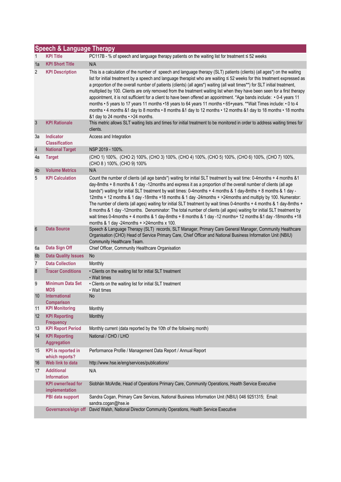| <b>Speech &amp; Language Therapy</b> |                                             |                                                                                                                                                                                                                                                                                                                                                                                                                                                                                                                                                                                                                                                                                                                                                                                                                                                                                                                           |  |  |  |
|--------------------------------------|---------------------------------------------|---------------------------------------------------------------------------------------------------------------------------------------------------------------------------------------------------------------------------------------------------------------------------------------------------------------------------------------------------------------------------------------------------------------------------------------------------------------------------------------------------------------------------------------------------------------------------------------------------------------------------------------------------------------------------------------------------------------------------------------------------------------------------------------------------------------------------------------------------------------------------------------------------------------------------|--|--|--|
| 1                                    | <b>KPI Title</b>                            | PC117B - % of speech and language therapy patients on the waiting list for treatment $\leq$ 52 weeks                                                                                                                                                                                                                                                                                                                                                                                                                                                                                                                                                                                                                                                                                                                                                                                                                      |  |  |  |
| 1a                                   | <b>KPI Short Title</b>                      | N/A                                                                                                                                                                                                                                                                                                                                                                                                                                                                                                                                                                                                                                                                                                                                                                                                                                                                                                                       |  |  |  |
| 2                                    | <b>KPI Description</b>                      | This is a calculation of the number of speech and language therapy (SLT) patients (clients) (all ages*) on the waiting<br>list for initial treatment by a speech and language therapist who are waiting $\leq$ 52 weeks for this treatment expressed as<br>a proportion of the overall number of patients (clients) (all ages*) waiting (all wait times**) for SLT initial treatment,<br>multiplied by 100. Clients are only removed from the treatment waiting list when they have been seen for a first therapy<br>appointment, it is not sufficient for a client to have been offered an appointment. *Age bands include: • 0-4 years 11<br>months • 5 years to 17 years 11 months • 18 years to 64 years 11 months • 65+years. **Wait Times include: • 0 to 4<br>months • 4 months &1 day to 8 months • 8 months &1 day to 12 months • 12 months &1 day to 18 months • 18 months<br>&1 day to 24 months • >24 months. |  |  |  |
| $\mathfrak{Z}$                       | <b>KPI Rationale</b>                        | This metric allows SLT waiting lists and times for initial treatment to be monitored in order to address waiting times for<br>clients.                                                                                                                                                                                                                                                                                                                                                                                                                                                                                                                                                                                                                                                                                                                                                                                    |  |  |  |
| За                                   | Indicator<br><b>Classification</b>          | Access and Integration                                                                                                                                                                                                                                                                                                                                                                                                                                                                                                                                                                                                                                                                                                                                                                                                                                                                                                    |  |  |  |
| $\sqrt{4}$                           | <b>National Target</b>                      | NSP 2019 - 100%.                                                                                                                                                                                                                                                                                                                                                                                                                                                                                                                                                                                                                                                                                                                                                                                                                                                                                                          |  |  |  |
| 4a                                   | <b>Target</b>                               | (CHO 1) 100%, (CHO 2) 100%, (CHO 3) 100%, (CHO 4) 100%, (CHO 5) 100%, (CHO 6) 100%, (CHO 7) 100%,<br>(CHO 8) 100%, (CHO 9) 100%                                                                                                                                                                                                                                                                                                                                                                                                                                                                                                                                                                                                                                                                                                                                                                                           |  |  |  |
| 4b                                   | <b>Volume Metrics</b>                       | N/A                                                                                                                                                                                                                                                                                                                                                                                                                                                                                                                                                                                                                                                                                                                                                                                                                                                                                                                       |  |  |  |
| 5                                    | <b>KPI Calculation</b>                      | Count the number of clients (all age bands*) waiting for initial SLT treatment by wait time: 0-4months + 4 months &1<br>day-8mths + 8 months & 1 day -12months and express it as a proportion of the overall number of clients (all age<br>bands*) waiting for initial SLT treatment by wait times: 0-4months + 4 months & 1 day-8mths + 8 months & 1 day -<br>12mths + 12 months & 1 day -18mths +18 months & 1 day -24months + >24months and multiply by 100. Numerator:<br>The number of clients (all ages) waiting for initial SLT treatment by wait times 0-4months + 4 months & 1 day-8mths +<br>8 months & 1 day -12months. Denominator: The total number of clients (all ages) waiting for initial SLT treatment by<br>wait times 0-4months + 4 months & 1 day-8mths + 8 months & 1 day -12 months+ 12 months &1 day -18months +18<br>months & 1 day -24months $+$ >24months x 100.                               |  |  |  |
| $6\phantom{1}6$                      | <b>Data Source</b>                          | Speech & Language Therapy (SLT) records, SLT Manager, Primary Care General Manager, Community Healthcare<br>Organisation (CHO) Head of Service Primary Care, Chief Officer and National Business Information Unit (NBIU)<br>Community Healthcare Team.                                                                                                                                                                                                                                                                                                                                                                                                                                                                                                                                                                                                                                                                    |  |  |  |
| 6a                                   | Data Sign Off                               | Chief Officer, Community Healthcare Organisation                                                                                                                                                                                                                                                                                                                                                                                                                                                                                                                                                                                                                                                                                                                                                                                                                                                                          |  |  |  |
| 6b                                   | <b>Data Quality Issues</b>                  | No                                                                                                                                                                                                                                                                                                                                                                                                                                                                                                                                                                                                                                                                                                                                                                                                                                                                                                                        |  |  |  |
| 7                                    | <b>Data Collection</b>                      | Monthly                                                                                                                                                                                                                                                                                                                                                                                                                                                                                                                                                                                                                                                                                                                                                                                                                                                                                                                   |  |  |  |
| $\boldsymbol{8}$                     | <b>Tracer Conditions</b>                    | • Clients on the waiting list for initial SLT treatment<br>• Wait times                                                                                                                                                                                                                                                                                                                                                                                                                                                                                                                                                                                                                                                                                                                                                                                                                                                   |  |  |  |
| 9                                    | <b>Minimum Data Set</b><br><b>MDS</b>       | • Clients on the waiting list for initial SLT treatment<br>• Wait times                                                                                                                                                                                                                                                                                                                                                                                                                                                                                                                                                                                                                                                                                                                                                                                                                                                   |  |  |  |
| 10                                   | <b>International</b><br><b>Comparison</b>   | No                                                                                                                                                                                                                                                                                                                                                                                                                                                                                                                                                                                                                                                                                                                                                                                                                                                                                                                        |  |  |  |
| 11                                   | <b>KPI Monitoring</b>                       | Monthly                                                                                                                                                                                                                                                                                                                                                                                                                                                                                                                                                                                                                                                                                                                                                                                                                                                                                                                   |  |  |  |
| 12                                   | <b>KPI Reporting</b><br><b>Frequency</b>    | Monthly                                                                                                                                                                                                                                                                                                                                                                                                                                                                                                                                                                                                                                                                                                                                                                                                                                                                                                                   |  |  |  |
| 13                                   | <b>KPI Report Period</b>                    | Monthly current (data reported by the 10th of the following month)                                                                                                                                                                                                                                                                                                                                                                                                                                                                                                                                                                                                                                                                                                                                                                                                                                                        |  |  |  |
| 14                                   | <b>KPI Reporting</b><br><b>Aggregation</b>  | National / CHO / LHO                                                                                                                                                                                                                                                                                                                                                                                                                                                                                                                                                                                                                                                                                                                                                                                                                                                                                                      |  |  |  |
| 15                                   | <b>KPI</b> is reported in<br>which reports? | Performance Profile / Management Data Report / Annual Report                                                                                                                                                                                                                                                                                                                                                                                                                                                                                                                                                                                                                                                                                                                                                                                                                                                              |  |  |  |
| 16                                   | Web link to data                            | http://www.hse.ie/eng/services/publications/                                                                                                                                                                                                                                                                                                                                                                                                                                                                                                                                                                                                                                                                                                                                                                                                                                                                              |  |  |  |
| 17                                   | <b>Additional</b><br><b>Information</b>     | N/A                                                                                                                                                                                                                                                                                                                                                                                                                                                                                                                                                                                                                                                                                                                                                                                                                                                                                                                       |  |  |  |
|                                      | <b>KPI</b> owner/lead for<br>implementation | Siobhán McArdle, Head of Operations Primary Care, Community Operations, Health Service Executive                                                                                                                                                                                                                                                                                                                                                                                                                                                                                                                                                                                                                                                                                                                                                                                                                          |  |  |  |
|                                      | PBI data support                            | Sandra Cogan, Primary Care Services, National Business Information Unit (NBIU) 046 9251315; Email:<br>sandra.cogan@hse.ie                                                                                                                                                                                                                                                                                                                                                                                                                                                                                                                                                                                                                                                                                                                                                                                                 |  |  |  |
|                                      | Governance/sign off                         | David Walsh, National Director Community Operations, Health Service Executive                                                                                                                                                                                                                                                                                                                                                                                                                                                                                                                                                                                                                                                                                                                                                                                                                                             |  |  |  |